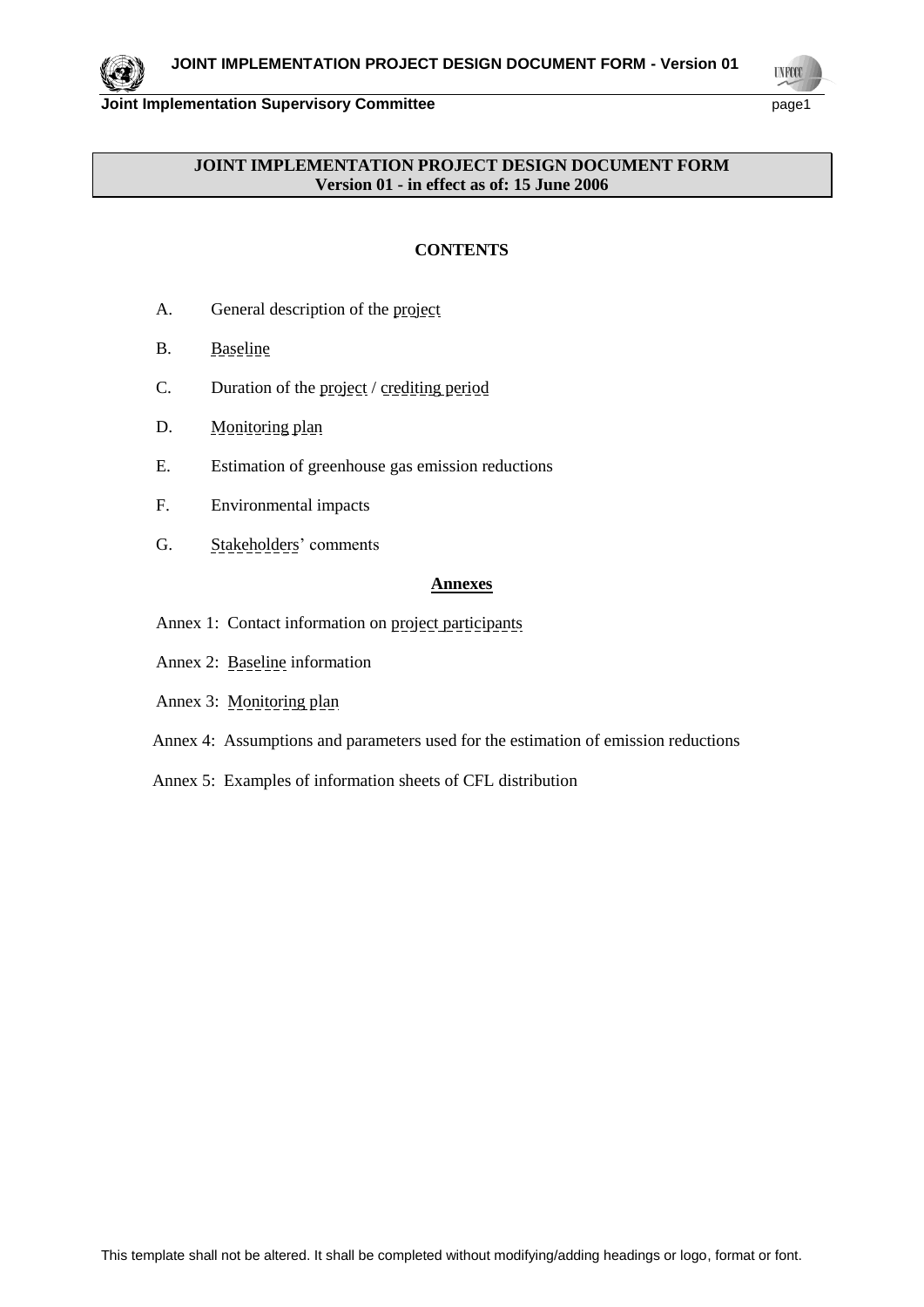**UNFCC** 

**Joint Implementation Supervisory Committee** page1

# **JOINT IMPLEMENTATION PROJECT DESIGN DOCUMENT FORM Version 01 - in effect as of: 15 June 2006**

# **CONTENTS**

- A. General description of the project
- B. Baseline
- C. Duration of the project / crediting period
- D. Monitoring plan
- E. Estimation of greenhouse gas emission reductions
- F. Environmental impacts
- G. Stakeholders' comments

# **Annexes**

- Annex 1: Contact information on project participants
- Annex 2: Baseline information
- Annex 3: Monitoring plan
- Annex 4: Assumptions and parameters used for the estimation of emission reductions
- Annex 5: Examples of information sheets of CFL distribution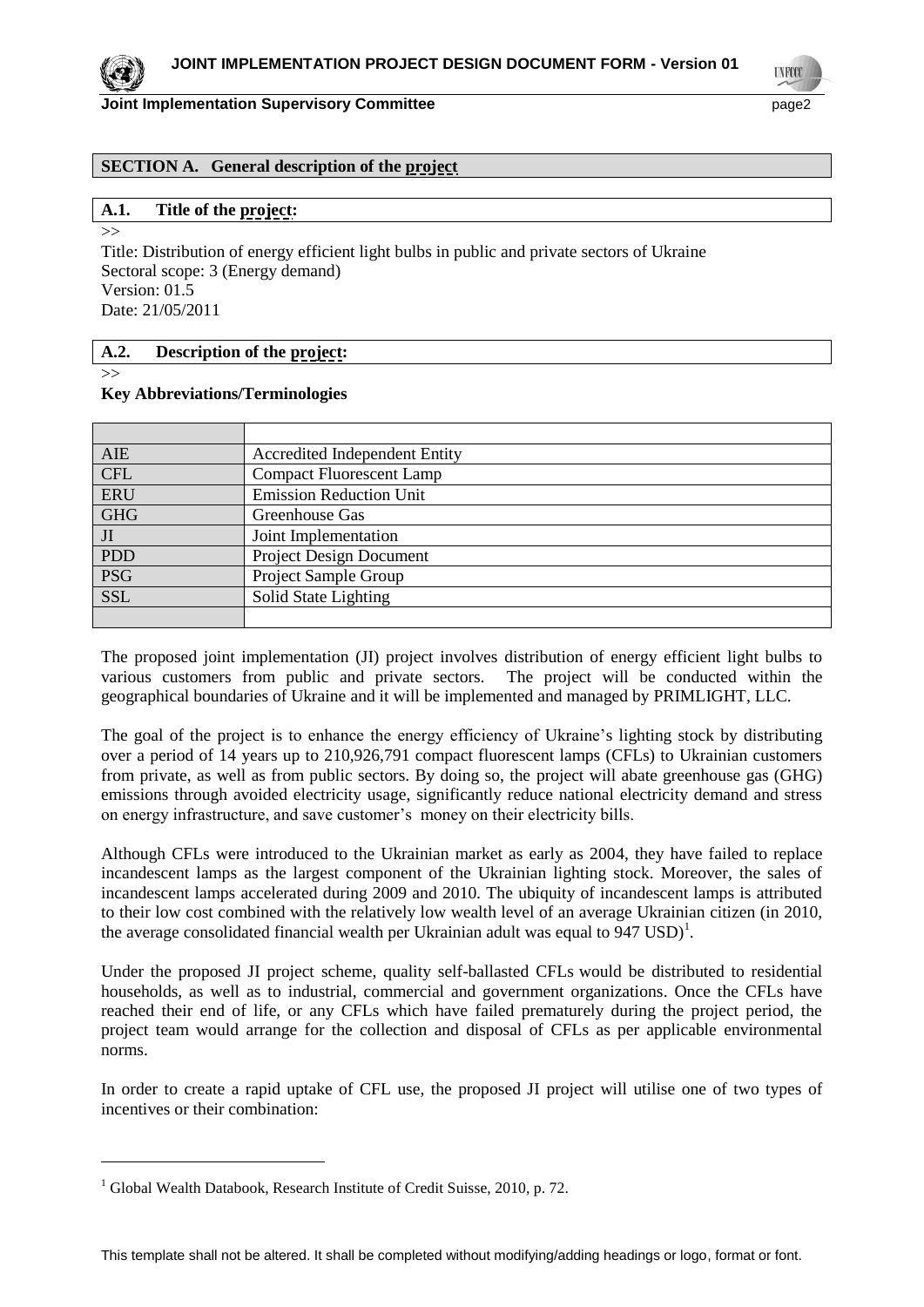**INFOO** 

### **SECTION A. General description of the project**

#### **A.1. Title of the project:** >>

Title: Distribution of energy efficient light bulbs in public and private sectors of Ukraine Sectoral scope: 3 (Energy demand) Version: 01.5 Date: 21/05/2011

#### **A.2. Description of the project:**

>>

 $\overline{a}$ 

#### **Key Abbreviations/Terminologies**

| <b>AIE</b> | <b>Accredited Independent Entity</b> |
|------------|--------------------------------------|
| <b>CFL</b> | <b>Compact Fluorescent Lamp</b>      |
| <b>ERU</b> | <b>Emission Reduction Unit</b>       |
| <b>GHG</b> | Greenhouse Gas                       |
| JI         | Joint Implementation                 |
| <b>PDD</b> | <b>Project Design Document</b>       |
| <b>PSG</b> | Project Sample Group                 |
| <b>SSL</b> | Solid State Lighting                 |
|            |                                      |

The proposed joint implementation (JI) project involves distribution of energy efficient light bulbs to various customers from public and private sectors. The project will be conducted within the geographical boundaries of Ukraine and it will be implemented and managed by PRIMLIGHT, LLC.

The goal of the project is to enhance the energy efficiency of Ukraine's lighting stock by distributing over a period of 14 years up to 210,926,791 compact fluorescent lamps (CFLs) to Ukrainian customers from private, as well as from public sectors. By doing so, the project will abate greenhouse gas (GHG) emissions through avoided electricity usage, significantly reduce national electricity demand and stress on energy infrastructure, and save customer's money on their electricity bills.

Although CFLs were introduced to the Ukrainian market as early as 2004, they have failed to replace incandescent lamps as the largest component of the Ukrainian lighting stock. Moreover, the sales of incandescent lamps accelerated during 2009 and 2010. The ubiquity of incandescent lamps is attributed to their low cost combined with the relatively low wealth level of an average Ukrainian citizen (in 2010, the average consolidated financial wealth per Ukrainian adult was equal to  $947 \text{ USD}$ <sup>1</sup>.

Under the proposed JI project scheme, quality self-ballasted CFLs would be distributed to residential households, as well as to industrial, commercial and government organizations. Once the CFLs have reached their end of life, or any CFLs which have failed prematurely during the project period, the project team would arrange for the collection and disposal of CFLs as per applicable environmental norms.

In order to create a rapid uptake of CFL use, the proposed JI project will utilise one of two types of incentives or their combination:

<sup>&</sup>lt;sup>1</sup> Global Wealth Databook, Research Institute of Credit Suisse, 2010, p. 72.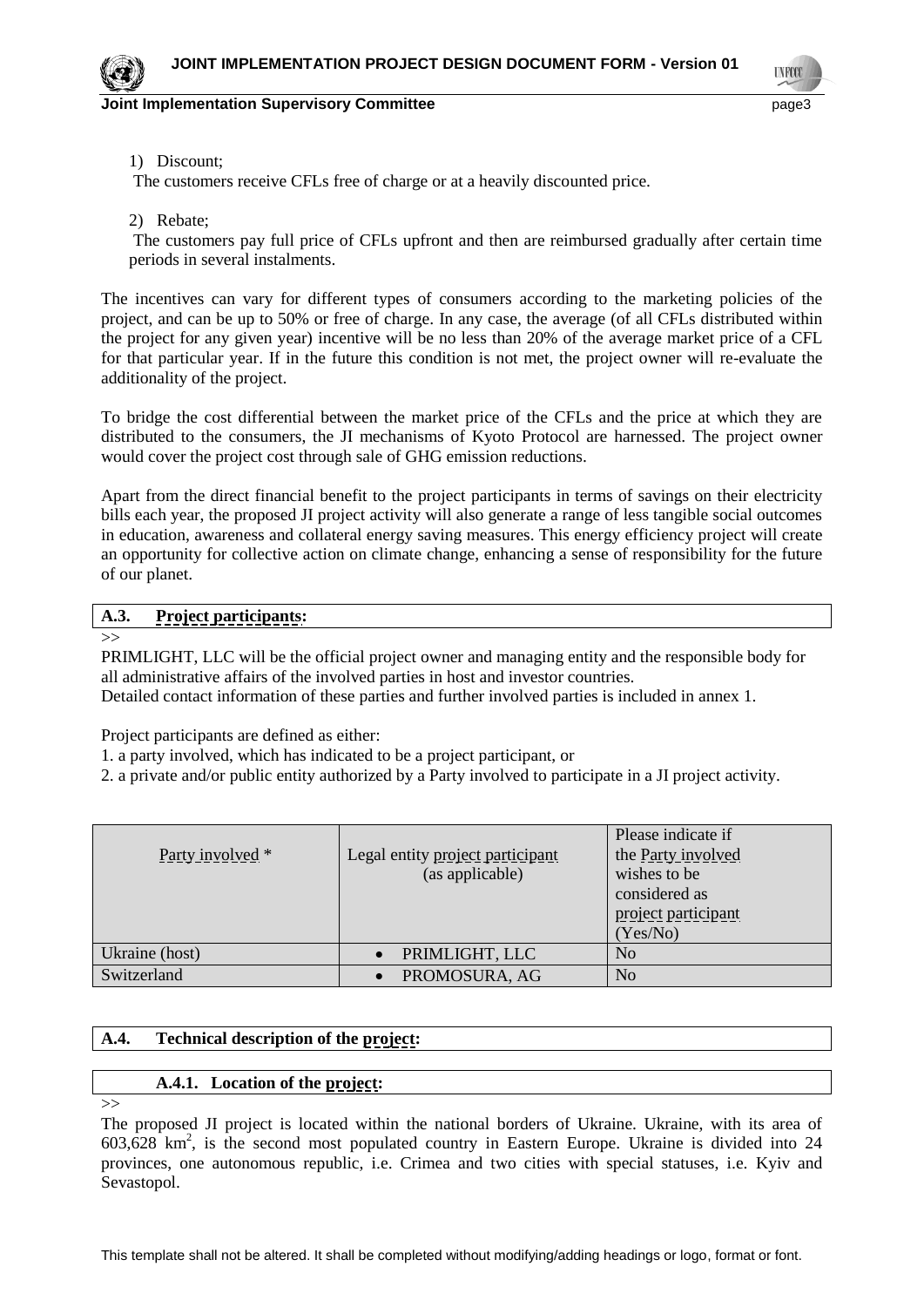**TNFCC** 

#### 1) Discount;

The customers receive CFLs free of charge or at a heavily discounted price.

2) Rebate;

The customers pay full price of CFLs upfront and then are reimbursed gradually after certain time periods in several instalments.

The incentives can vary for different types of consumers according to the marketing policies of the project, and can be up to 50% or free of charge. In any case, the average (of all CFLs distributed within the project for any given year) incentive will be no less than 20% of the average market price of a CFL for that particular year. If in the future this condition is not met, the project owner will re-evaluate the additionality of the project.

To bridge the cost differential between the market price of the CFLs and the price at which they are distributed to the consumers, the JI mechanisms of Kyoto Protocol are harnessed. The project owner would cover the project cost through sale of GHG emission reductions.

Apart from the direct financial benefit to the project participants in terms of savings on their electricity bills each year, the proposed JI project activity will also generate a range of less tangible social outcomes in education, awareness and collateral energy saving measures. This energy efficiency project will create an opportunity for collective action on climate change, enhancing a sense of responsibility for the future of our planet.

#### **A.3. Project participants:**

 $>>$ 

PRIMLIGHT, LLC will be the official project owner and managing entity and the responsible body for all administrative affairs of the involved parties in host and investor countries. Detailed contact information of these parties and further involved parties is included in annex 1.

Project participants are defined as either:

1. a party involved, which has indicated to be a project participant, or

2. a private and/or public entity authorized by a Party involved to participate in a JI project activity.

|                  |                                  | Please indicate if  |
|------------------|----------------------------------|---------------------|
| Party involved * | Legal entity project participant | the Party involved  |
|                  | (as applicable)                  | wishes to be        |
|                  |                                  | considered as       |
|                  |                                  | project participant |
|                  |                                  | (Yes/No)            |
| Ukraine (host)   | PRIMLIGHT, LLC                   | N <sub>0</sub>      |
| Switzerland      | PROMOSURA, AG                    | No                  |

#### **A.4. Technical description of the project:**

#### **A.4.1. Location of the project:**

>>

The proposed JI project is located within the national borders of Ukraine. Ukraine, with its area of  $603,628$  km<sup>2</sup>, is the second most populated country in Eastern Europe. Ukraine is divided into 24 provinces, one autonomous republic, i.e. Crimea and two cities with special statuses, i.e. Kyiv and Sevastopol.

This template shall not be altered. It shall be completed without modifying/adding headings or logo, format or font.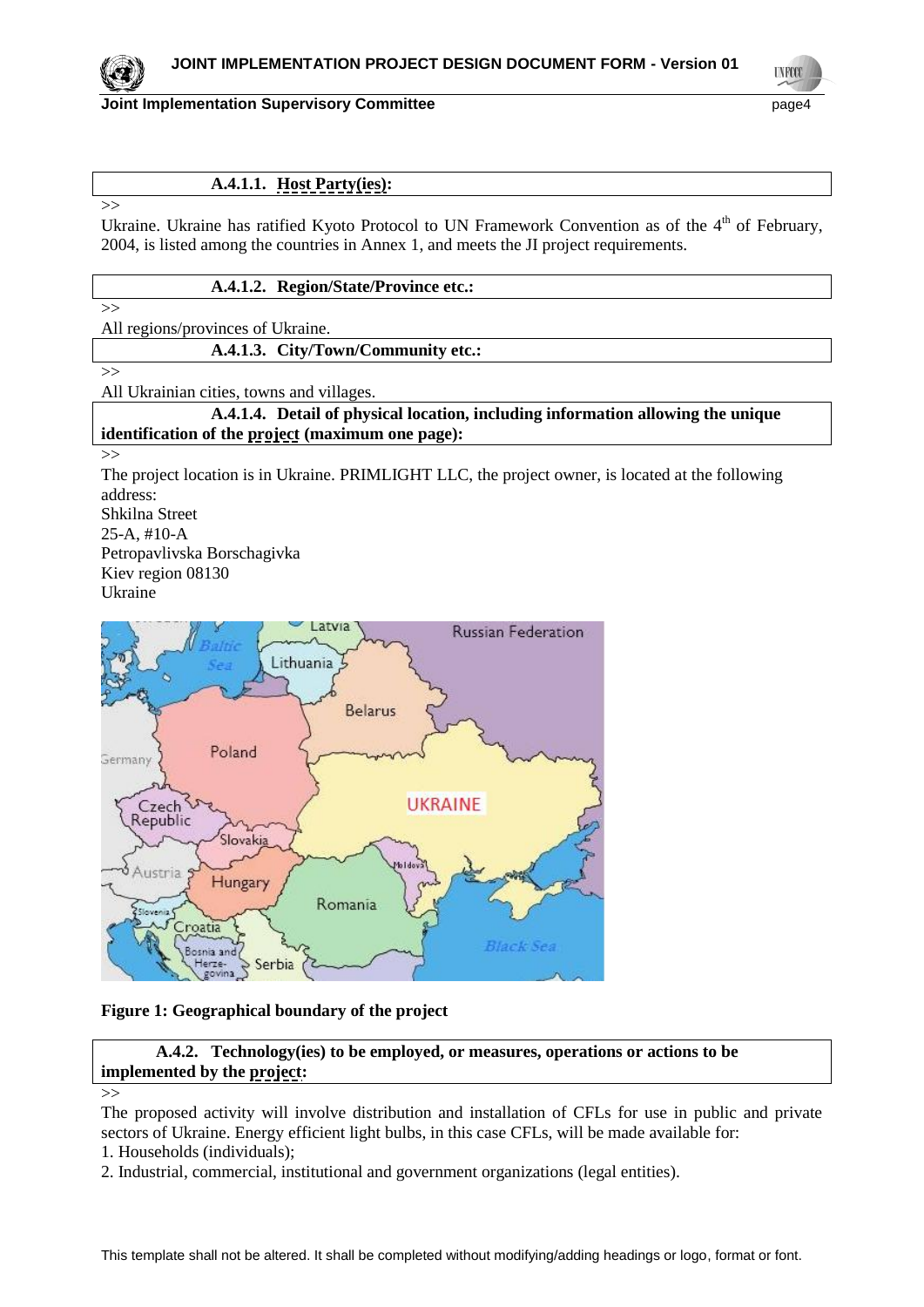

**Joint Implementation Supervisory Committee According to the Committee of the Committee of the Committee Committee According to the Committee According to the Committee According to the Page4** 

**UNFCC** 

# **A.4.1.1. Host Party(ies):**

Ukraine. Ukraine has ratified Kyoto Protocol to UN Framework Convention as of the 4<sup>th</sup> of February, 2004, is listed among the countries in Annex 1, and meets the JI project requirements.

#### **A.4.1.2. Region/State/Province etc.:**

 $>>$ 

 $\rightarrow$ 

 $\rightarrow$ 

All regions/provinces of Ukraine.

**A.4.1.3. City/Town/Community etc.:**

All Ukrainian cities, towns and villages.

**A.4.1.4. Detail of physical location, including information allowing the unique identification of the project (maximum one page):**

>>

The project location is in Ukraine. PRIMLIGHT LLC, the project owner, is located at the following address:

Shkilna Street 25-A, #10-A Petropavlivska Borschagivka Kiev region 08130 Ukraine



#### **Figure 1: Geographical boundary of the project**

**A.4.2. Technology(ies) to be employed, or measures, operations or actions to be implemented by the project:**

The proposed activity will involve distribution and installation of CFLs for use in public and private sectors of Ukraine. Energy efficient light bulbs, in this case CFLs, will be made available for:

- 1. Households (individuals);
- 2. Industrial, commercial, institutional and government organizations (legal entities).

<sup>&</sup>gt;>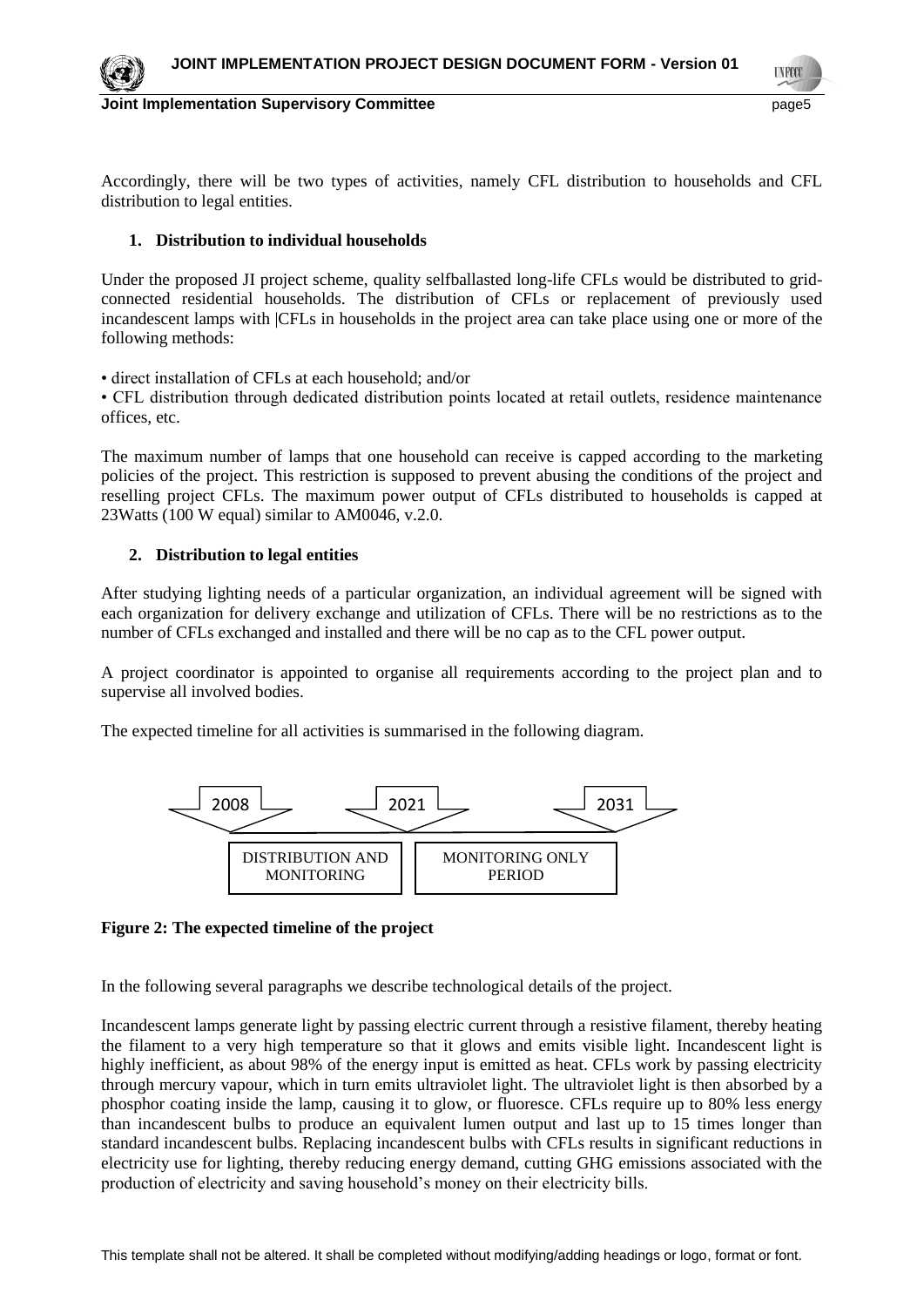

Accordingly, there will be two types of activities, namely CFL distribution to households and CFL distribution to legal entities.

# **1. Distribution to individual households**

Under the proposed JI project scheme, quality selfballasted long-life CFLs would be distributed to gridconnected residential households. The distribution of CFLs or replacement of previously used incandescent lamps with |CFLs in households in the project area can take place using one or more of the following methods:

• direct installation of CFLs at each household; and/or

• CFL distribution through dedicated distribution points located at retail outlets, residence maintenance offices, etc.

The maximum number of lamps that one household can receive is capped according to the marketing policies of the project. This restriction is supposed to prevent abusing the conditions of the project and reselling project CFLs. The maximum power output of CFLs distributed to households is capped at 23Watts (100 W equal) similar to AM0046, v.2.0.

# **2. Distribution to legal entities**

After studying lighting needs of a particular organization, an individual agreement will be signed with each organization for delivery exchange and utilization of CFLs. There will be no restrictions as to the number of CFLs exchanged and installed and there will be no cap as to the CFL power output.

A project coordinator is appointed to organise all requirements according to the project plan and to supervise all involved bodies.

The expected timeline for all activities is summarised in the following diagram.



#### **Figure 2: The expected timeline of the project**

In the following several paragraphs we describe technological details of the project.

[Incandescent lamps](http://en.wikipedia.org/wiki/Incandescent_light_bulb) generate light by passing electric current through a resistive filament, thereby heating the filament to a very high temperature so that it glows and emits visible light. Incandescent light is highly inefficient, as about 98% of the energy input is emitted as heat. CFLs work by passing electricity through mercury vapour, which in turn emits ultraviolet light. The ultraviolet light is then absorbed by a phosphor coating inside the lamp, causing it to glow, or fluoresce. CFLs require up to 80% less energy than incandescent bulbs to produce an equivalent lumen output and last up to 15 times longer than standard incandescent bulbs. Replacing incandescent bulbs with CFLs results in significant reductions in electricity use for lighting, thereby reducing energy demand, cutting GHG emissions associated with the production of electricity and saving household's money on their electricity bills.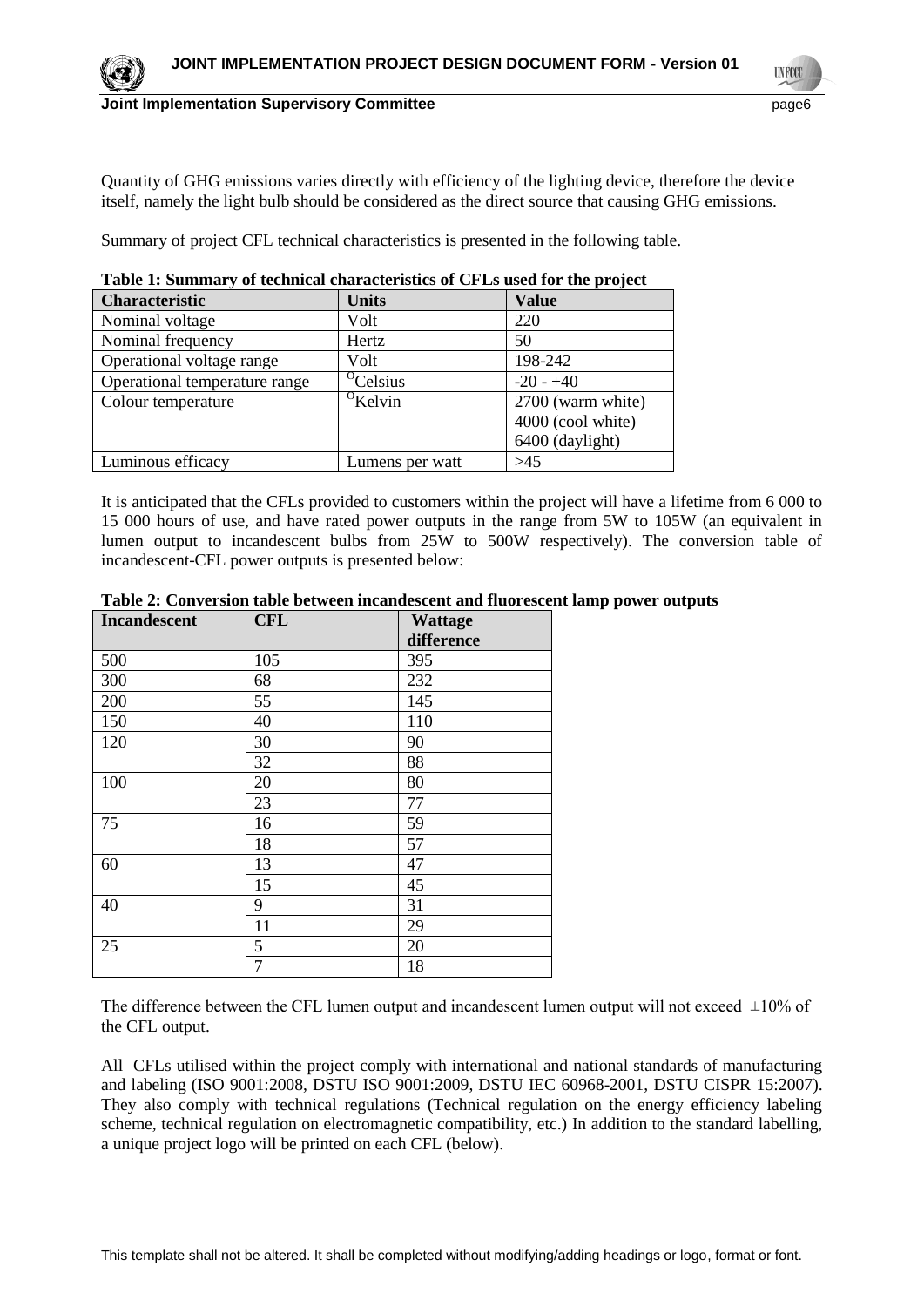**TNFCO** 



#### **Joint Implementation Supervisory Committee** page6

Quantity of GHG emissions varies directly with efficiency of the lighting device, therefore the device itself, namely the light bulb should be considered as the direct source that causing GHG emissions.

Summary of project CFL technical characteristics is presented in the following table.

| <b>Table 1: Summary of technical characteristics of Cr Ls used for the project</b> |                      |                   |  |  |  |  |  |
|------------------------------------------------------------------------------------|----------------------|-------------------|--|--|--|--|--|
| <b>Characteristic</b>                                                              | <b>Units</b>         | <b>Value</b>      |  |  |  |  |  |
| Nominal voltage                                                                    | Volt                 | 220               |  |  |  |  |  |
| Nominal frequency                                                                  | Hertz                | 50                |  |  |  |  |  |
| Operational voltage range                                                          | Volt                 | 198-242           |  |  |  |  |  |
| Operational temperature range                                                      | <sup>o</sup> Celsius | $-20 - +40$       |  |  |  |  |  |
| Colour temperature                                                                 | $\mathrm{^O}$ Kelvin | 2700 (warm white) |  |  |  |  |  |
|                                                                                    |                      | 4000 (cool white) |  |  |  |  |  |
|                                                                                    |                      | 6400 (daylight)   |  |  |  |  |  |
| Luminous efficacy                                                                  | Lumens per watt      | >45               |  |  |  |  |  |

**Table 1: Summary of technical characteristics of CFLs used for the project**

It is anticipated that the CFLs provided to customers within the project will have a lifetime from 6 000 to 15 000 hours of use, and have rated power outputs in the range from 5W to 105W (an equivalent in lumen output to incandescent bulbs from 25W to 500W respectively). The conversion table of incandescent-CFL power outputs is presented below:

| <b>Incandescent</b> | <b>CFL</b>     | Wattage    |
|---------------------|----------------|------------|
|                     |                | difference |
| 500                 | 105            | 395        |
| 300                 | 68             | 232        |
| 200                 | 55             | 145        |
| 150                 | 40             | 110        |
| 120                 | 30             | 90         |
|                     | 32             | 88         |
| 100                 | 20             | 80         |
|                     | 23             | 77         |
| 75                  | 16             | 59         |
|                     | 18             | 57         |
| 60                  | 13             | 47         |
|                     | 15             | 45         |
| 40                  | 9              | 31         |
|                     | 11             | 29         |
| 25                  | 5              | 20         |
|                     | $\overline{7}$ | 18         |

#### **Table 2: Conversion table between incandescent and fluorescent lamp power outputs**

The difference between the CFL lumen output and incandescent lumen output will not exceed  $\pm 10\%$  of the CFL output.

All CFLs utilised within the project comply with international and national standards of manufacturing and labeling (ISO 9001:2008, DSTU ISO 9001:2009, DSTU IEC 60968-2001, DSTU CISPR 15:2007). They also comply with technical regulations (Technical regulation on the energy efficiency labeling scheme, technical regulation on electromagnetic compatibility, etc.) In addition to the standard labelling, a unique project logo will be printed on each CFL (below).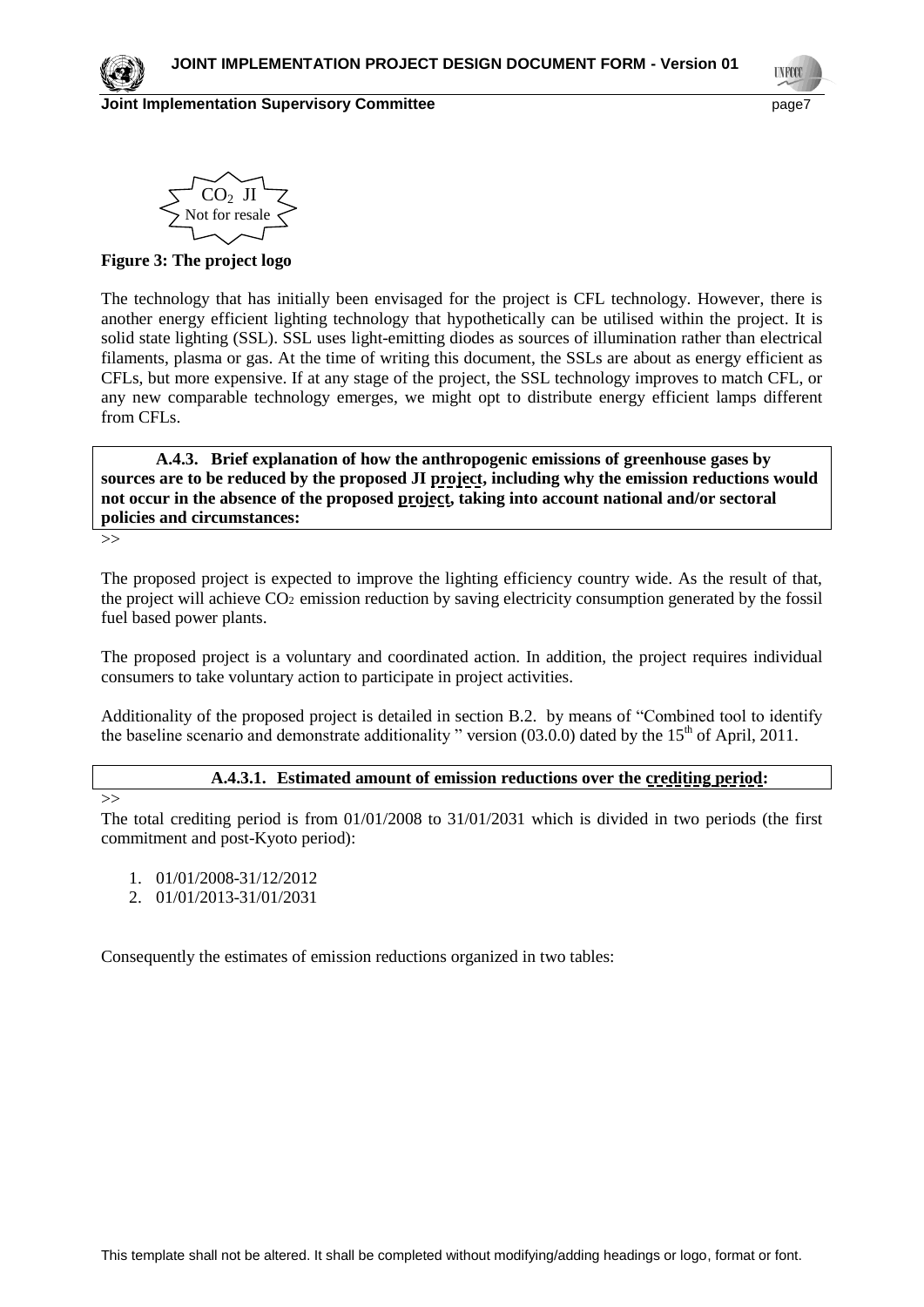**Joint Implementation Supervisory Committee and Committee page** page<sup>2</sup>

$$
\underbrace{\text{SO}_2 \text{ JI}}_{\text{Not for resale}}
$$

**Figure 3: The project logo**

The technology that has initially been envisaged for the project is CFL technology. However, there is another energy efficient lighting technology that hypothetically can be utilised within the project. It is solid state lighting (SSL). SSL uses [light-emitting diodes](http://en.wikipedia.org/wiki/Light-emitting_diode) as sources of illumination rather than [electrical](http://en.wikipedia.org/wiki/Electrical_filament)  [filaments,](http://en.wikipedia.org/wiki/Electrical_filament) [plasma](http://en.wikipedia.org/wiki/Plasma_(physics)) or [gas.](http://en.wikipedia.org/wiki/Gas_lighting) At the time of writing this document, the SSLs are about as energy efficient as CFLs, but more expensive. If at any stage of the project, the SSL technology improves to match CFL, or any new comparable technology emerges, we might opt to distribute energy efficient lamps different from CFLs.

**A.4.3. Brief explanation of how the anthropogenic emissions of greenhouse gases by sources are to be reduced by the proposed JI project, including why the emission reductions would not occur in the absence of the proposed project, taking into account national and/or sectoral policies and circumstances:**

>>

The proposed project is expected to improve the lighting efficiency country wide. As the result of that, the project will achieve CO<sub>2</sub> emission reduction by saving electricity consumption generated by the fossil fuel based power plants.

The proposed project is a voluntary and coordinated action. In addition, the project requires individual consumers to take voluntary action to participate in project activities.

Additionality of the proposed project is detailed in section B.2. by means of "Combined tool to identify the baseline scenario and demonstrate additionality " version  $(03.0.0)$  dated by the  $15<sup>th</sup>$  of April, 2011.

#### **A.4.3.1. Estimated amount of emission reductions over the crediting period:**

>>

The total crediting period is from 01/01/2008 to 31/01/2031 which is divided in two periods (the first commitment and post-Kyoto period):

- 1. 01/01/2008-31/12/2012
- 2. 01/01/2013-31/01/2031

Consequently the estimates of emission reductions organized in two tables: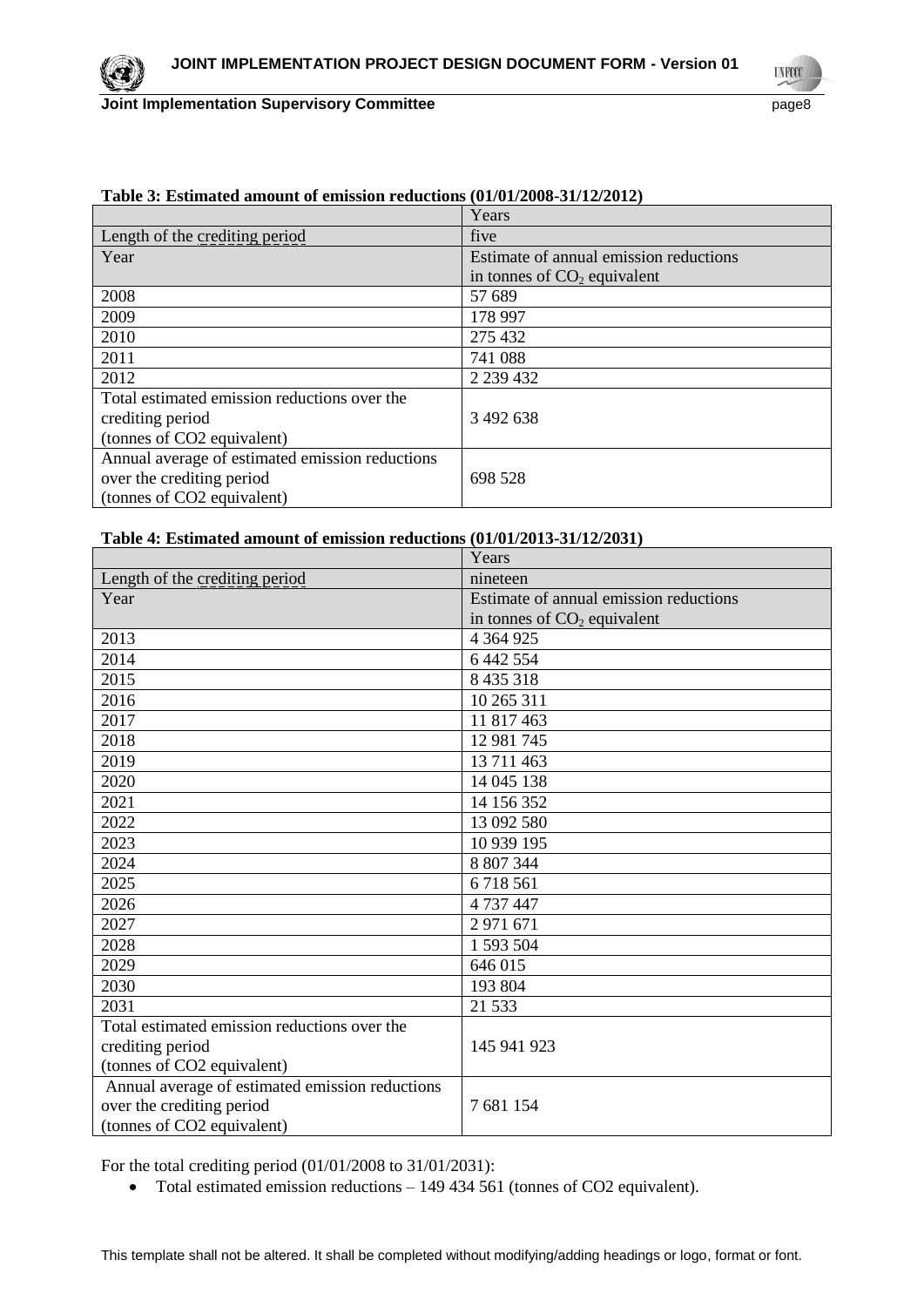

**UNFCC** 

|                                                 | Years                                  |
|-------------------------------------------------|----------------------------------------|
| Length of the crediting period                  | five                                   |
| Year                                            | Estimate of annual emission reductions |
|                                                 | in tonnes of $CO2$ equivalent          |
| 2008                                            | 57 689                                 |
| 2009                                            | 178 997                                |
| 2010                                            | 275 432                                |
| 2011                                            | 741 088                                |
| 2012                                            | 2 2 3 4 4 3 2                          |
| Total estimated emission reductions over the    |                                        |
| crediting period                                | 3 492 638                              |
| (tonnes of CO2 equivalent)                      |                                        |
| Annual average of estimated emission reductions |                                        |
| over the crediting period                       | 698 528                                |
| (tonnes of CO2 equivalent)                      |                                        |

# **Table 3: Estimated amount of emission reductions (01/01/2008-31/12/2012)**

### **Table 4: Estimated amount of emission reductions (01/01/2013-31/12/2031)**

|                                                 | Years                                  |
|-------------------------------------------------|----------------------------------------|
| Length of the crediting period                  | nineteen                               |
| Year                                            | Estimate of annual emission reductions |
|                                                 | in tonnes of $CO2$ equivalent          |
| 2013                                            | 4 3 6 4 9 2 5                          |
| 2014                                            | 6 442 554                              |
| 2015                                            | 8 4 3 5 3 1 8                          |
| 2016                                            | 10 265 311                             |
| 2017                                            | 11 817 463                             |
| 2018                                            | 12 981 745                             |
| 2019                                            | 13 711 463                             |
| 2020                                            | 14 045 138                             |
| 2021                                            | 14 156 352                             |
| 2022                                            | 13 092 580                             |
| 2023                                            | 10 939 195                             |
| 2024                                            | 8 807 344                              |
| 2025                                            | 6718561                                |
| 2026                                            | 4 737 447                              |
| 2027                                            | 2 971 671                              |
| 2028                                            | 1 593 504                              |
| 2029                                            | 646 015                                |
| 2030                                            | 193 804                                |
| 2031                                            | 21 533                                 |
| Total estimated emission reductions over the    |                                        |
| crediting period                                | 145 941 923                            |
| (tonnes of CO2 equivalent)                      |                                        |
| Annual average of estimated emission reductions |                                        |
| over the crediting period                       | 7 681 154                              |
| (tonnes of CO2 equivalent)                      |                                        |

For the total crediting period (01/01/2008 to 31/01/2031):

• Total estimated emission reductions – 149 434 561 (tonnes of CO2 equivalent).

This template shall not be altered. It shall be completed without modifying/adding headings or logo, format or font.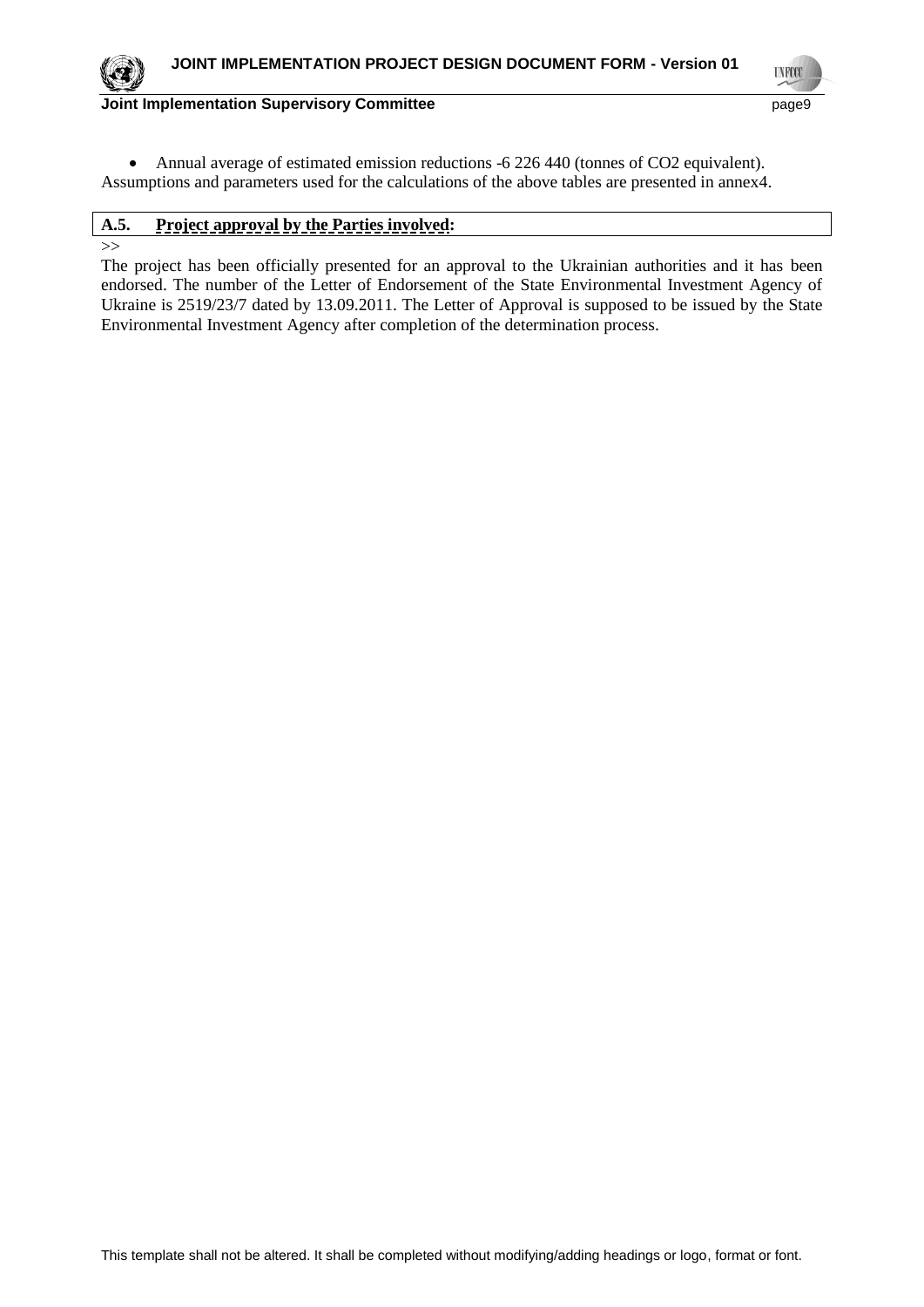

**UNFCC** 

**Joint Implementation Supervisory Committee** page9

 Annual average of estimated emission reductions -6 226 440 (tonnes of CO2 equivalent). Assumptions and parameters used for the calculations of the above tables are presented in annex4.

# **A.5. Project approval by the Parties involved:**

>>

The project has been officially presented for an approval to the Ukrainian authorities and it has been endorsed. The number of the Letter of Endorsement of the State Environmental Investment Agency of Ukraine is 2519/23/7 dated by 13.09.2011. The Letter of Approval is supposed to be issued by the State Environmental Investment Agency after completion of the determination process.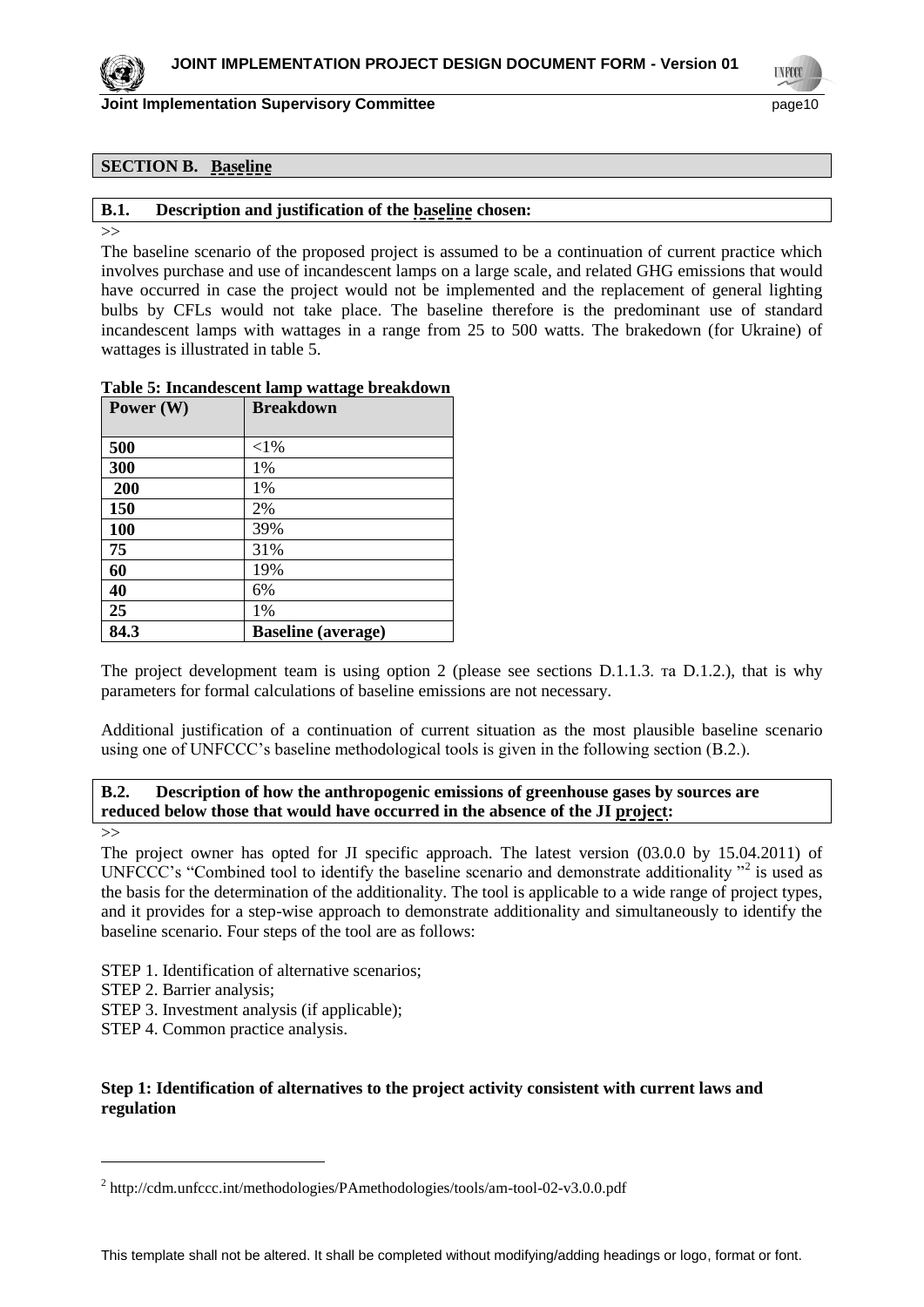

**Joint Implementation Supervisory Committee and Committee of the Committee of the Committee of the Committee of the Committee of the Committee of the Committee of the Committee of the Committee of the Committee of the Comm** 

**TNFCC** 

# **SECTION B. Baseline**

#### **B.1. Description and justification of the baseline chosen:**

>>

The baseline scenario of the proposed project is assumed to be a continuation of current practice which involves purchase and use of incandescent lamps on a large scale, and related GHG emissions that would have occurred in case the project would not be implemented and the replacement of general lighting bulbs by CFLs would not take place. The baseline therefore is the predominant use of standard incandescent lamps with wattages in a range from 25 to 500 watts. The brakedown (for Ukraine) of wattages is illustrated in table 5.

#### **Table 5: Incandescent lamp wattage breakdown**

| Power (W) | <b>Breakdown</b>          |
|-----------|---------------------------|
|           |                           |
| 500       | ${<}1\%$                  |
| 300       | 1%                        |
| 200       | 1%                        |
| 150       | 2%                        |
| 100       | 39%                       |
| 75        | 31%                       |
| 60        | 19%                       |
| 40        | 6%                        |
| 25        | 1%                        |
| 84.3      | <b>Baseline</b> (average) |

The project development team is using option 2 (please see sections D.1.1.3. Ta D.1.2.), that is why parameters for formal calculations of baseline emissions are not necessary.

Additional justification of a continuation of current situation as the most plausible baseline scenario using one of UNFCCC's baseline methodological tools is given in the following section (B.2.).

# **B.2. Description of how the anthropogenic emissions of greenhouse gases by sources are reduced below those that would have occurred in the absence of the JI project:**

 $\overline{a}$ 

The project owner has opted for JI specific approach. The latest version (03.0.0 by 15.04.2011) of UNFCCC's "Combined tool to identify the baseline scenario and demonstrate additionality  $"$ <sup>2</sup> is used as the basis for the determination of the additionality. The tool is applicable to a wide range of project types, and it provides for a step-wise approach to demonstrate additionality and simultaneously to identify the baseline scenario. Four steps of the tool are as follows:

STEP 1. Identification of alternative scenarios;

STEP 2. Barrier analysis;

STEP 3. Investment analysis (if applicable);

STEP 4. Common practice analysis.

#### **Step 1: Identification of alternatives to the project activity consistent with current laws and regulation**

<sup>&</sup>gt;>

<sup>&</sup>lt;sup>2</sup> http://cdm.unfccc.int/methodologies/PAmethodologies/tools/am-tool-02-v3.0.0.pdf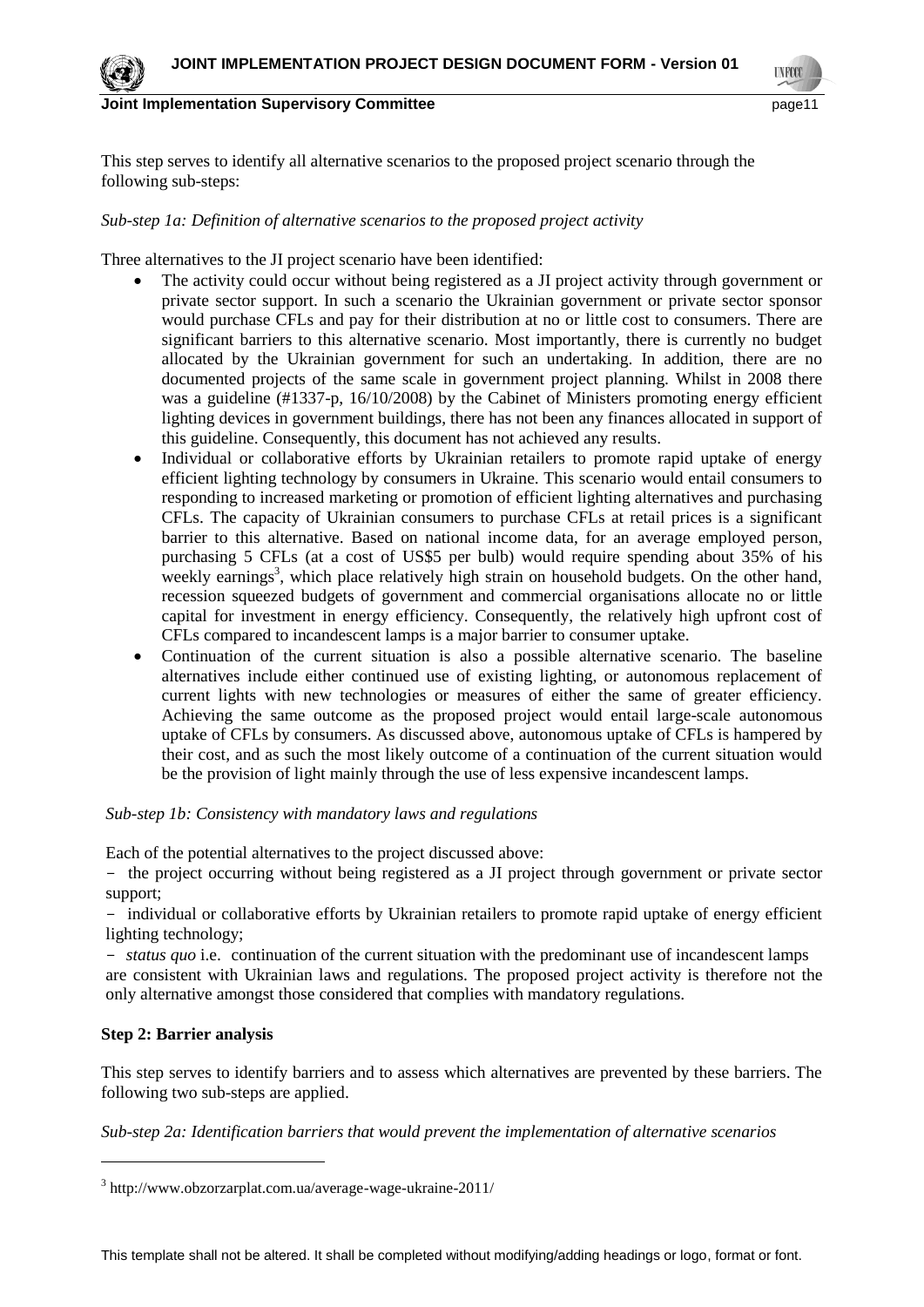

**Joint Implementation Supervisory Committee and Community Committee Area and Community Committee Area and Committee Area and Committee Area and Committee Area and Committee Area and Committee Area and Committee Area and Co** 

**TNFCO** 

This step serves to identify all alternative scenarios to the proposed project scenario through the following sub-steps:

### *Sub-step 1a: Definition of alternative scenarios to the proposed project activity*

Three alternatives to the JI project scenario have been identified:

- The activity could occur without being registered as a JI project activity through government or private sector support. In such a scenario the Ukrainian government or private sector sponsor would purchase CFLs and pay for their distribution at no or little cost to consumers. There are significant barriers to this alternative scenario. Most importantly, there is currently no budget allocated by the Ukrainian government for such an undertaking. In addition, there are no documented projects of the same scale in government project planning. Whilst in 2008 there was a guideline (#1337-p, 16/10/2008) by the Cabinet of Ministers promoting energy efficient lighting devices in government buildings, there has not been any finances allocated in support of this guideline. Consequently, this document has not achieved any results.
- Individual or collaborative efforts by Ukrainian retailers to promote rapid uptake of energy efficient lighting technology by consumers in Ukraine. This scenario would entail consumers to responding to increased marketing or promotion of efficient lighting alternatives and purchasing CFLs. The capacity of Ukrainian consumers to purchase CFLs at retail prices is a significant barrier to this alternative. Based on national income data, for an average employed person, purchasing 5 CFLs (at a cost of US\$5 per bulb) would require spending about 35% of his weekly earnings<sup>3</sup>, which place relatively high strain on household budgets. On the other hand, recession squeezed budgets of government and commercial organisations allocate no or little capital for investment in energy efficiency. Consequently, the relatively high upfront cost of CFLs compared to incandescent lamps is a major barrier to consumer uptake.
- Continuation of the current situation is also a possible alternative scenario. The baseline alternatives include either continued use of existing lighting, or autonomous replacement of current lights with new technologies or measures of either the same of greater efficiency. Achieving the same outcome as the proposed project would entail large-scale autonomous uptake of CFLs by consumers. As discussed above, autonomous uptake of CFLs is hampered by their cost, and as such the most likely outcome of a continuation of the current situation would be the provision of light mainly through the use of less expensive incandescent lamps.

#### *Sub-step 1b: Consistency with mandatory laws and regulations*

Each of the potential alternatives to the project discussed above:

- the project occurring without being registered as a JI project through government or private sector support;

- individual or collaborative efforts by Ukrainian retailers to promote rapid uptake of energy efficient lighting technology;

- *status quo* i.e. continuation of the current situation with the predominant use of incandescent lamps are consistent with Ukrainian laws and regulations. The proposed project activity is therefore not the only alternative amongst those considered that complies with mandatory regulations.

#### **Step 2: Barrier analysis**

 $\overline{a}$ 

This step serves to identify barriers and to assess which alternatives are prevented by these barriers. The following two sub-steps are applied.

*Sub-step 2a: Identification barriers that would prevent the implementation of alternative scenarios*

<sup>3</sup> http://www.obzorzarplat.com.ua/average-wage-ukraine-2011/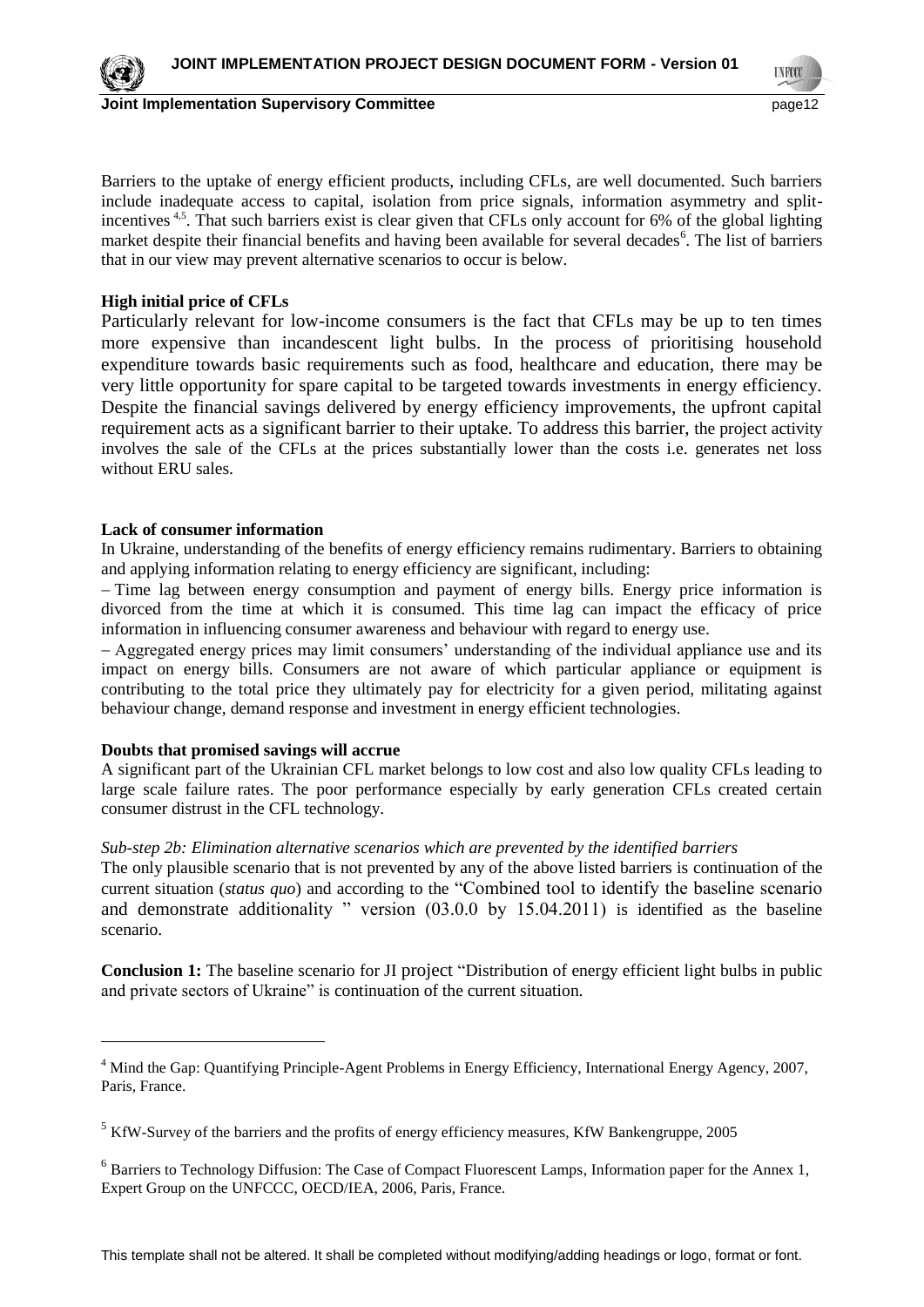

**TNFCC** 

Barriers to the uptake of energy efficient products, including CFLs, are well documented. Such barriers include inadequate access to capital, isolation from price signals, information asymmetry and splitincentives <sup>4,5</sup>. That such barriers exist is clear given that CFLs only account for 6% of the global lighting market despite their financial benefits and having been available for several decades<sup>6</sup>. The list of barriers that in our view may prevent alternative scenarios to occur is below.

# **High initial price of CFLs**

Particularly relevant for low-income consumers is the fact that CFLs may be up to ten times more expensive than incandescent light bulbs. In the process of prioritising household expenditure towards basic requirements such as food, healthcare and education, there may be very little opportunity for spare capital to be targeted towards investments in energy efficiency. Despite the financial savings delivered by energy efficiency improvements, the upfront capital requirement acts as a significant barrier to their uptake. To address this barrier, the project activity involves the sale of the CFLs at the prices substantially lower than the costs i.e. generates net loss without ERU sales.

#### **Lack of consumer information**

In Ukraine, understanding of the benefits of energy efficiency remains rudimentary. Barriers to obtaining and applying information relating to energy efficiency are significant, including:

- Time lag between energy consumption and payment of energy bills. Energy price information is divorced from the time at which it is consumed. This time lag can impact the efficacy of price information in influencing consumer awareness and behaviour with regard to energy use.

Aggregated energy prices may limit consumers' understanding of the individual appliance use and its impact on energy bills. Consumers are not aware of which particular appliance or equipment is contributing to the total price they ultimately pay for electricity for a given period, militating against behaviour change, demand response and investment in energy efficient technologies.

#### **Doubts that promised savings will accrue**

 $\overline{a}$ 

A significant part of the Ukrainian CFL market belongs to low cost and also low quality CFLs leading to large scale failure rates. The poor performance especially by early generation CFLs created certain consumer distrust in the CFL technology.

#### *Sub-step 2b: Elimination alternative scenarios which are prevented by the identified barriers*

The only plausible scenario that is not prevented by any of the above listed barriers is continuation of the current situation (*status quo*) and according to the "Combined tool to identify the baseline scenario and demonstrate additionality " version (03.0.0 by 15.04.2011) is identified as the baseline scenario.

**Conclusion 1:** The baseline scenario for JI project "Distribution of energy efficient light bulbs in public and private sectors of Ukraine" is continuation of the current situation.

<sup>&</sup>lt;sup>4</sup> Mind the Gap: Quantifying Principle-Agent Problems in Energy Efficiency, International Energy Agency, 2007, Paris, France.

 $<sup>5</sup>$  KfW-Survey of the barriers and the profits of energy efficiency measures, KfW Bankengruppe, 2005</sup>

<sup>&</sup>lt;sup>6</sup> Barriers to Technology Diffusion: The Case of Compact Fluorescent Lamps, Information paper for the Annex 1, Expert Group on the UNFCCC, OECD/IEA, 2006, Paris, France.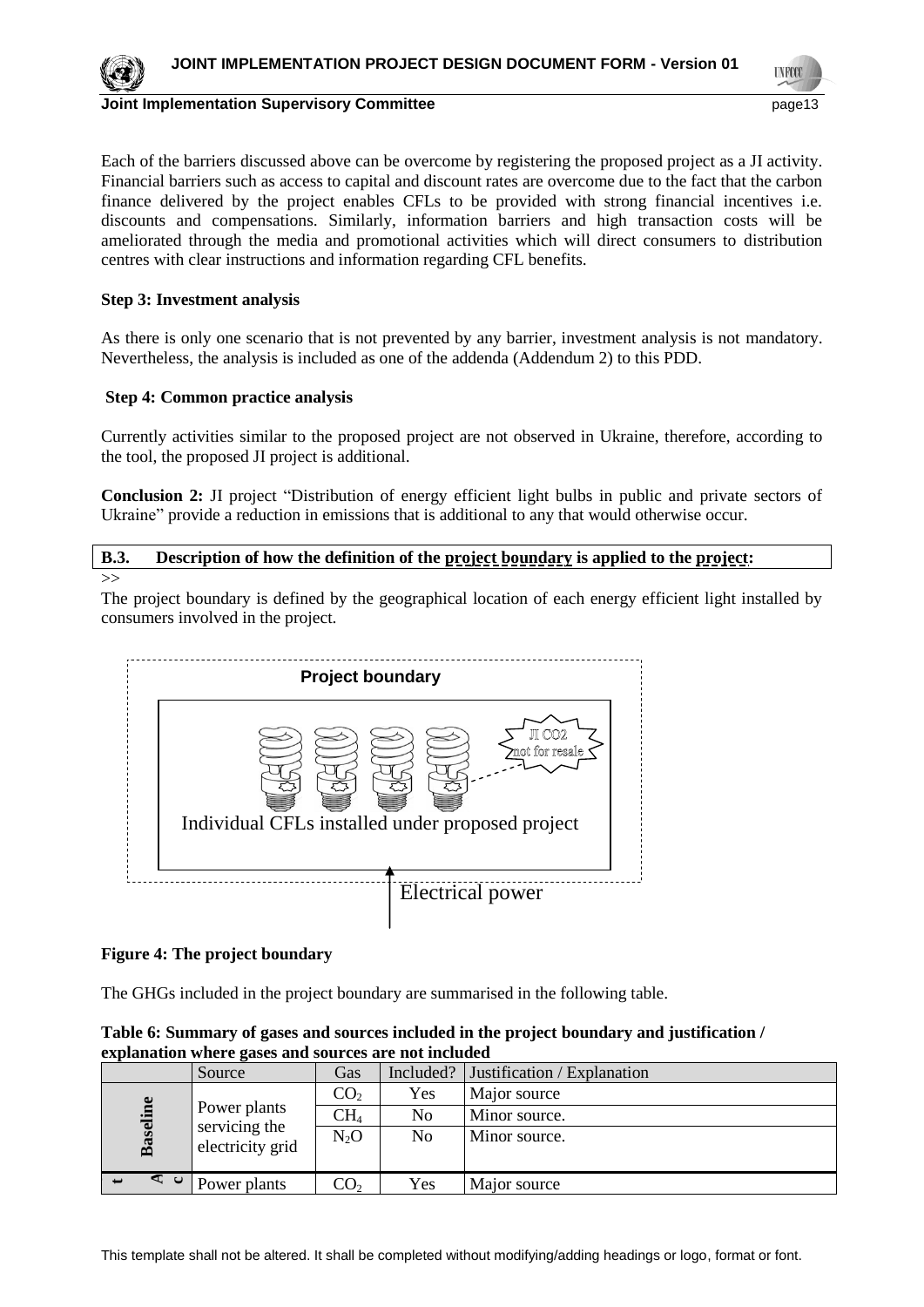**TNFCC** 



#### **Joint Implementation Supervisory Committee** page13

Each of the barriers discussed above can be overcome by registering the proposed project as a JI activity. Financial barriers such as access to capital and discount rates are overcome due to the fact that the carbon finance delivered by the project enables CFLs to be provided with strong financial incentives i.e. discounts and compensations. Similarly, information barriers and high transaction costs will be ameliorated through the media and promotional activities which will direct consumers to distribution centres with clear instructions and information regarding CFL benefits.

# **Step 3: Investment analysis**

As there is only one scenario that is not prevented by any barrier, investment analysis is not mandatory. Nevertheless, the analysis is included as one of the addenda (Addendum 2) to this PDD.

# **Step 4: Common practice analysis**

Currently activities similar to the proposed project are not observed in Ukraine, therefore, according to the tool, the proposed JI project is additional.

**Conclusion 2:** JI project "Distribution of energy efficient light bulbs in public and private sectors of Ukraine" provide a reduction in emissions that is additional to any that would otherwise occur.

# **B.3. Description of how the definition of the project boundary is applied to the project:**

 $>>$ 

The project boundary is defined by the geographical location of each energy efficient light installed by consumers involved in the project.



# **Figure 4: The project boundary**

The GHGs included in the project boundary are summarised in the following table.

| Table 6: Summary of gases and sources included in the project boundary and justification / |  |
|--------------------------------------------------------------------------------------------|--|
| explanation where gases and sources are not included                                       |  |

|  |                 | Source                                            | Gas             | Included?      | Justification / Explanation |
|--|-----------------|---------------------------------------------------|-----------------|----------------|-----------------------------|
|  | <b>Baseline</b> | Power plants<br>servicing the<br>electricity grid | CO <sub>2</sub> | Yes            | Major source                |
|  |                 |                                                   | $\rm CH_{4}$    | N <sub>o</sub> | Minor source.               |
|  |                 |                                                   | $N_2O$          | N <sub>o</sub> | Minor source.               |
|  |                 |                                                   |                 |                |                             |
|  | ⊲ ບ             | Power plants                                      | CO <sub>2</sub> | Yes            | Major source                |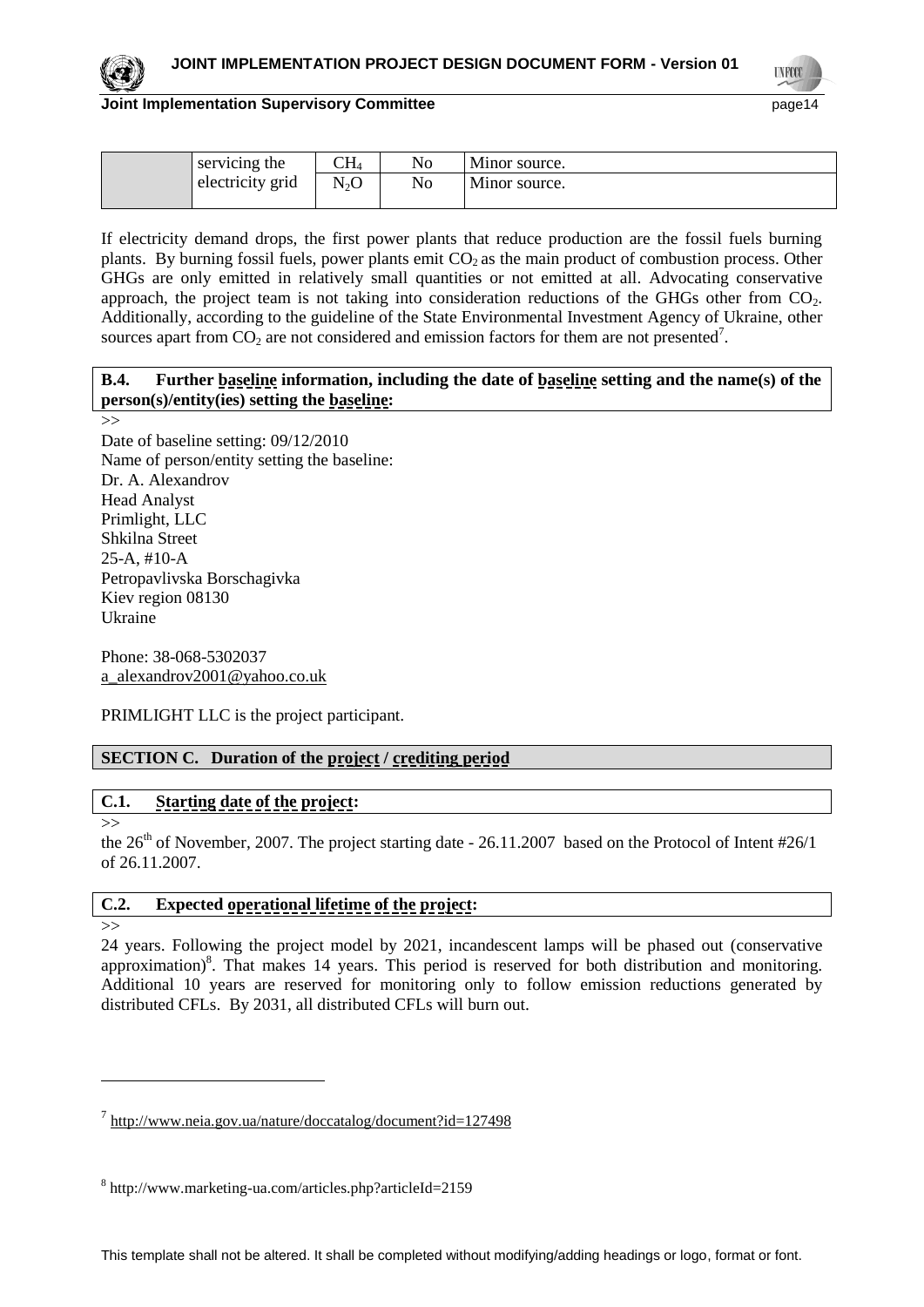**TNFCC** 

# **Joint Implementation Supervisory Committee** page14

| servicing the | CH <sub>4</sub>                      | No | Minor source. |
|---------------|--------------------------------------|----|---------------|
|               | N <sub>2</sub> O<br>electricity grid | No | Minor source. |
|               |                                      |    |               |

If electricity demand drops, the first power plants that reduce production are the fossil fuels burning plants. By burning fossil fuels, power plants emit  $CO<sub>2</sub>$  as the main product of combustion process. Other GHGs are only emitted in relatively small quantities or not emitted at all. Advocating conservative approach, the project team is not taking into consideration reductions of the GHGs other from  $CO<sub>2</sub>$ . Additionally, according to the guideline of the State Environmental Investment Agency of Ukraine, other sources apart from  $CO_2$  are not considered and emission factors for them are not presented<sup>7</sup>.

# **B.4. Further baseline information, including the date of baseline setting and the name(s) of the person(s)/entity(ies) setting the baseline:**

>>

Date of baseline setting: 09/12/2010 Name of person/entity setting the baseline: Dr. A. Alexandrov Head Analyst Primlight, LLC Shkilna Street 25-A, #10-A Petropavlivska Borschagivka Kiev region 08130 Ukraine

Phone: 38-068-5302037 [a\\_alexandrov2001@yahoo.co.uk](mailto:a_alexandrov2001@yahoo.co.uk)

PRIMLIGHT LLC is the project participant.

# **SECTION C. Duration of the project / crediting period**

# **C.1. Starting date of the project:**

>>

the 26<sup>th</sup> of November, 2007. The project starting date - 26.11.2007 based on the Protocol of Intent #26/1 of 26.11.2007.

# **C.2. Expected operational lifetime of the project:**

#### $\rightarrow$

 $\overline{a}$ 

24 years. Following the project model by 2021, incandescent lamps will be phased out (conservative approximation)<sup>8</sup>. That makes 14 years. This period is reserved for both distribution and monitoring. Additional 10 years are reserved for monitoring only to follow emission reductions generated by distributed CFLs. By 2031, all distributed CFLs will burn out.

<sup>&</sup>lt;sup>7</sup> <http://www.neia.gov.ua/nature/doccatalog/document?id=127498>

<sup>8</sup> http://www.marketing-ua.com/articles.php?articleId=2159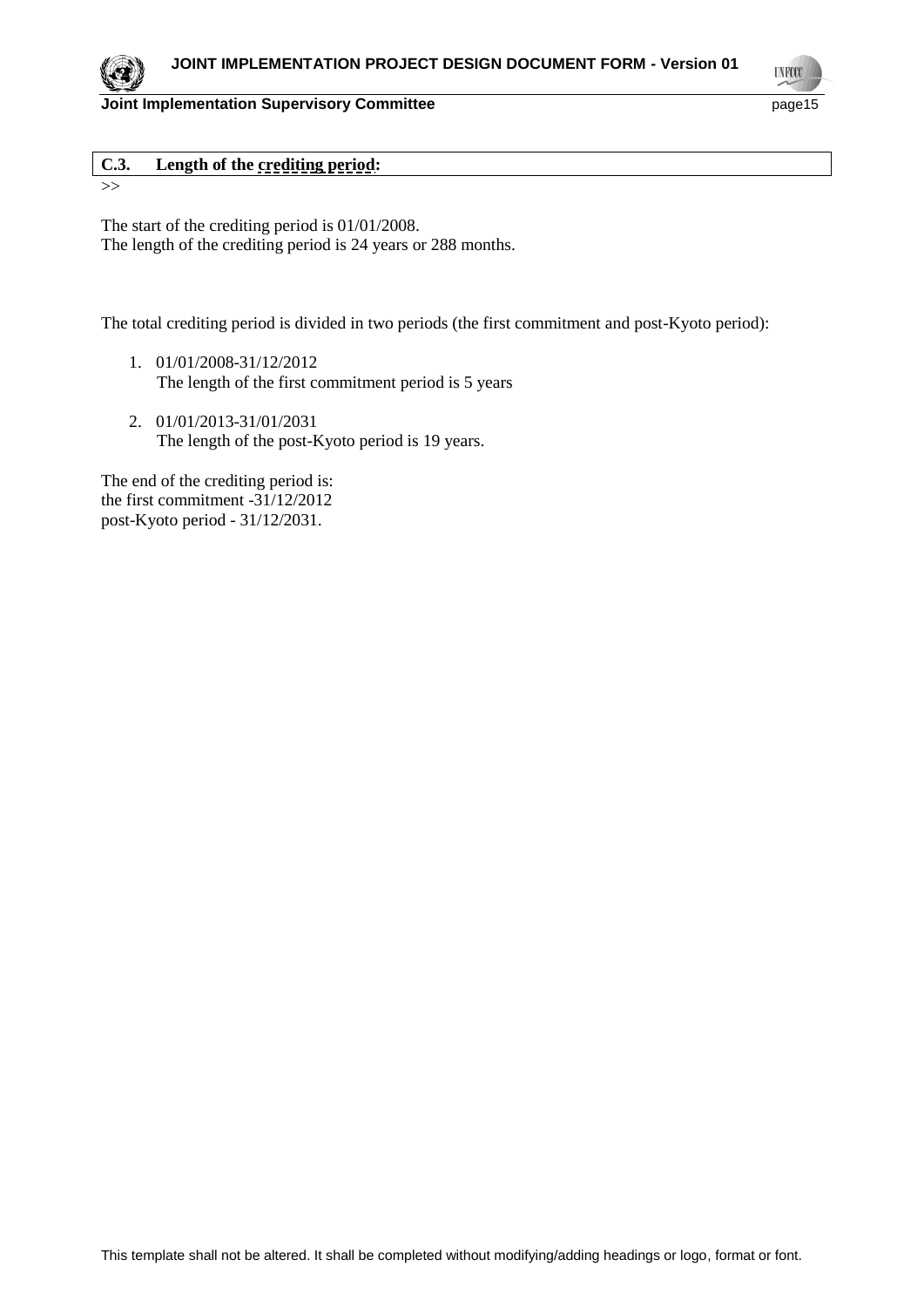**C.3. Length of the crediting period:**

>>

The start of the crediting period is 01/01/2008. The length of the crediting period is 24 years or 288 months.

The total crediting period is divided in two periods (the first commitment and post-Kyoto period):

- 1. 01/01/2008-31/12/2012 The length of the first commitment period is 5 years
- 2. 01/01/2013-31/01/2031 The length of the post-Kyoto period is 19 years.

The end of the crediting period is: the first commitment -31/12/2012 post-Kyoto period - 31/12/2031.



**UNFCO**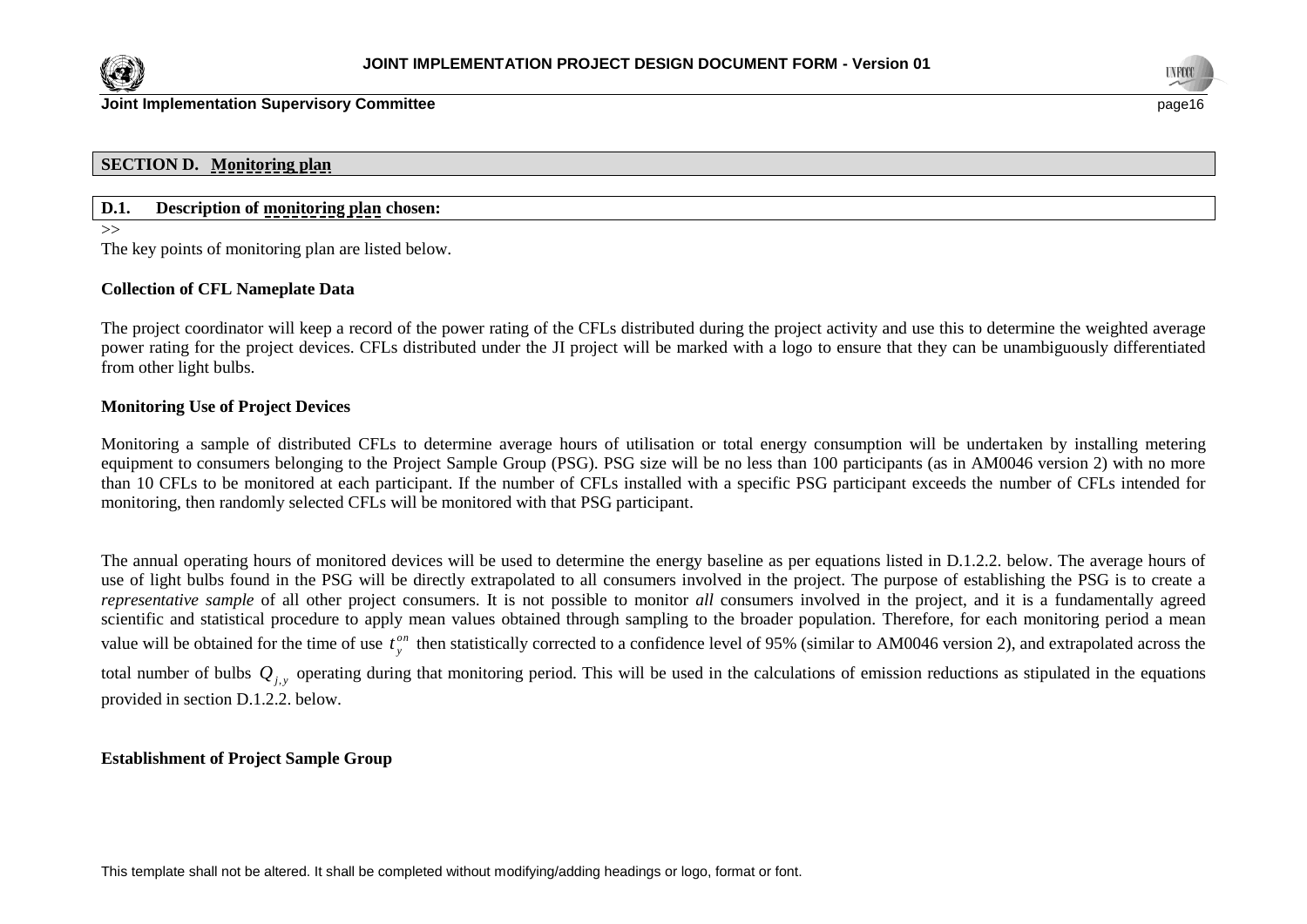



#### **SECTION D. Monitoring plan**

# **D.1. Description of monitoring plan chosen:**

 $\rightarrow$ 

The key points of monitoring plan are listed below.

#### **Collection of CFL Nameplate Data**

The project coordinator will keep a record of the power rating of the CFLs distributed during the project activity and use this to determine the weighted average power rating for the project devices. CFLs distributed under the JI project will be marked with a logo to ensure that they can be unambiguously differentiated from other light bulbs.

#### **Monitoring Use of Project Devices**

Monitoring a sample of distributed CFLs to determine average hours of utilisation or total energy consumption will be undertaken by installing metering equipment to consumers belonging to the Project Sample Group (PSG). PSG size will be no less than 100 participants (as in AM0046 version 2) with no more than 10 CFLs to be monitored at each participant. If the number of CFLs installed with a specific PSG participant exceeds the number of CFLs intended for monitoring, then randomly selected CFLs will be monitored with that PSG participant.

The annual operating hours of monitored devices will be used to determine the energy baseline as per equations listed in D.1.2.2. below. The average hours of use of light bulbs found in the PSG will be directly extrapolated to all consumers involved in the project. The purpose of establishing the PSG is to create a *representative sample* of all other project consumers. It is not possible to monitor *all* consumers involved in the project, and it is a fundamentally agreed scientific and statistical procedure to apply mean values obtained through sampling to the broader population. Therefore, for each monitoring period a mean value will be obtained for the time of use  $t_v^{on}$  $t_{y}^{on}$  then statistically corrected to a confidence level of 95% (similar to AM0046 version 2), and extrapolated across the total number of bulbs  $Q_{j,y}$  operating during that monitoring period. This will be used in the calculations of emission reductions as stipulated in the equations provided in section D.1.2.2. below.

#### **Establishment of Project Sample Group**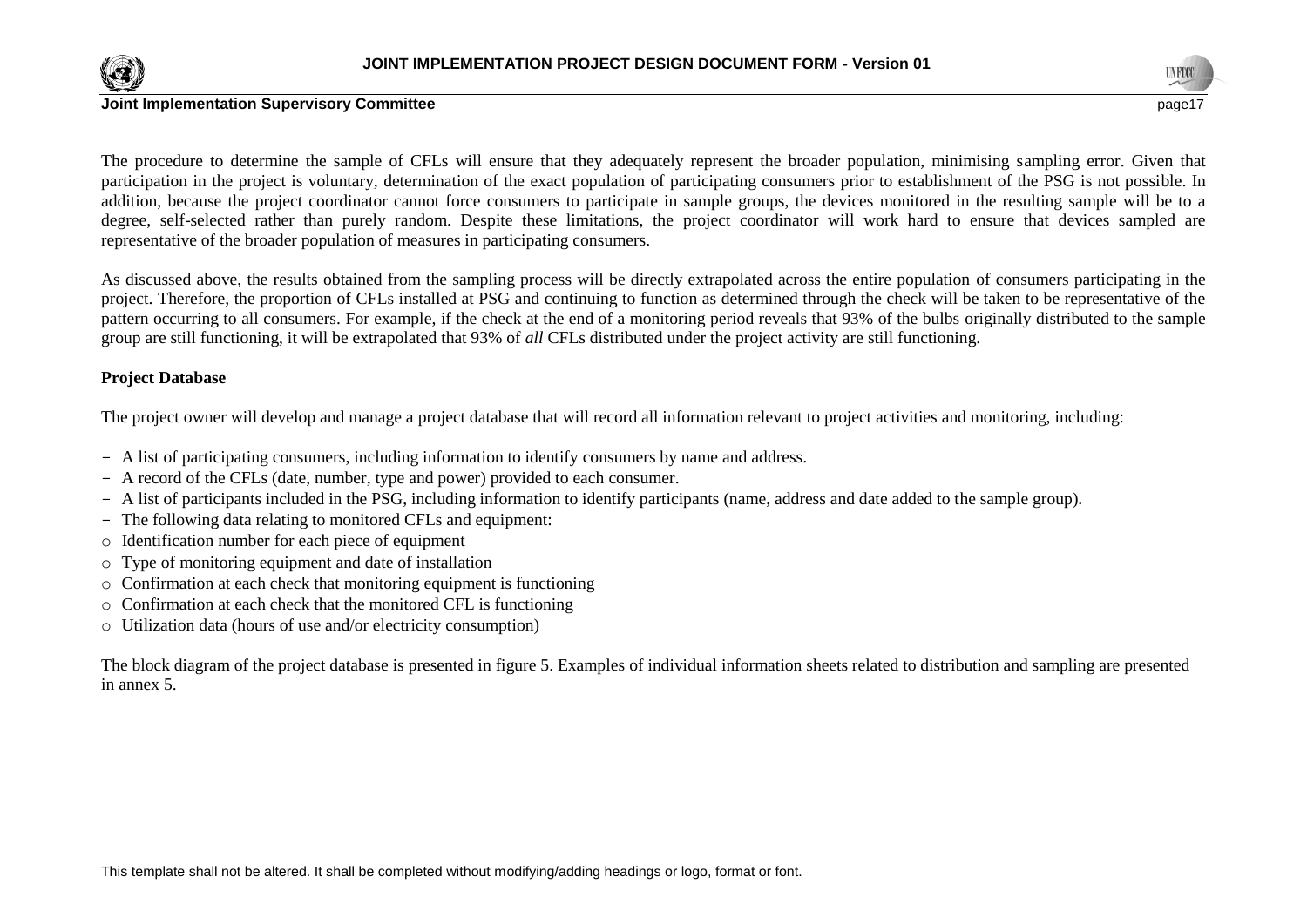



#### **Joint Implementation Supervisory Committee** page 17 and the state of the state of the state of the state of the state of the state of the state of the state of the state of the state of the state of the state of the state

The procedure to determine the sample of CFLs will ensure that they adequately represent the broader population, minimising sampling error. Given that participation in the project is voluntary, determination of the exact population of participating consumers prior to establishment of the PSG is not possible. In addition, because the project coordinator cannot force consumers to participate in sample groups, the devices monitored in the resulting sample will be to a degree, self-selected rather than purely random. Despite these limitations, the project coordinator will work hard to ensure that devices sampled are representative of the broader population of measures in participating consumers.

As discussed above, the results obtained from the sampling process will be directly extrapolated across the entire population of consumers participating in the project. Therefore, the proportion of CFLs installed at PSG and continuing to function as determined through the check will be taken to be representative of the pattern occurring to all consumers. For example, if the check at the end of a monitoring period reveals that 93% of the bulbs originally distributed to the sample group are still functioning, it will be extrapolated that 93% of *all* CFLs distributed under the project activity are still functioning.

#### **Project Database**

The project owner will develop and manage a project database that will record all information relevant to project activities and monitoring, including:

- A list of participating consumers, including information to identify consumers by name and address.
- A record of the CFLs (date, number, type and power) provided to each consumer.
- A list of participants included in the PSG, including information to identify participants (name, address and date added to the sample group).
- The following data relating to monitored CFLs and equipment:
- o Identification number for each piece of equipment
- o Type of monitoring equipment and date of installation
- $\circ$  Confirmation at each check that monitoring equipment is functioning
- o Confirmation at each check that the monitored CFL is functioning
- o Utilization data (hours of use and/or electricity consumption)

The block diagram of the project database is presented in figure 5. Examples of individual information sheets related to distribution and sampling are presented in annex 5.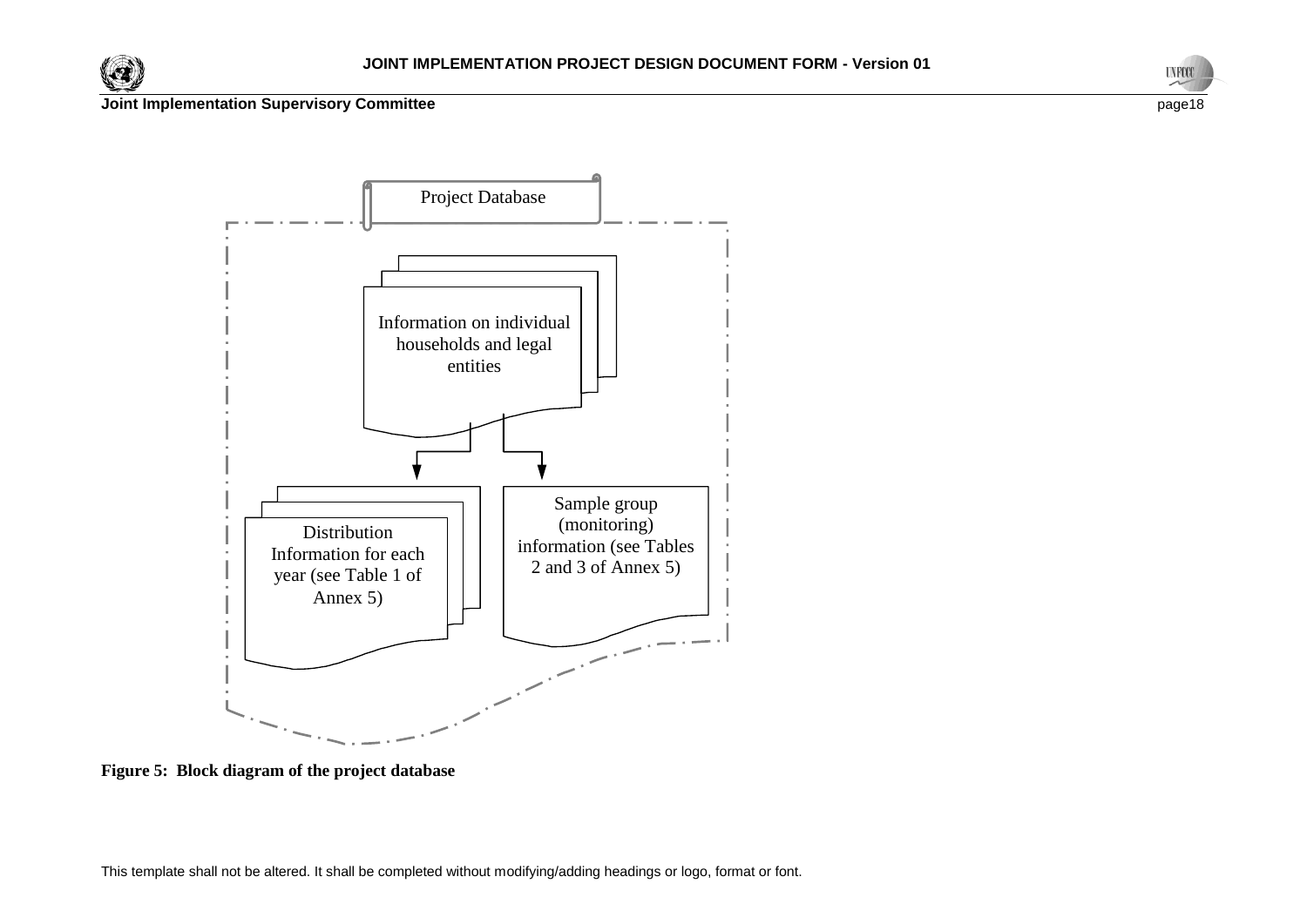





**Figure 5: Block diagram of the project database**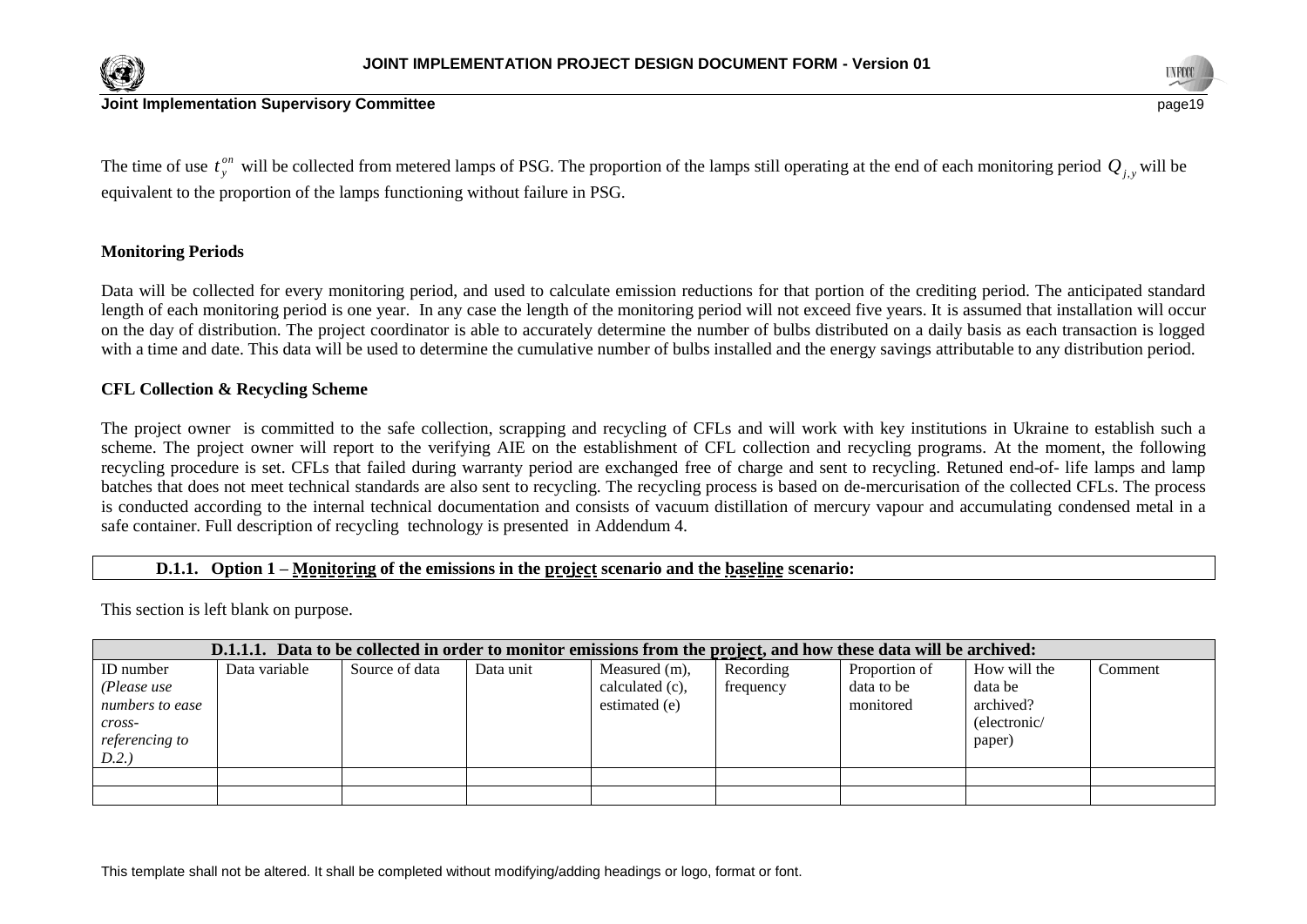





The time of use  $t_v^{on}$  $t_{y}^{on}$  will be collected from metered lamps of PSG. The proportion of the lamps still operating at the end of each monitoring period  $Q_{j,y}$  will be equivalent to the proportion of the lamps functioning without failure in PSG.

# **Monitoring Periods**

Data will be collected for every monitoring period, and used to calculate emission reductions for that portion of the crediting period. The anticipated standard length of each monitoring period is one year. In any case the length of the monitoring period will not exceed five years. It is assumed that installation will occur on the day of distribution. The project coordinator is able to accurately determine the number of bulbs distributed on a daily basis as each transaction is logged with a time and date. This data will be used to determine the cumulative number of bulbs installed and the energy savings attributable to any distribution period.

### **CFL Collection & Recycling Scheme**

The project owner is committed to the safe collection, scrapping and recycling of CFLs and will work with key institutions in Ukraine to establish such a scheme. The project owner will report to the verifying AIE on the establishment of CFL collection and recycling programs. At the moment, the following recycling procedure is set. CFLs that failed during warranty period are exchanged free of charge and sent to recycling. Retuned end-of- life lamps and lamp batches that does not meet technical standards are also sent to recycling. The recycling process is based on de-mercurisation of the collected CFLs. The process is conducted according to the internal technical documentation and consists of vacuum distillation of mercury vapour and accumulating condensed metal in a safe container. Full description of recycling technology is presented in Addendum 4.

#### **D.1.1. Option 1 – Monitoring of the emissions in the project scenario and the baseline scenario:**

This section is left blank on purpose.

| D.1.1.1. Data to be collected in order to monitor emissions from the project, and how these data will be archived: |               |                |           |                    |           |               |              |         |  |  |
|--------------------------------------------------------------------------------------------------------------------|---------------|----------------|-----------|--------------------|-----------|---------------|--------------|---------|--|--|
| ID number                                                                                                          | Data variable | Source of data | Data unit | Measured (m),      | Recording | Proportion of | How will the | Comment |  |  |
| (Please use                                                                                                        |               |                |           | calculated $(c)$ , | frequency | data to be    | data be      |         |  |  |
| numbers to ease                                                                                                    |               |                |           | estimated (e)      |           | monitored     | archived?    |         |  |  |
| cross-                                                                                                             |               |                |           |                    |           |               | (electronic/ |         |  |  |
| referencing to                                                                                                     |               |                |           |                    |           |               | paper)       |         |  |  |
| D.2.                                                                                                               |               |                |           |                    |           |               |              |         |  |  |
|                                                                                                                    |               |                |           |                    |           |               |              |         |  |  |
|                                                                                                                    |               |                |           |                    |           |               |              |         |  |  |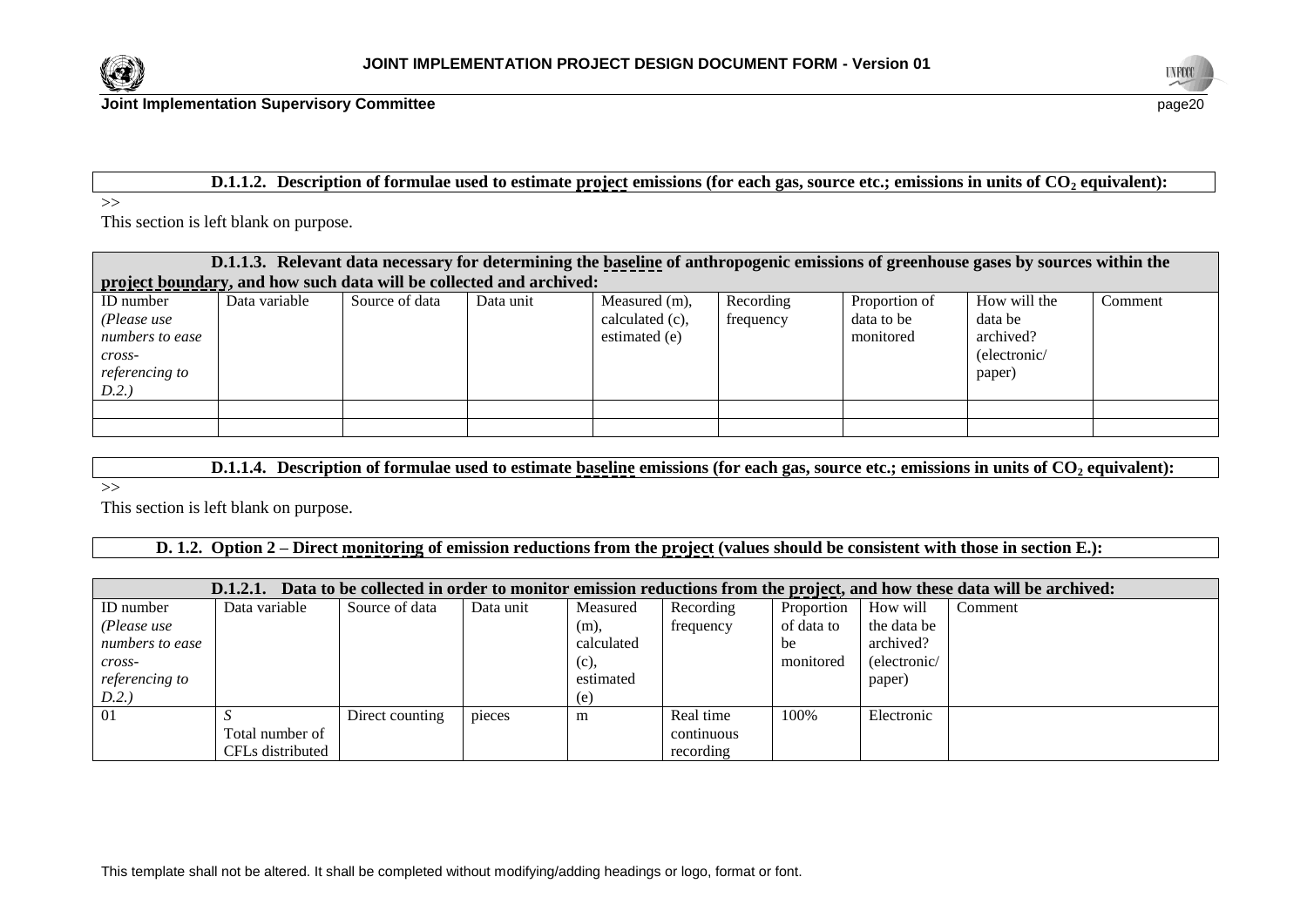



#### **D.1.1.2. Description of formulae used to estimate project emissions (for each gas, source etc.; emissions in units of CO<sup>2</sup> equivalent):**

>>

This section is left blank on purpose.

| D.1.1.3. Relevant data necessary for determining the baseline of anthropogenic emissions of greenhouse gases by sources within the |                                                                     |                |           |                                                   |                        |                                          |                                                                |         |  |
|------------------------------------------------------------------------------------------------------------------------------------|---------------------------------------------------------------------|----------------|-----------|---------------------------------------------------|------------------------|------------------------------------------|----------------------------------------------------------------|---------|--|
|                                                                                                                                    | project boundary, and how such data will be collected and archived: |                |           |                                                   |                        |                                          |                                                                |         |  |
| <b>ID</b> number<br>(Please use<br>numbers to ease<br>$cross-$<br>referencing to<br>D.2.)                                          | Data variable                                                       | Source of data | Data unit | Measured (m),<br>calculated (c),<br>estimated (e) | Recording<br>frequency | Proportion of<br>data to be<br>monitored | How will the<br>data be<br>archived?<br>(electronic/<br>paper) | Comment |  |
|                                                                                                                                    |                                                                     |                |           |                                                   |                        |                                          |                                                                |         |  |
|                                                                                                                                    |                                                                     |                |           |                                                   |                        |                                          |                                                                |         |  |

**D.1.1.4. Description of formulae used to estimate baseline emissions (for each gas, source etc.; emissions in units of CO<sup>2</sup> equivalent):**

 $\rightarrow$ 

This section is left blank on purpose.

**D. 1.2. Option 2 – Direct monitoring of emission reductions from the project (values should be consistent with those in section E.):**

| Data to be collected in order to monitor emission reductions from the project, and how these data will be archived:<br>D.1.2.1. |                  |                 |           |            |            |            |              |         |
|---------------------------------------------------------------------------------------------------------------------------------|------------------|-----------------|-----------|------------|------------|------------|--------------|---------|
| ID number                                                                                                                       | Data variable    | Source of data  | Data unit | Measured   | Recording  | Proportion | How will     | Comment |
| (Please use                                                                                                                     |                  |                 |           | (m),       | frequency  | of data to | the data be  |         |
| numbers to ease                                                                                                                 |                  |                 |           | calculated |            | be         | archived?    |         |
| $\mathit{cross}$ -                                                                                                              |                  |                 |           | (c),       |            | monitored  | (electronic/ |         |
| <i>referencing to</i>                                                                                                           |                  |                 |           | estimated  |            |            | paper)       |         |
| D.2.                                                                                                                            |                  |                 |           | (e)        |            |            |              |         |
| 01                                                                                                                              |                  | Direct counting | pieces    | m          | Real time  | 100%       | Electronic   |         |
|                                                                                                                                 | Total number of  |                 |           |            | continuous |            |              |         |
|                                                                                                                                 | CFLs distributed |                 |           |            | recording  |            |              |         |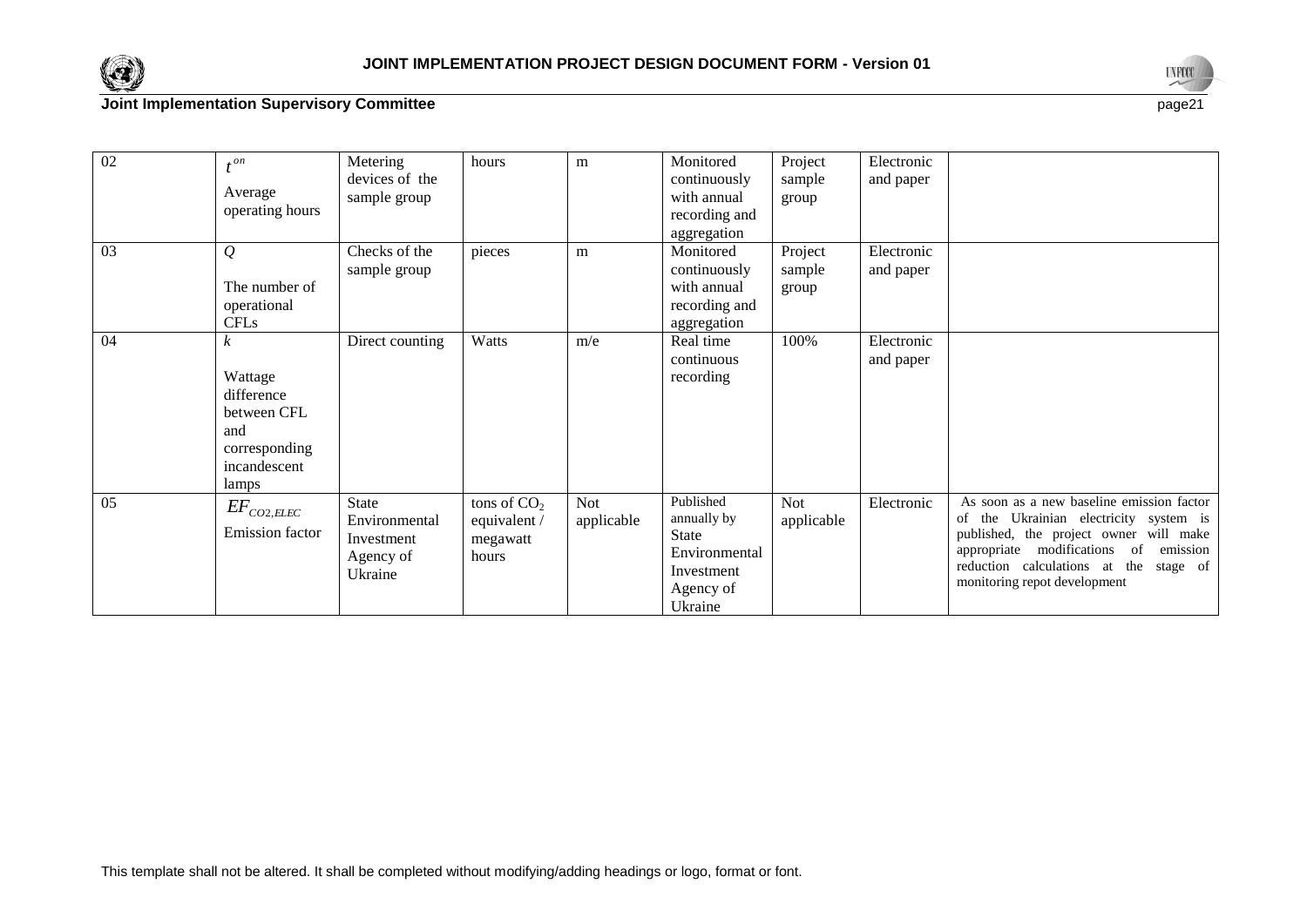



| 02 | $\triangle$ on<br>Average<br>operating hours                                               | Metering<br>devices of the<br>sample group                          | hours                                             | m                        | Monitored<br>continuously<br>with annual<br>recording and<br>aggregation                 | Project<br>sample<br>group | Electronic<br>and paper |                                                                                                                                                                                                                                                           |
|----|--------------------------------------------------------------------------------------------|---------------------------------------------------------------------|---------------------------------------------------|--------------------------|------------------------------------------------------------------------------------------|----------------------------|-------------------------|-----------------------------------------------------------------------------------------------------------------------------------------------------------------------------------------------------------------------------------------------------------|
| 03 | $\mathcal{Q}$<br>The number of<br>operational<br><b>CFLs</b>                               | Checks of the<br>sample group                                       | pieces                                            | m                        | Monitored<br>continuously<br>with annual<br>recording and<br>aggregation                 | Project<br>sample<br>group | Electronic<br>and paper |                                                                                                                                                                                                                                                           |
| 04 | k<br>Wattage<br>difference<br>between CFL<br>and<br>corresponding<br>incandescent<br>lamps | Direct counting                                                     | Watts                                             | m/e                      | Real time<br>continuous<br>recording                                                     | 100%                       | Electronic<br>and paper |                                                                                                                                                                                                                                                           |
| 05 | $E\!F_{CO2,ELEC}$<br>Emission factor                                                       | <b>State</b><br>Environmental<br>Investment<br>Agency of<br>Ukraine | tons of $CO2$<br>equivalent/<br>megawatt<br>hours | <b>Not</b><br>applicable | Published<br>annually by<br>State<br>Environmental<br>Investment<br>Agency of<br>Ukraine | <b>Not</b><br>applicable   | Electronic              | As soon as a new baseline emission factor<br>of the Ukrainian electricity system is<br>published, the project owner will make<br>modifications<br>appropriate<br>of<br>emission<br>reduction calculations at the stage of<br>monitoring repot development |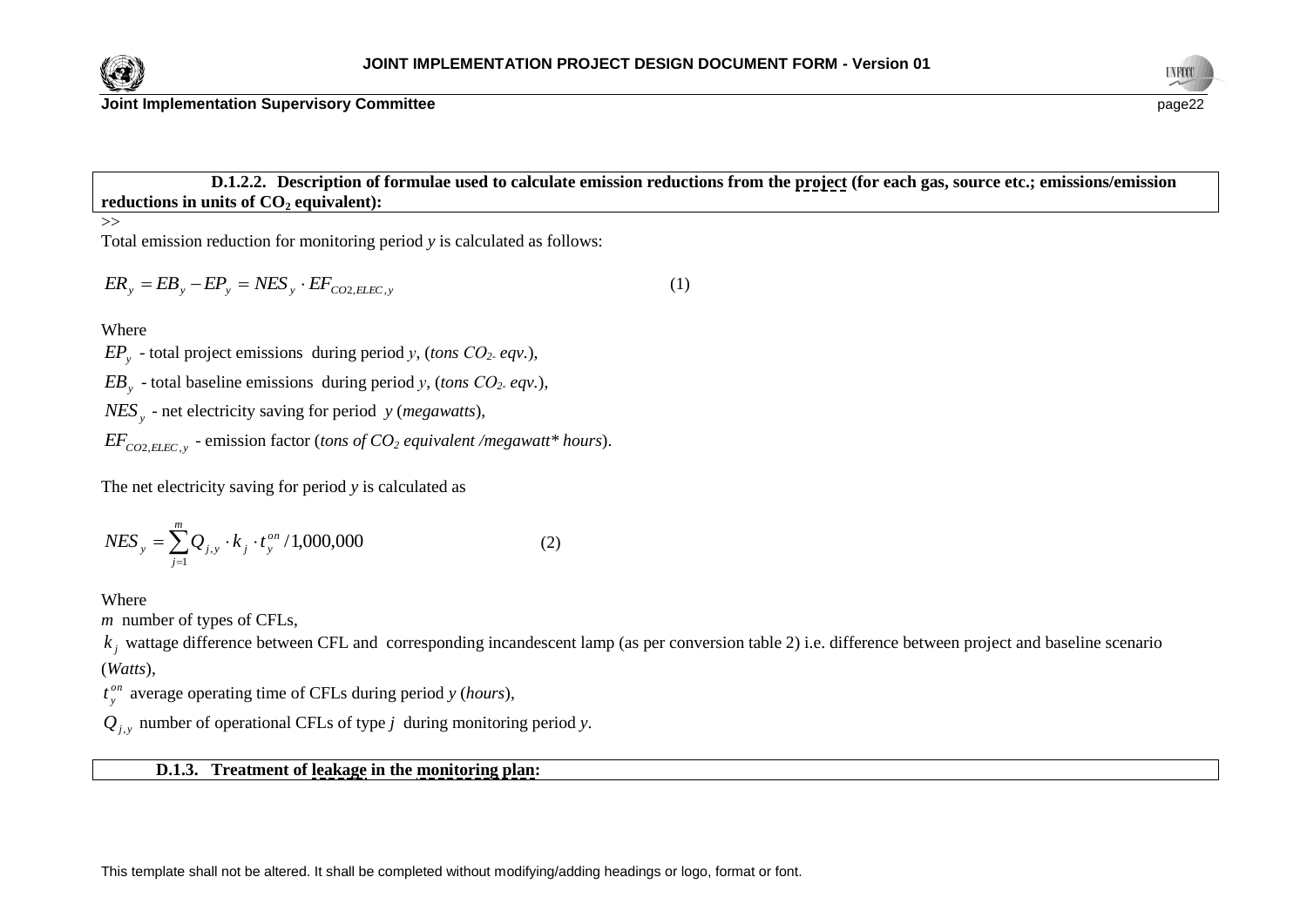



**D.1.2.2. Description of formulae used to calculate emission reductions from the project (for each gas, source etc.; emissions/emission reductions in units of CO<sup>2</sup> equivalent):**

>>

Total emission reduction for monitoring period *y* is calculated as follows:

$$
ER_y = EB_y - EP_y = NES_y \cdot EF_{CO2, ELEC, y}
$$
\n<sup>(1)</sup>

**Where** 

*EP<sup>y</sup>* - total project emissions during period *у*, (*tons СО2- eqv.*),

*EB<sup>y</sup>* - total baseline emissions during period *у*, (*tons СО2- eqv.*),

*NES<sup>y</sup>* - net electricity saving for period *y* (*megawatts*),

*EFCO*2,*ELEC*, *<sup>y</sup>* - emission factor (*tons of CO<sup>2</sup> equivalent /megawatt\* hours*).

The net electricity saving for period *y* is calculated as

$$
NES_y = \sum_{j=1}^{m} Q_{j,y} \cdot k_j \cdot t_y^{on} / 1,000,000
$$
 (2)

Where

*m* number of types of CFLs,

 $k_j$  wattage difference between CFL and corresponding incandescent lamp (as per conversion table 2) i.e. difference between project and baseline scenario (*Watts*),

*on y t* average operating time of CFLs during period *y* (*hours*),

 $Q_{j,y}$  number of operational CFLs of type *j* during monitoring period *y*.

# **D.1.3. Treatment of leakage in the monitoring plan:**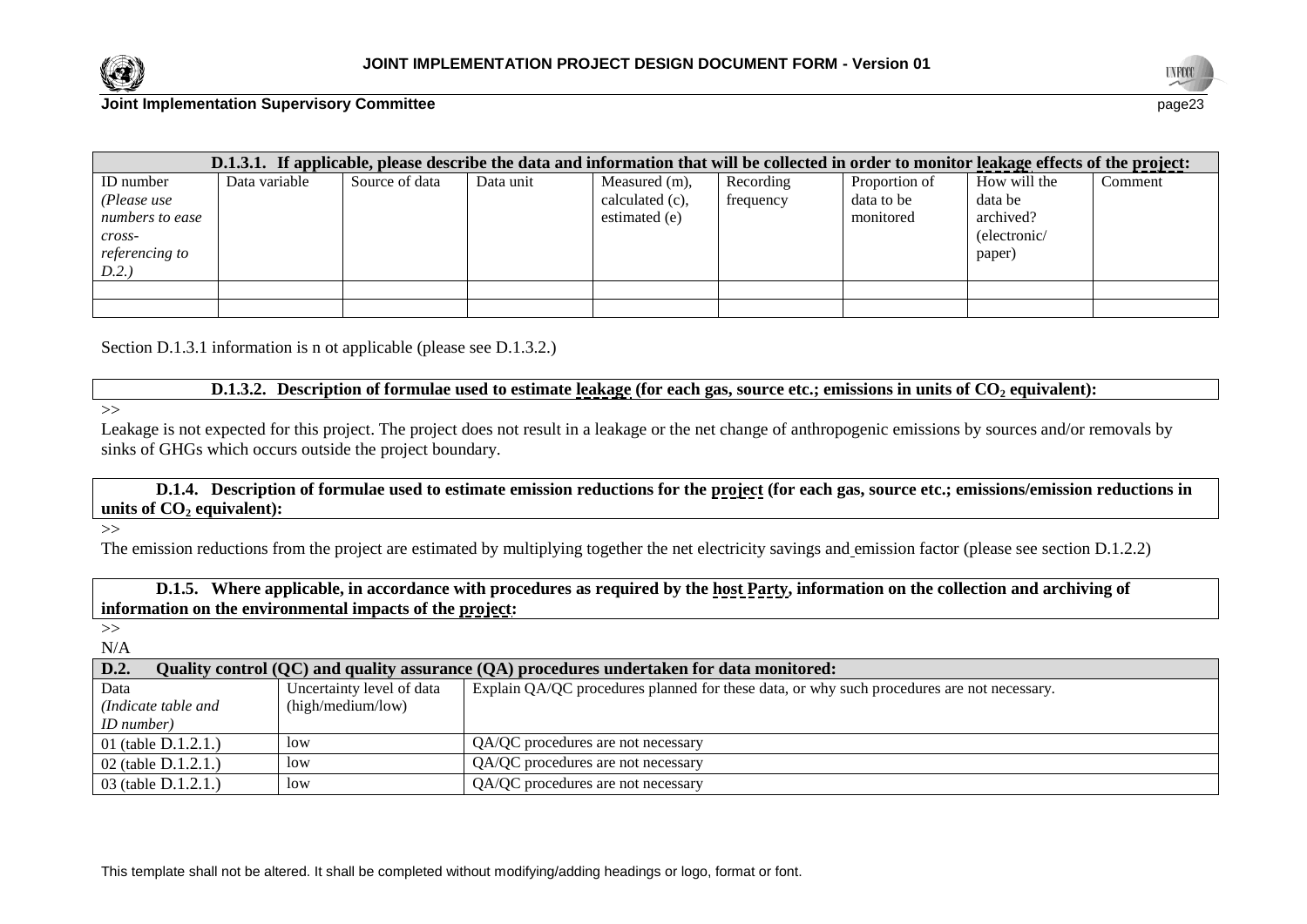



| D.1.3.1. If applicable, please describe the data and information that will be collected in order to monitor leakage effects of the project: |               |                |           |                 |           |               |              |         |
|---------------------------------------------------------------------------------------------------------------------------------------------|---------------|----------------|-----------|-----------------|-----------|---------------|--------------|---------|
| ID number                                                                                                                                   | Data variable | Source of data | Data unit | Measured (m),   | Recording | Proportion of | How will the | Comment |
| (Please use                                                                                                                                 |               |                |           | calculated (c), | frequency | data to be    | data be      |         |
| numbers to ease                                                                                                                             |               |                |           | estimated (e)   |           | monitored     | archived?    |         |
| $cross-$                                                                                                                                    |               |                |           |                 |           |               | (electronic/ |         |
| <i>referencing to</i>                                                                                                                       |               |                |           |                 |           |               | paper)       |         |
| D.2.                                                                                                                                        |               |                |           |                 |           |               |              |         |
|                                                                                                                                             |               |                |           |                 |           |               |              |         |
|                                                                                                                                             |               |                |           |                 |           |               |              |         |

Section D.1.3.1 information is n ot applicable (please see D.1.3.2.)

**D.1.3.2. Description of formulae used to estimate leakage (for each gas, source etc.; emissions in units of CO<sup>2</sup> equivalent):**

 $\gg$ 

Leakage is not expected for this project. The project does not result in a leakage or the net change of anthropogenic emissions by sources and/or removals by sinks of GHGs which occurs outside the project boundary.

**D.1.4. Description of formulae used to estimate emission reductions for the project (for each gas, source etc.; emissions/emission reductions in units of CO**<sup>2</sup> **equivalent**):

 $\rightarrow$ 

The emission reductions from the project are estimated by multiplying together the net electricity savings and emission factor (please see section D.1.2.2)

**D.1.5. Where applicable, in accordance with procedures as required by the host Party, information on the collection and archiving of information on the environmental impacts of the project:**

>> N/A

| D.2.<br>Quality control (QC) and quality assurance (QA) procedures undertaken for data monitored: |                           |                                                                                            |  |
|---------------------------------------------------------------------------------------------------|---------------------------|--------------------------------------------------------------------------------------------|--|
| Data                                                                                              | Uncertainty level of data | Explain QA/QC procedures planned for these data, or why such procedures are not necessary. |  |
| (Indicate table and                                                                               | (high/medium/low)         |                                                                                            |  |
| <i>ID</i> number)                                                                                 |                           |                                                                                            |  |
| 01 (table $D.1.2.1$ .)                                                                            | low                       | QA/QC procedures are not necessary                                                         |  |
| 02 (table D.1.2.1.)                                                                               | low                       | QA/QC procedures are not necessary                                                         |  |
| 03 (table $D.1.2.1.$ )                                                                            | low                       | QA/QC procedures are not necessary                                                         |  |

This template shall not be altered. It shall be completed without modifying/adding headings or logo, format or font.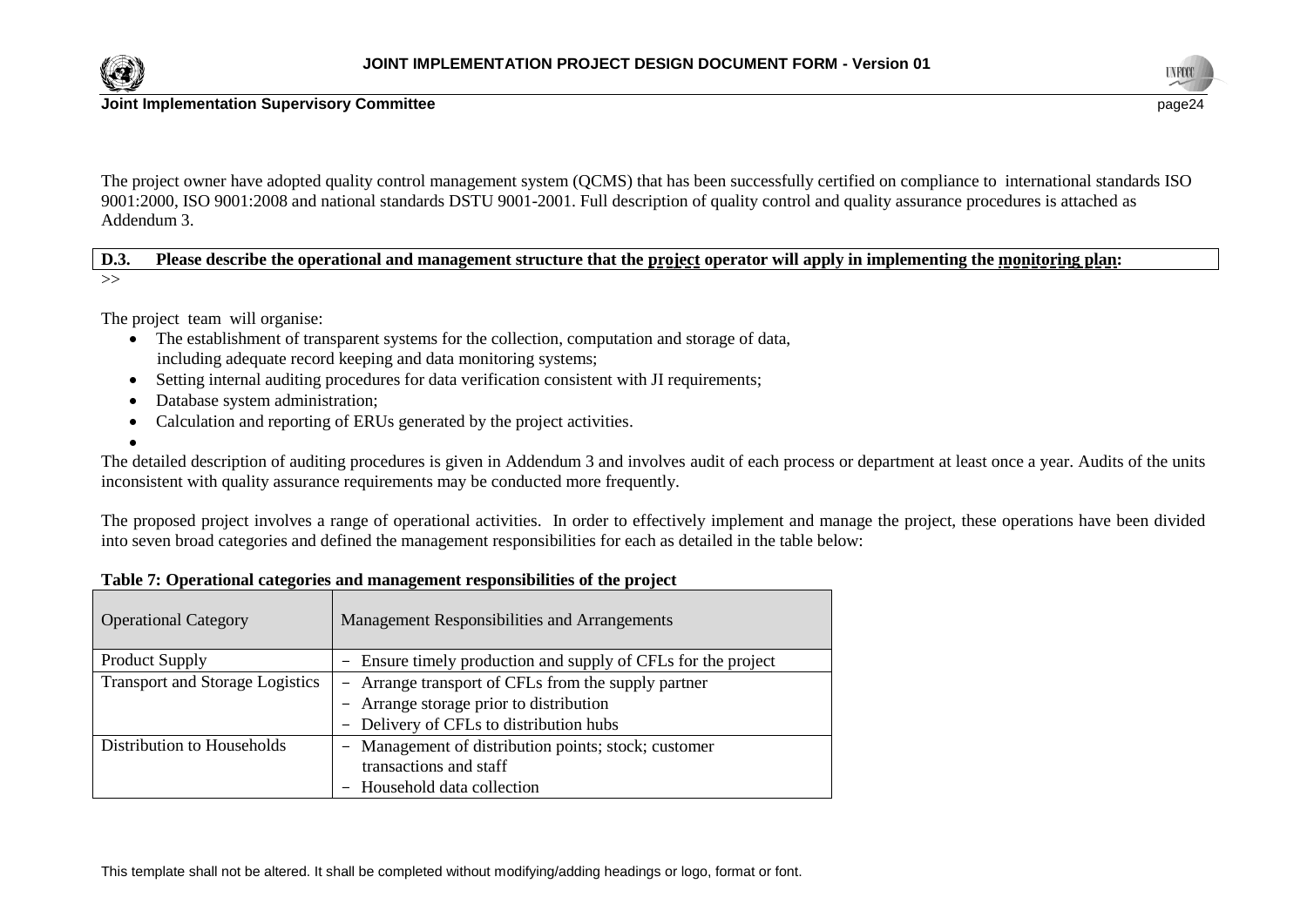



The project owner have adopted quality control management system (QCMS) that has been successfully certified on compliance to international standards ISO 9001:2000, ISO 9001:2008 and national standards DSTU 9001-2001. Full description of quality control and quality assurance procedures is attached as Addendum 3.

**D.3. Please describe the operational and management structure that the project operator will apply in implementing the monitoring plan:** >>

The project team will organise:

- The establishment of transparent systems for the collection, computation and storage of data, including adequate record keeping and data monitoring systems;
- Setting internal auditing procedures for data verification consistent with JI requirements;
- Database system administration;
- Calculation and reporting of ERUs generated by the project activities.
- $\bullet$

The detailed description of auditing procedures is given in Addendum 3 and involves audit of each process or department at least once a year. Audits of the units inconsistent with quality assurance requirements may be conducted more frequently.

The proposed project involves a range of operational activities. In order to effectively implement and manage the project, these operations have been divided into seven broad categories and defined the management responsibilities for each as detailed in the table below:

| Table 7: Operational categories and management responsibilities of the project |  |
|--------------------------------------------------------------------------------|--|
|--------------------------------------------------------------------------------|--|

| <b>Operational Category</b>            | Management Responsibilities and Arrangements                                            |
|----------------------------------------|-----------------------------------------------------------------------------------------|
| <b>Product Supply</b>                  | Ensure timely production and supply of CFLs for the project<br>$\overline{\phantom{m}}$ |
| <b>Transport and Storage Logistics</b> | - Arrange transport of CFLs from the supply partner                                     |
|                                        | - Arrange storage prior to distribution                                                 |
|                                        | - Delivery of CFLs to distribution hubs                                                 |
| Distribution to Households             | Management of distribution points; stock; customer<br>-                                 |
|                                        | transactions and staff                                                                  |
|                                        | Household data collection                                                               |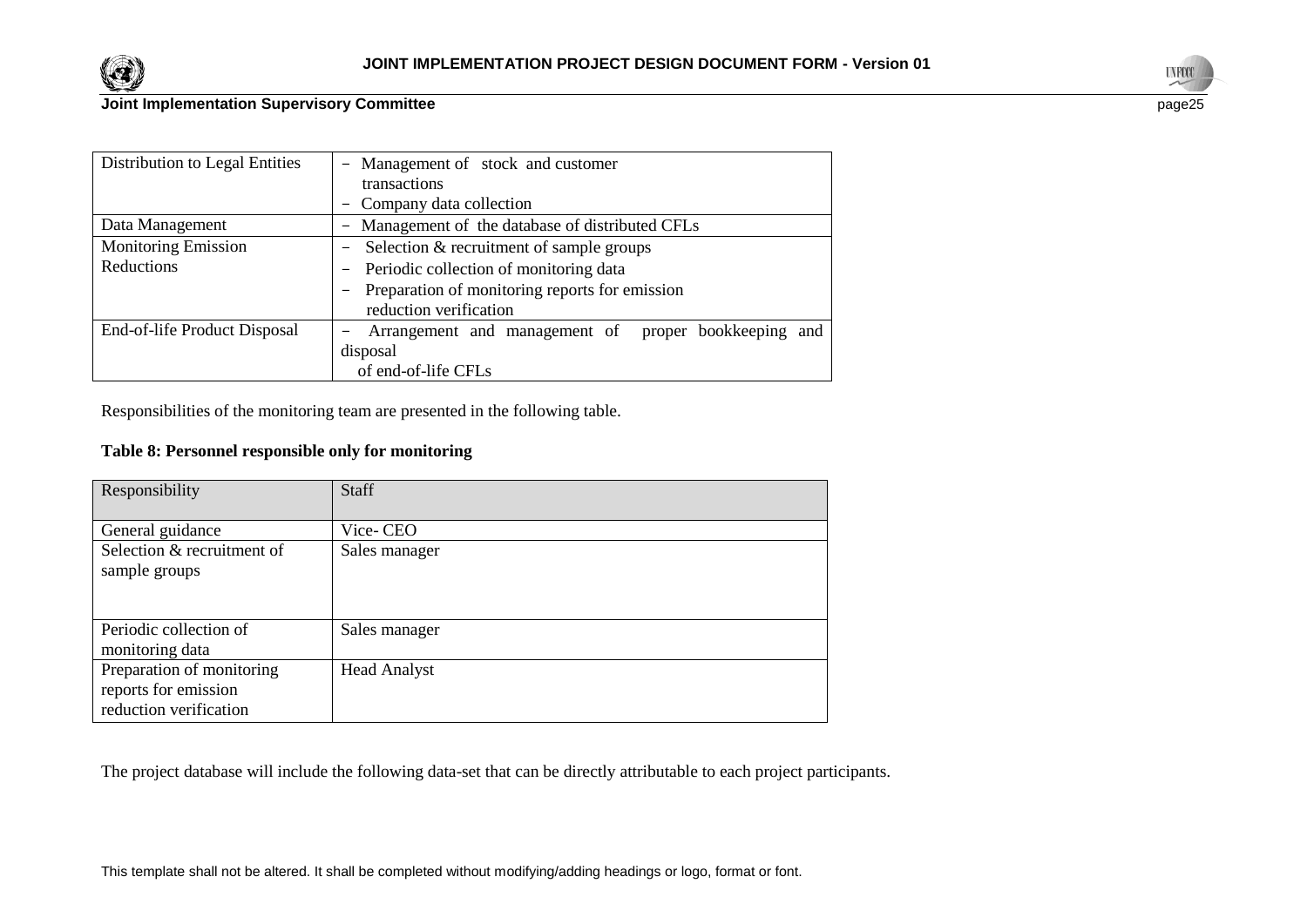



| Distribution to Legal Entities | - Management of stock and customer                                   |  |
|--------------------------------|----------------------------------------------------------------------|--|
|                                | transactions                                                         |  |
|                                | - Company data collection                                            |  |
| Data Management                | - Management of the database of distributed CFLs                     |  |
| <b>Monitoring Emission</b>     | Selection & recruitment of sample groups<br>$\overline{\phantom{m}}$ |  |
| Reductions                     | - Periodic collection of monitoring data                             |  |
|                                | Preparation of monitoring reports for emission<br>-                  |  |
|                                | reduction verification                                               |  |
| End-of-life Product Disposal   | Arrangement and management of proper bookkeeping and<br>-            |  |
|                                | disposal                                                             |  |
|                                | of end-of-life CFLs                                                  |  |

Responsibilities of the monitoring team are presented in the following table.

# **Table 8: Personnel responsible only for monitoring**

| Responsibility                                                              | <b>Staff</b>        |
|-----------------------------------------------------------------------------|---------------------|
| General guidance                                                            | Vice-CEO            |
| Selection & recruitment of<br>sample groups                                 | Sales manager       |
| Periodic collection of<br>monitoring data                                   | Sales manager       |
| Preparation of monitoring<br>reports for emission<br>reduction verification | <b>Head Analyst</b> |

The project database will include the following data-set that can be directly attributable to each project participants.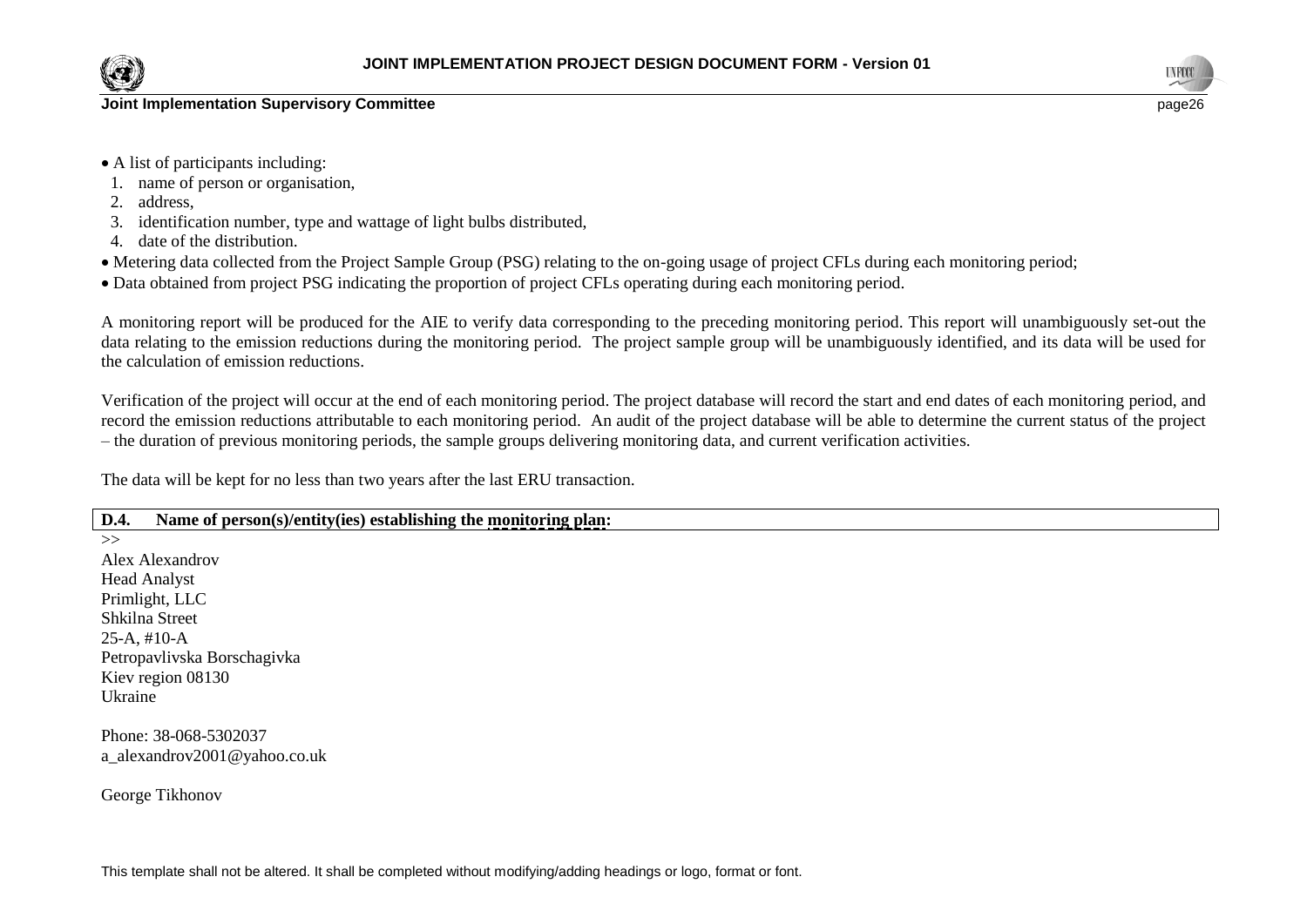

- A list of participants including:
- 1. name of person or organisation,
- 2. address,
- 3. identification number, type and wattage of light bulbs distributed,
- 4. date of the distribution.
- Metering data collected from the Project Sample Group (PSG) relating to the on-going usage of project CFLs during each monitoring period;
- Data obtained from project PSG indicating the proportion of project CFLs operating during each monitoring period.

A monitoring report will be produced for the AIE to verify data corresponding to the preceding monitoring period. This report will unambiguously set-out the data relating to the emission reductions during the monitoring period. The project sample group will be unambiguously identified, and its data will be used for the calculation of emission reductions.

Verification of the project will occur at the end of each monitoring period. The project database will record the start and end dates of each monitoring period, and record the emission reductions attributable to each monitoring period. An audit of the project database will be able to determine the current status of the project – the duration of previous monitoring periods, the sample groups delivering monitoring data, and current verification activities.

The data will be kept for no less than two years after the last ERU transaction.

# **D.4. Name of person(s)/entity(ies) establishing the monitoring plan:**

 $\rightarrow$ 

Alex Alexandrov Head Analyst Primlight, LLC Shkilna Street 25-A, #10-A Petropavlivska Borschagivka Kiev region 08130 Ukraine

Phone: 38-068-5302037 a\_alexandrov2001@yahoo.co.uk

George Tikhonov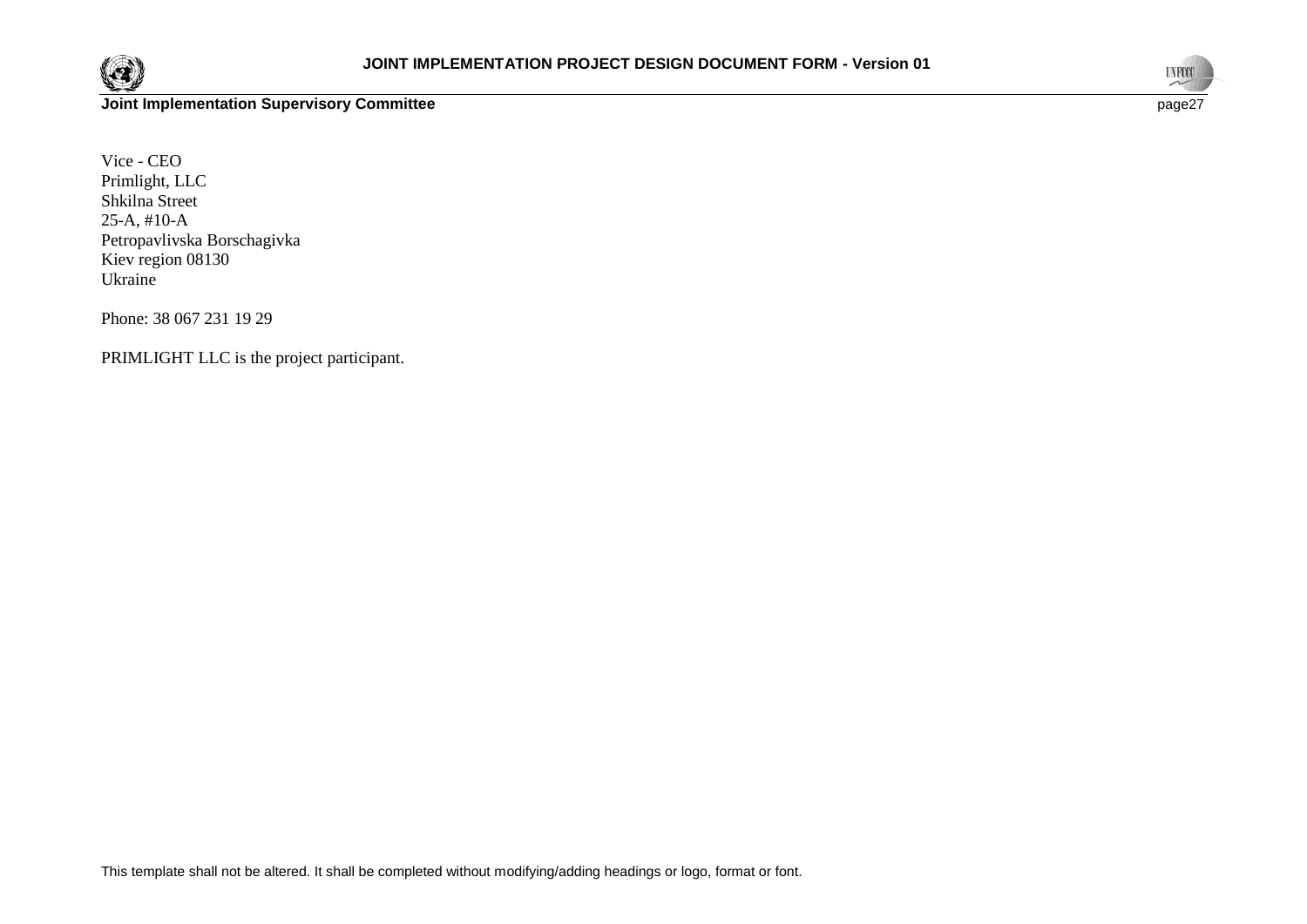



Vice - CEO Primlight, LLC Shkilna Street 25-A, #10-A Petropavlivska Borschagivka Kiev region 08130 Ukraine

Phone: 38 067 231 19 29

PRIMLIGHT LLC is the project participant.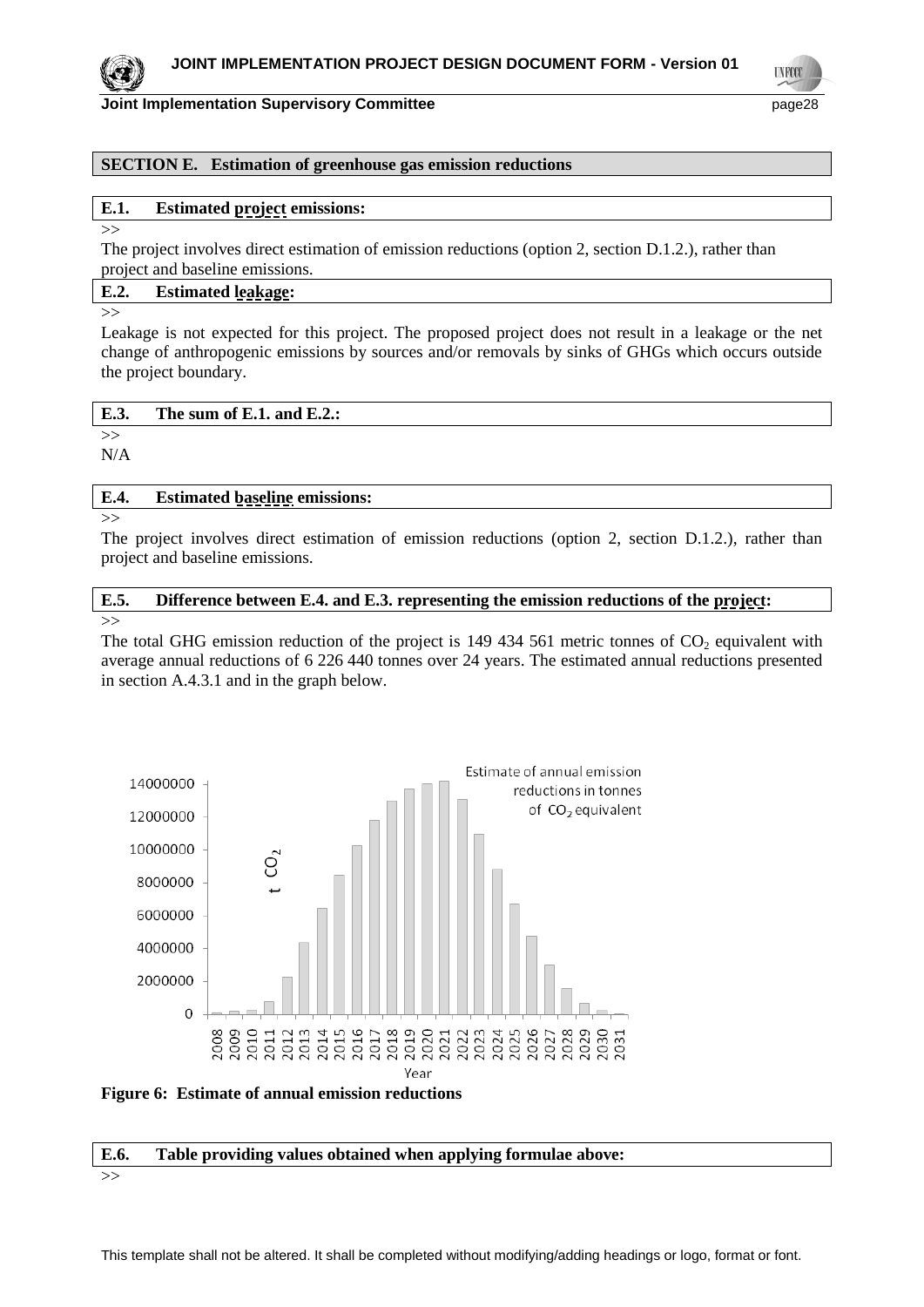

**UNFCC** 

# **Joint Implementation Supervisory Committee** *page28* **page28**

# **SECTION E. Estimation of greenhouse gas emission reductions**

# **E.1. Estimated project emissions:**

>>

The project involves direct estimation of emission reductions (option 2, section D.1.2.), rather than project and baseline emissions.

# **E.2. Estimated leakage:**

>>

Leakage is not expected for this project. The proposed project does not result in a leakage or the net change of anthropogenic emissions by sources and/or removals by sinks of GHGs which occurs outside the project boundary.

| E.3. | The sum of E.1. and E.2.: |
|------|---------------------------|
|      |                           |

>> N/A

#### **E.4. Estimated baseline emissions:**

>>

The project involves direct estimation of emission reductions (option 2, section D.1.2.), rather than project and baseline emissions.

#### **E.5. Difference between E.4. and E.3. representing the emission reductions of the project:** >>

The total GHG emission reduction of the project is  $149\,434\,561$  metric tonnes of  $CO<sub>2</sub>$  equivalent with average annual reductions of 6 226 440 tonnes over 24 years. The estimated annual reductions presented in section A.4.3.1 and in the graph below.



**Figure 6: Estimate of annual emission reductions**

# **E.6. Table providing values obtained when applying formulae above:**

>>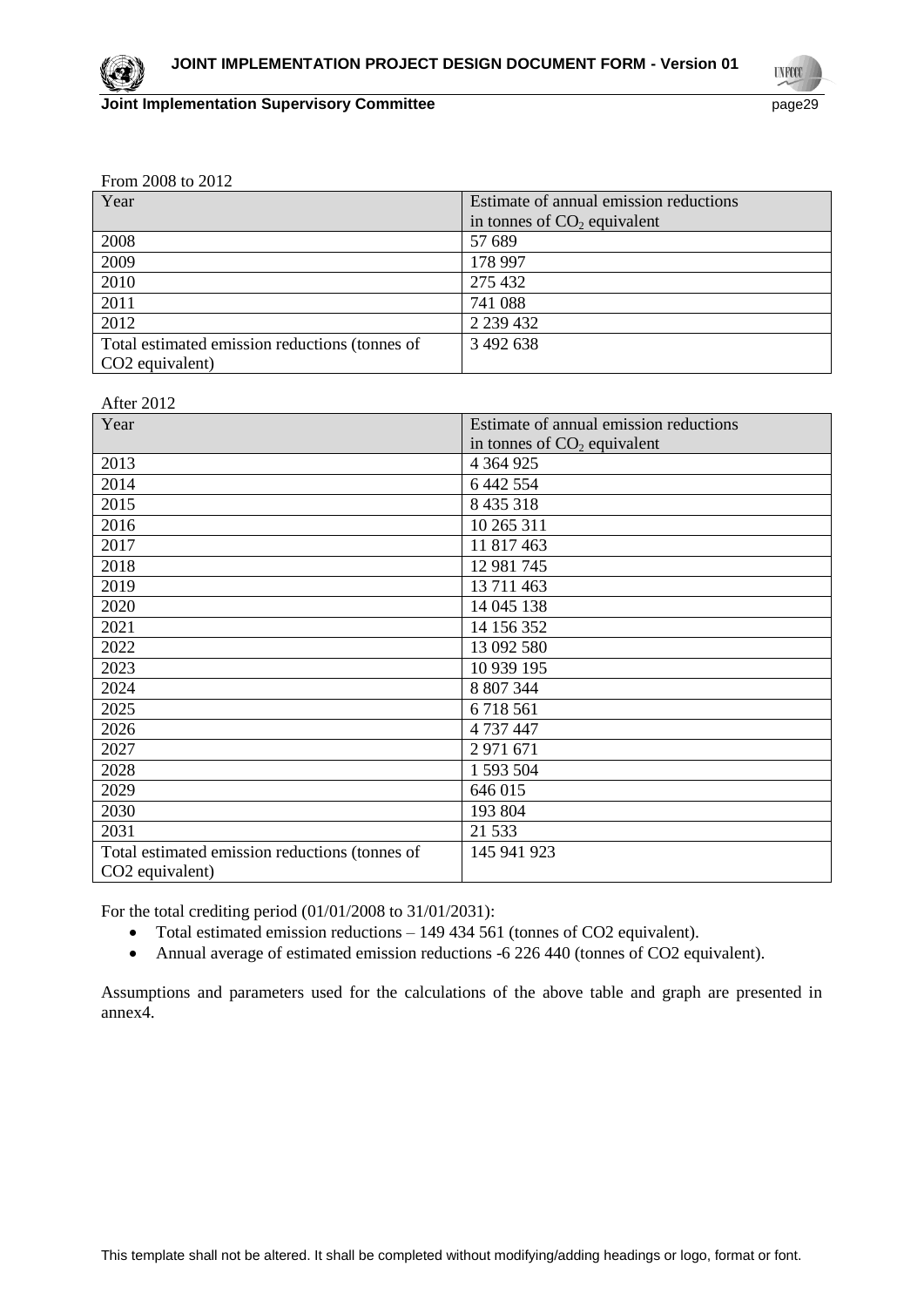**UNFCC** 

| From 2008 to 2012 |  |
|-------------------|--|
|-------------------|--|

| Year                                           | Estimate of annual emission reductions |
|------------------------------------------------|----------------------------------------|
|                                                | in tonnes of $CO2$ equivalent          |
| 2008                                           | 57 689                                 |
| 2009                                           | 178 997                                |
| 2010                                           | 275 432                                |
| 2011                                           | 741 088                                |
| 2012                                           | 2 2 3 4 4 3 2                          |
| Total estimated emission reductions (tonnes of | 3 492 638                              |
| CO <sub>2</sub> equivalent)                    |                                        |

| After 2012                                     |                                        |
|------------------------------------------------|----------------------------------------|
| Year                                           | Estimate of annual emission reductions |
|                                                | in tonnes of $CO2$ equivalent          |
| 2013                                           | 4 3 6 4 9 2 5                          |
| 2014                                           | 6 442 554                              |
| 2015                                           | 8 4 3 5 3 1 8                          |
| 2016                                           | 10 265 311                             |
| 2017                                           | 11 817 463                             |
| 2018                                           | 12 981 745                             |
| 2019                                           | 13 711 463                             |
| 2020                                           | 14 045 138                             |
| 2021                                           | 14 156 352                             |
| 2022                                           | 13 092 580                             |
| 2023                                           | 10 939 195                             |
| 2024                                           | 8 807 344                              |
| 2025                                           | 6718561                                |
| 2026                                           | 4 737 447                              |
| 2027                                           | 2 971 671                              |
| 2028                                           | 1 593 504                              |
| 2029                                           | 646 015                                |
| 2030                                           | 193 804                                |
| 2031                                           | 21 5 3 3                               |
| Total estimated emission reductions (tonnes of | 145 941 923                            |
| CO <sub>2</sub> equivalent)                    |                                        |

For the total crediting period (01/01/2008 to 31/01/2031):

- Total estimated emission reductions 149 434 561 (tonnes of CO2 equivalent).
- Annual average of estimated emission reductions -6 226 440 (tonnes of CO2 equivalent).

Assumptions and parameters used for the calculations of the above table and graph are presented in annex4.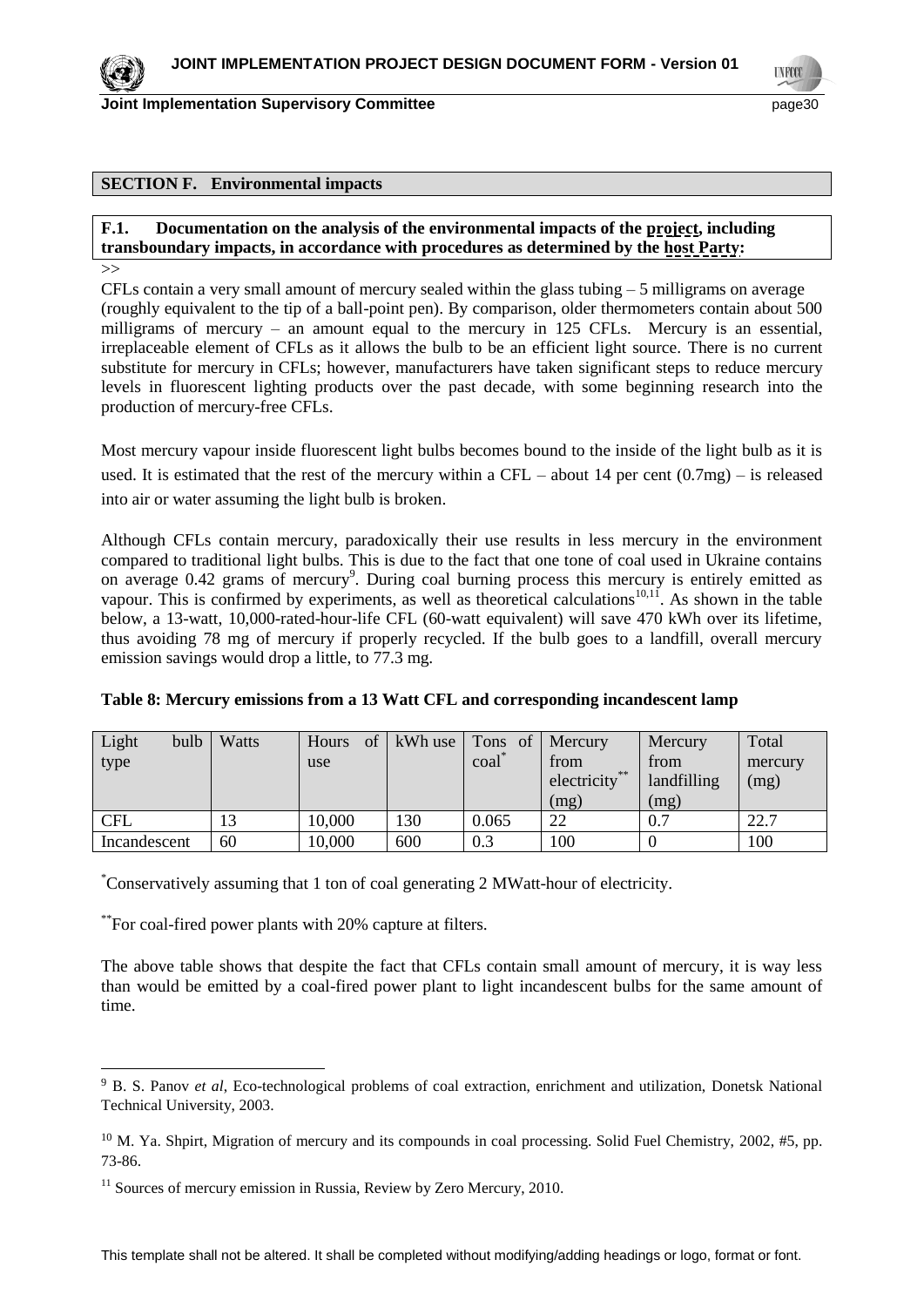

**TNFCO** 

**Joint Implementation Supervisory Committee** page30

#### **SECTION F. Environmental impacts**

**F.1. Documentation on the analysis of the environmental impacts of the project, including transboundary impacts, in accordance with procedures as determined by the host Party:**

>>

CFLs contain a very small amount of mercury sealed within the glass tubing – 5 milligrams on average (roughly equivalent to the tip of a ball-point pen). By comparison, older thermometers contain about 500 milligrams of mercury – an amount equal to the mercury in 125 CFLs. Mercury is an essential, irreplaceable element of CFLs as it allows the bulb to be an efficient light source. There is no current substitute for mercury in CFLs; however, manufacturers have taken significant steps to reduce mercury levels in fluorescent lighting products over the past decade, with some beginning research into the production of mercury-free CFLs.

Most mercury vapour inside fluorescent light bulbs becomes bound to the inside of the light bulb as it is used. It is estimated that the rest of the mercury within a CFL – about 14 per cent  $(0.7mg)$  – is released into air or water assuming the light bulb is broken.

Although CFLs contain mercury, paradoxically their use results in less mercury in the environment compared to traditional light bulbs. This is due to the fact that one tone of coal used in Ukraine contains on average 0.42 grams of mercury<sup>9</sup>. During coal burning process this mercury is entirely emitted as vapour. This is confirmed by experiments, as well as theoretical calculations<sup>10,11</sup>. As shown in the table below, a 13-watt, 10,000-rated-hour-life CFL (60-watt equivalent) will save 470 kWh over its lifetime, thus avoiding 78 mg of mercury if properly recycled. If the bulb goes to a landfill, overall mercury emission savings would drop a little, to 77.3 mg.

| Light<br>bulb | Watts | <sub>of</sub><br>Hours | kWh use | Tons<br>of      | Mercury       | Mercury     | Total   |
|---------------|-------|------------------------|---------|-----------------|---------------|-------------|---------|
| type          |       | use                    |         | $\text{coal}^*$ | from          | from        | mercury |
|               |       |                        |         |                 | electricity** | landfilling | (mg)    |
|               |       |                        |         |                 | (mg)          | (mg)        |         |
| <b>CFL</b>    | 13    | 10,000                 | 130     | 0.065           | 22            | 0.7         | 22.7    |
| Incandescent  | 60    | 10,000                 | 600     | 0.3             | 100           |             | 100     |

#### **Table 8: Mercury emissions from a 13 Watt CFL and corresponding incandescent lamp**

\*Conservatively assuming that 1 ton of coal generating 2 MWatt-hour of electricity.

\*\*For coal-fired power plants with 20% capture at filters.

The above table shows that despite the fact that CFLs contain small amount of mercury, it is way less than would be emitted by a coal-fired power plant to light incandescent bulbs for the same amount of time.

<sup>9</sup> B. S. Panov *et al*, Eco-technological problems of coal extraction, enrichment and utilization, Donetsk National Technical University, 2003.

<sup>&</sup>lt;sup>10</sup> M. Ya. Shpirt, Migration of mercury and its compounds in coal processing. Solid Fuel Chemistry, 2002, #5, pp. 73-86.

 $11$  Sources of mercury emission in Russia, Review by Zero Mercury, 2010.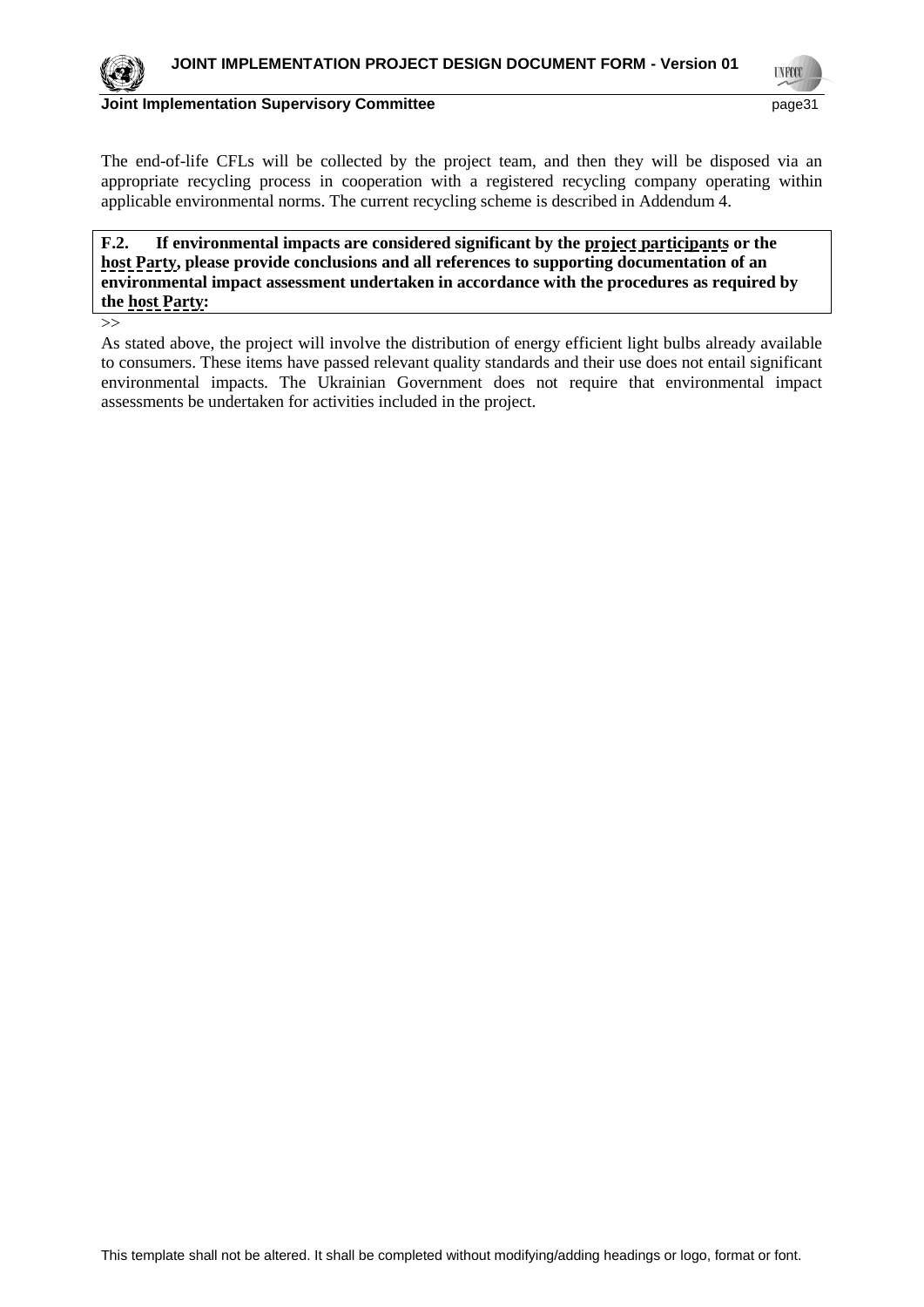

**UNFCC** 

#### **Joint Implementation Supervisory Committee** *page31* **page31**

The end-of-life CFLs will be collected by the project team, and then they will be disposed via an appropriate recycling process in cooperation with a registered recycling company operating within applicable environmental norms. The current recycling scheme is described in Addendum 4.

**F.2. If environmental impacts are considered significant by the project participants or the host Party, please provide conclusions and all references to supporting documentation of an environmental impact assessment undertaken in accordance with the procedures as required by the host Party:**

>>

As stated above, the project will involve the distribution of energy efficient light bulbs already available to consumers. These items have passed relevant quality standards and their use does not entail significant environmental impacts. The Ukrainian Government does not require that environmental impact assessments be undertaken for activities included in the project.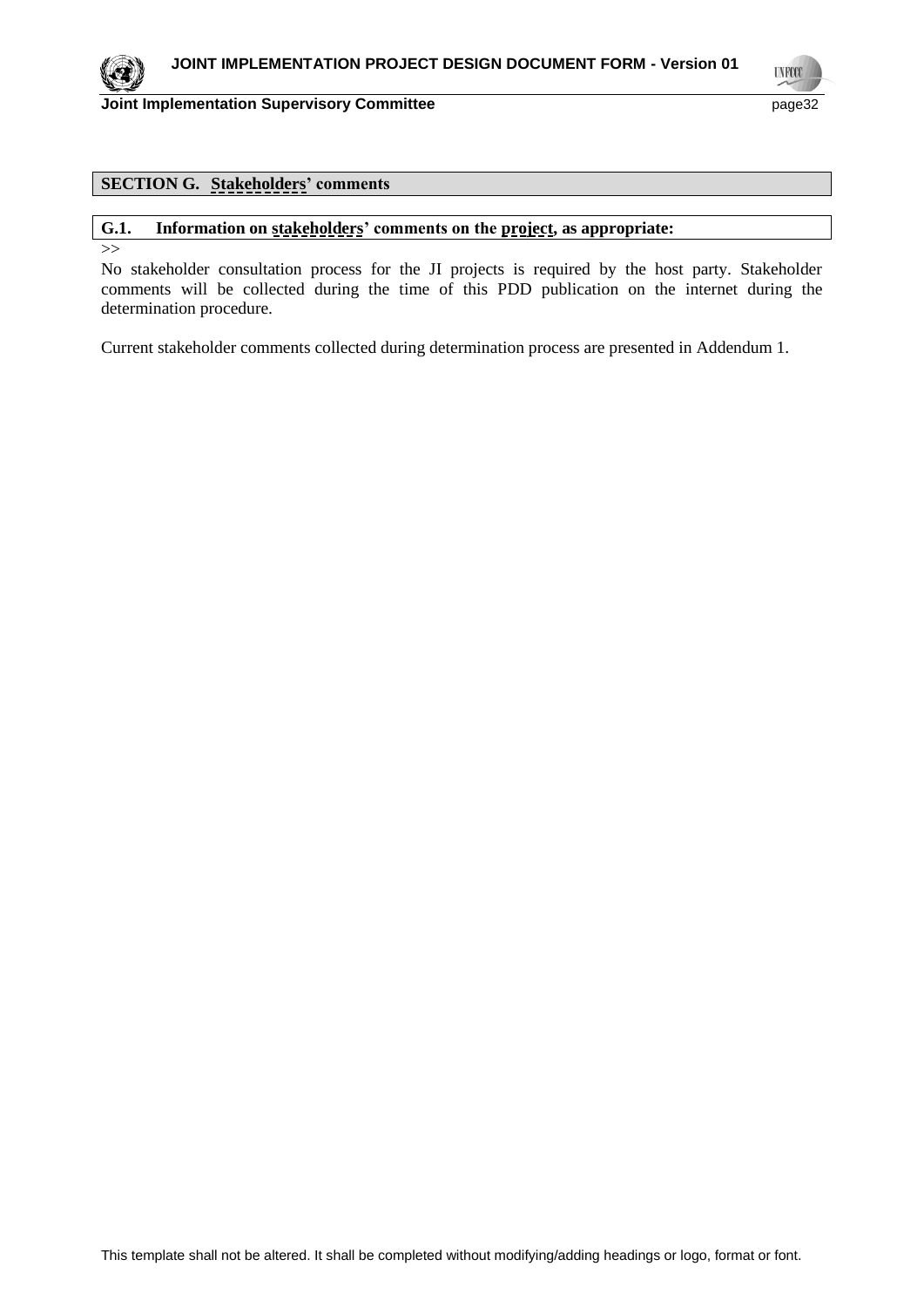

**UNFCO** 

**Joint Implementation Supervisory Committee** page 22

# **SECTION G. Stakeholders' comments**

#### **G.1. Information on stakeholders' comments on the project, as appropriate:**

 $\rightarrow$ 

No stakeholder consultation process for the JI projects is required by the host party. Stakeholder comments will be collected during the time of this PDD publication on the internet during the determination procedure.

Current stakeholder comments collected during determination process are presented in Addendum 1.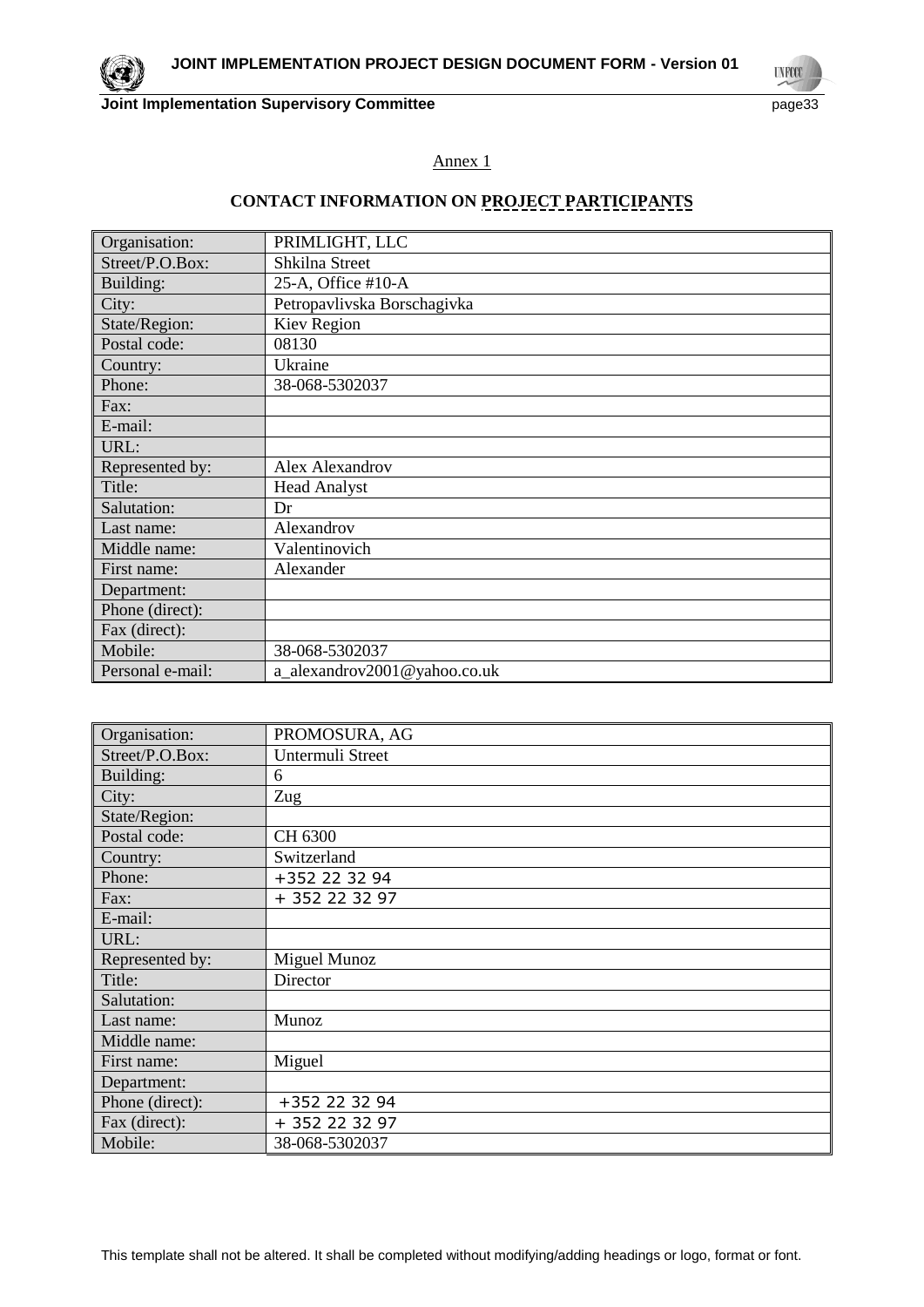

#### Annex 1

# **CONTACT INFORMATION ON PROJECT PARTICIPANTS**

| Organisation:    | PRIMLIGHT, LLC               |
|------------------|------------------------------|
| Street/P.O.Box:  | Shkilna Street               |
| Building:        | 25-A, Office #10-A           |
| City:            | Petropavlivska Borschagivka  |
| State/Region:    | Kiev Region                  |
| Postal code:     | 08130                        |
| Country:         | Ukraine                      |
| Phone:           | 38-068-5302037               |
| Fax:             |                              |
| E-mail:          |                              |
| URL:             |                              |
| Represented by:  | Alex Alexandrov              |
| Title:           | <b>Head Analyst</b>          |
| Salutation:      | Dr                           |
| Last name:       | Alexandrov                   |
| Middle name:     | Valentinovich                |
| First name:      | Alexander                    |
| Department:      |                              |
| Phone (direct):  |                              |
| Fax (direct):    |                              |
| Mobile:          | 38-068-5302037               |
| Personal e-mail: | a_alexandrov2001@yahoo.co.uk |

| Organisation:   | PROMOSURA, AG    |
|-----------------|------------------|
| Street/P.O.Box: | Untermuli Street |
| Building:       | 6                |
| City:           | Zug              |
| State/Region:   |                  |
| Postal code:    | CH 6300          |
| Country:        | Switzerland      |
| Phone:          | +352 22 32 94    |
| Fax:            | + 352 22 32 97   |
| E-mail:         |                  |
| URL:            |                  |
| Represented by: | Miguel Munoz     |
| Title:          | Director         |
| Salutation:     |                  |
| Last name:      | Munoz            |
| Middle name:    |                  |
| First name:     | Miguel           |
| Department:     |                  |
| Phone (direct): | +352 22 32 94    |
| Fax (direct):   | + 352 22 32 97   |
| Mobile:         | 38-068-5302037   |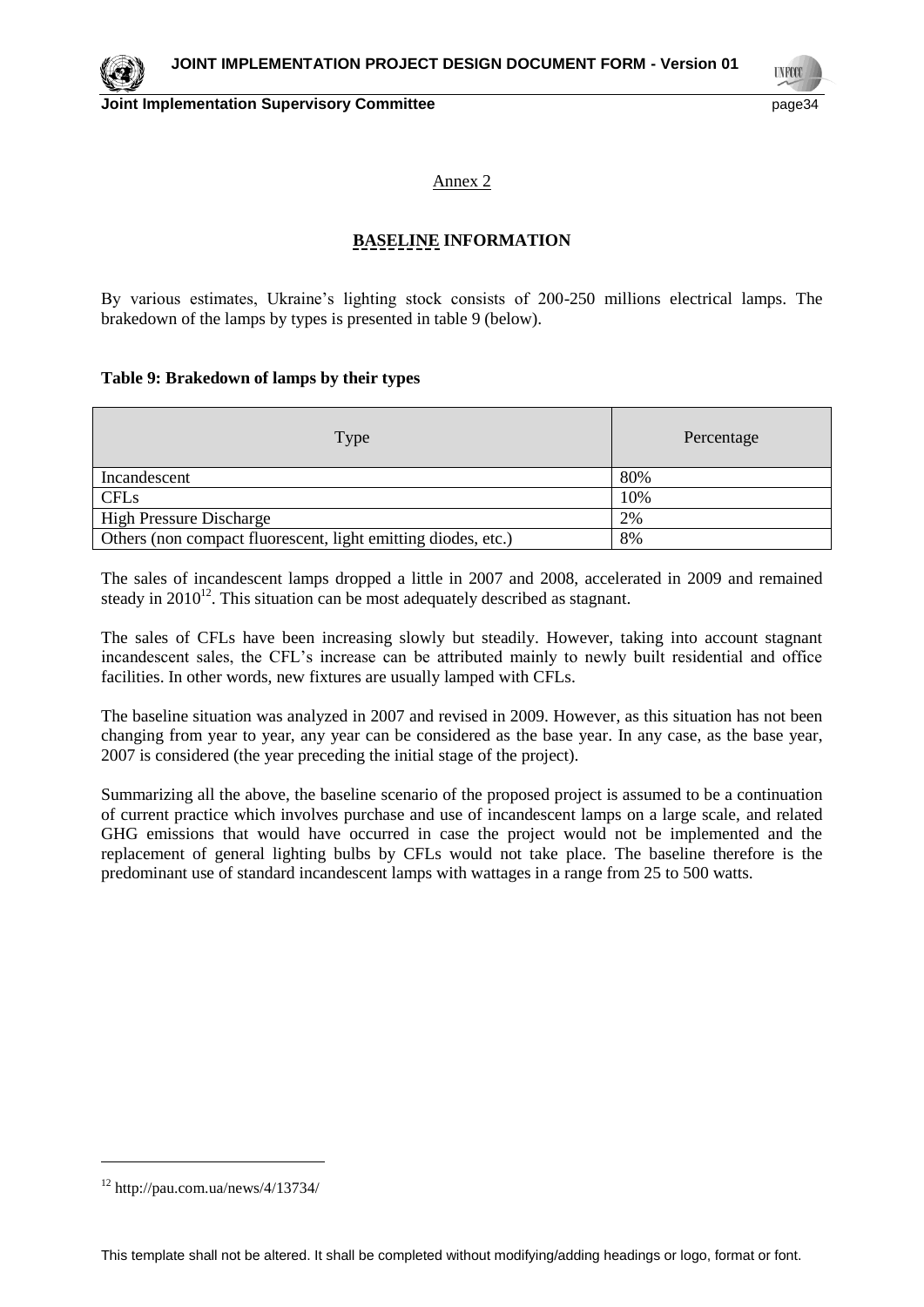

**TNFCC** 

Annex 2

# **BASELINE INFORMATION**

By various estimates, Ukraine's lighting stock consists of 200-250 millions electrical lamps. The brakedown of the lamps by types is presented in table 9 (below).

#### **Table 9: Brakedown of lamps by their types**

| Type                                                          | Percentage |
|---------------------------------------------------------------|------------|
| Incandescent                                                  | 80%        |
| <b>CFLs</b>                                                   | 10%        |
| <b>High Pressure Discharge</b>                                | 2%         |
| Others (non compact fluorescent, light emitting diodes, etc.) | 8%         |

The sales of incandescent lamps dropped a little in 2007 and 2008, accelerated in 2009 and remained steady in  $2010^{12}$ . This situation can be most adequately described as stagnant.

The sales of CFLs have been increasing slowly but steadily. However, taking into account stagnant incandescent sales, the CFL's increase can be attributed mainly to newly built residential and office facilities. In other words, new fixtures are usually lamped with CFLs.

The baseline situation was analyzed in 2007 and revised in 2009. However, as this situation has not been changing from year to year, any year can be considered as the base year. In any case, as the base year, 2007 is considered (the year preceding the initial stage of the project).

Summarizing all the above, the baseline scenario of the proposed project is assumed to be a continuation of current practice which involves purchase and use of incandescent lamps on a large scale, and related GHG emissions that would have occurred in case the project would not be implemented and the replacement of general lighting bulbs by CFLs would not take place. The baseline therefore is the predominant use of standard incandescent lamps with wattages in a range from 25 to 500 watts.

 $\overline{a}$ 

 $12$  http://pau.com.ua/news/4/13734/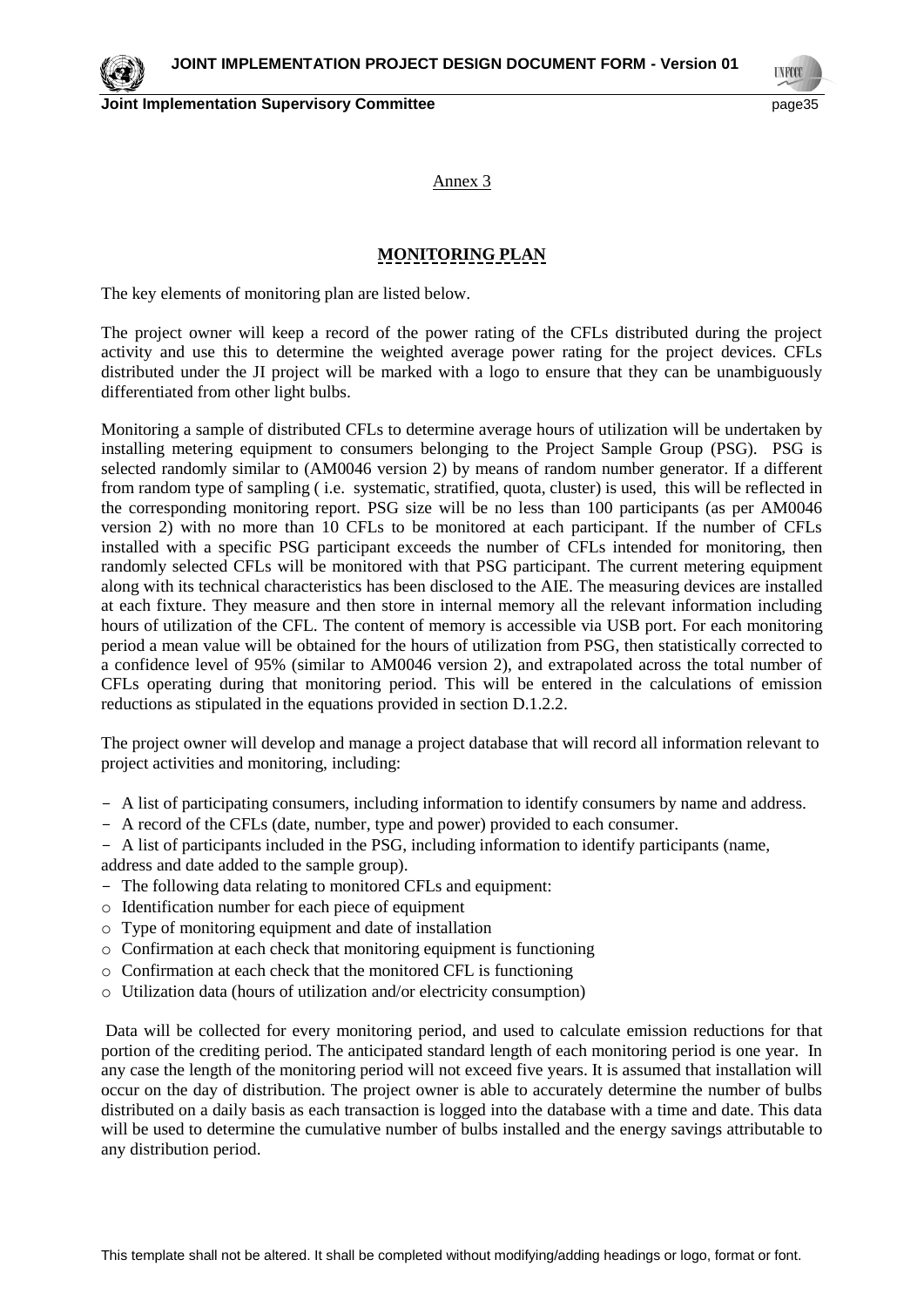**Joint Implementation Supervisory Committee** *page35* **and the page35** 

**TNFCO** 

Annex 3

# **MONITORING PLAN**

The key elements of monitoring plan are listed below.

The project owner will keep a record of the power rating of the CFLs distributed during the project activity and use this to determine the weighted average power rating for the project devices. CFLs distributed under the JI project will be marked with a logo to ensure that they can be unambiguously differentiated from other light bulbs.

Monitoring a sample of distributed CFLs to determine average hours of utilization will be undertaken by installing metering equipment to consumers belonging to the Project Sample Group (PSG). PSG is selected randomly similar to (AM0046 version 2) by means of random number generator. If a different from random type of sampling ( i.e. systematic, stratified, quota, cluster) is used, this will be reflected in the corresponding monitoring report. PSG size will be no less than 100 participants (as per AM0046 version 2) with no more than 10 CFLs to be monitored at each participant. If the number of CFLs installed with a specific PSG participant exceeds the number of CFLs intended for monitoring, then randomly selected CFLs will be monitored with that PSG participant. The current metering equipment along with its technical characteristics has been disclosed to the AIE. The measuring devices are installed at each fixture. They measure and then store in internal memory all the relevant information including hours of utilization of the CFL. The content of memory is accessible via USB port. For each monitoring period a mean value will be obtained for the hours of utilization from PSG, then statistically corrected to a confidence level of 95% (similar to AM0046 version 2), and extrapolated across the total number of CFLs operating during that monitoring period. This will be entered in the calculations of emission reductions as stipulated in the equations provided in section D.1.2.2.

The project owner will develop and manage a project database that will record all information relevant to project activities and monitoring, including:

- A list of participating consumers, including information to identify consumers by name and address.
- A record of the CFLs (date, number, type and power) provided to each consumer.

- A list of participants included in the PSG, including information to identify participants (name,

address and date added to the sample group).

- The following data relating to monitored CFLs and equipment:
- o Identification number for each piece of equipment
- o Type of monitoring equipment and date of installation
- o Confirmation at each check that monitoring equipment is functioning
- o Confirmation at each check that the monitored CFL is functioning
- o Utilization data (hours of utilization and/or electricity consumption)

Data will be collected for every monitoring period, and used to calculate emission reductions for that portion of the crediting period. The anticipated standard length of each monitoring period is one year. In any case the length of the monitoring period will not exceed five years. It is assumed that installation will occur on the day of distribution. The project owner is able to accurately determine the number of bulbs distributed on a daily basis as each transaction is logged into the database with a time and date. This data will be used to determine the cumulative number of bulbs installed and the energy savings attributable to any distribution period.

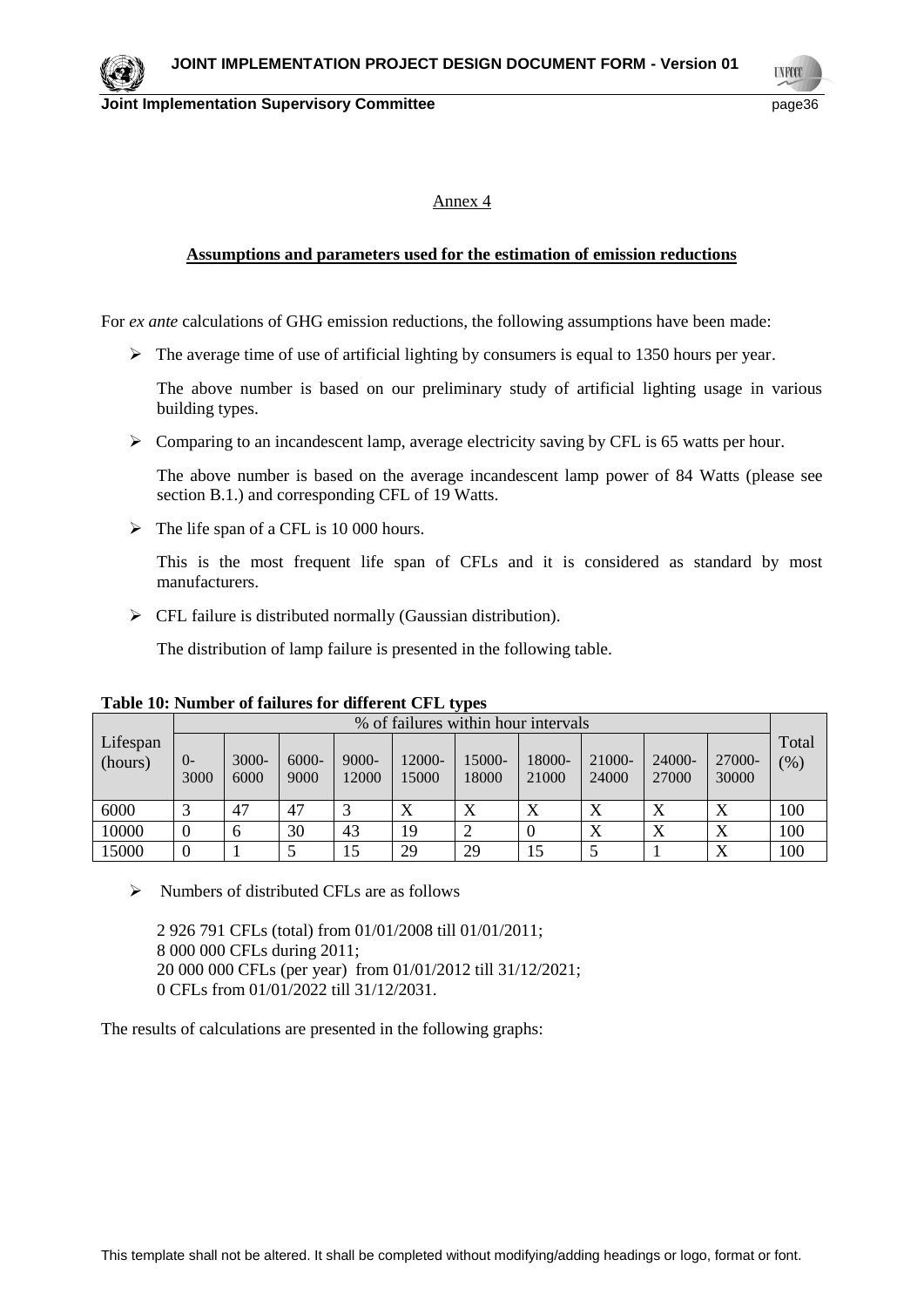**TNFCO** 

### Annex 4

# **Assumptions and parameters used for the estimation of emission reductions**

For *ex ante* calculations of GHG emission reductions, the following assumptions have been made:

 $\triangleright$  The average time of use of artificial lighting by consumers is equal to 1350 hours per year.

The above number is based on our preliminary study of artificial lighting usage in various building types.

Comparing to an incandescent lamp, average electricity saving by CFL is 65 watts per hour.

The above number is based on the average incandescent lamp power of 84 Watts (please see section B.1.) and corresponding CFL of 19 Watts.

 $\triangleright$  The life span of a CFL is 10 000 hours.

This is the most frequent life span of CFLs and it is considered as standard by most manufacturers.

 $\triangleright$  CFL failure is distributed normally (Gaussian distribution).

The distribution of lamp failure is presented in the following table.

|                     |              |               |                  |                   |                 |                 | % of failures within hour intervals |                 |                 |                 |              |
|---------------------|--------------|---------------|------------------|-------------------|-----------------|-----------------|-------------------------------------|-----------------|-----------------|-----------------|--------------|
| Lifespan<br>(hours) | $O-$<br>3000 | 3000-<br>6000 | $6000 -$<br>9000 | $9000 -$<br>12000 | 12000-<br>15000 | 15000-<br>18000 | 18000-<br>21000                     | 21000-<br>24000 | 24000-<br>27000 | 27000-<br>30000 | Total<br>(%) |
| 6000                |              | 47            | 47               |                   | Х               | X               | $\Lambda$                           | Δ               | Х               | Х               | 100          |
| 10000               |              | <sub>0</sub>  | 30               | 43                | 19              |                 | $\left($                            | Δ               | Х               | X               | 100          |
| 15000               |              |               |                  | 15                | 29              | 29              | 15                                  |                 |                 | X               | 100          |

**Table 10: Number of failures for different CFL types** 

 $\triangleright$  Numbers of distributed CFLs are as follows

 926 791 CFLs (total) from 01/01/2008 till 01/01/2011; 000 000 CFLs during 2011; 000 000 CFLs (per year) from 01/01/2012 till 31/12/2021; 0 CFLs from 01/01/2022 till 31/12/2031.

The results of calculations are presented in the following graphs: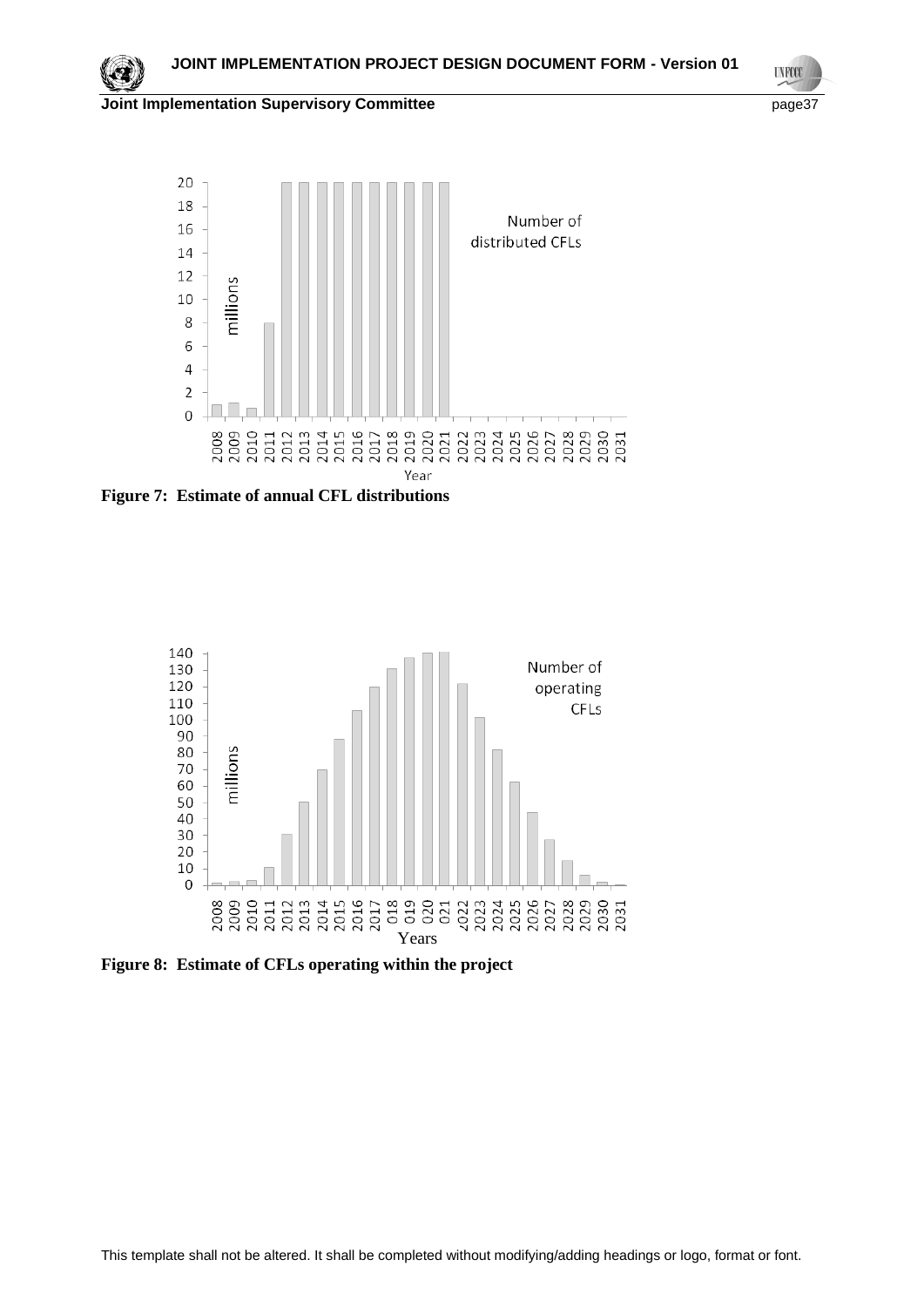

**UNFCCC** 



**Figure 7: Estimate of annual CFL distributions**



**Figure 8: Estimate of CFLs operating within the project**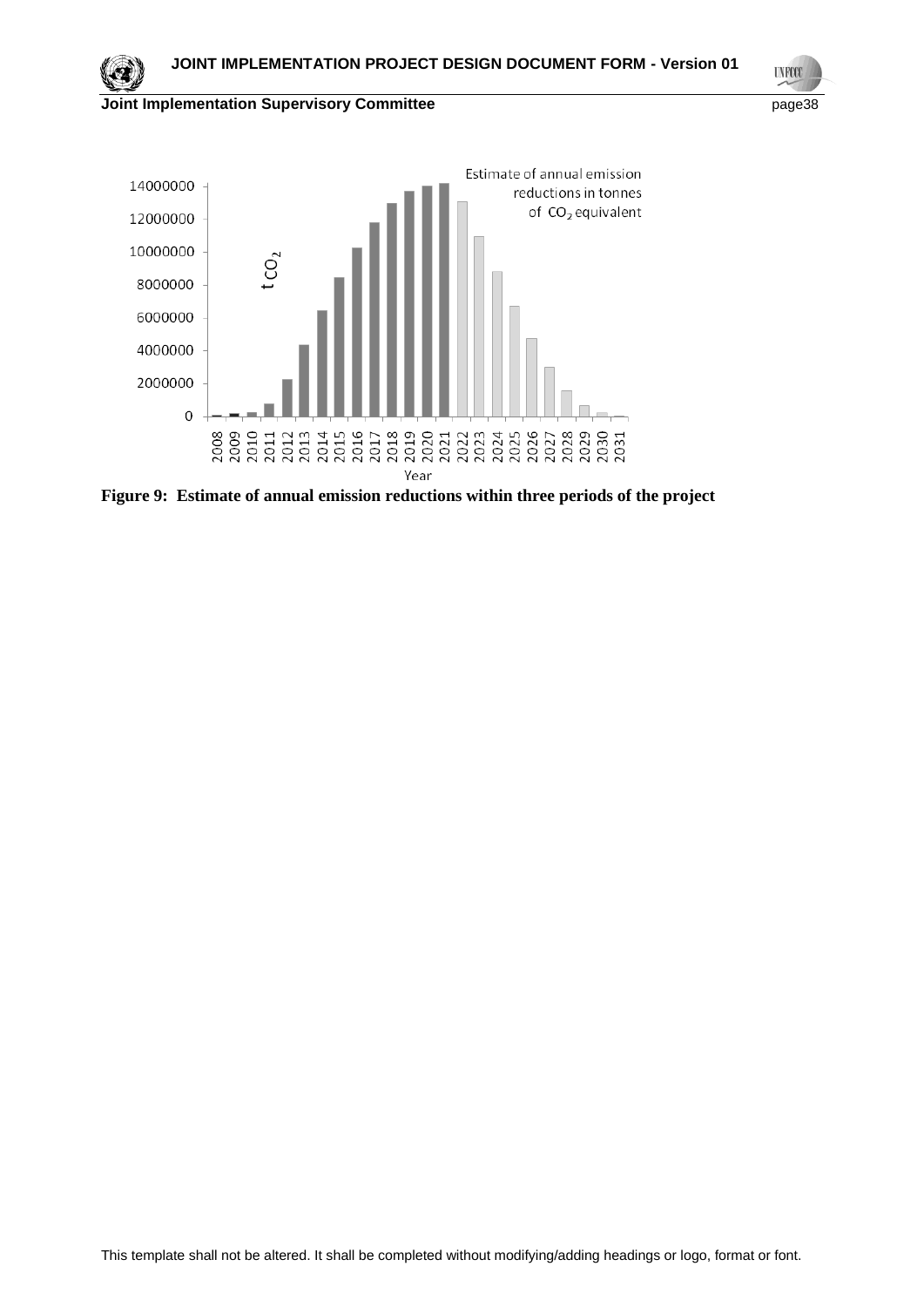

**UNFCCC** 



**Figure 9: Estimate of annual emission reductions within three periods of the project**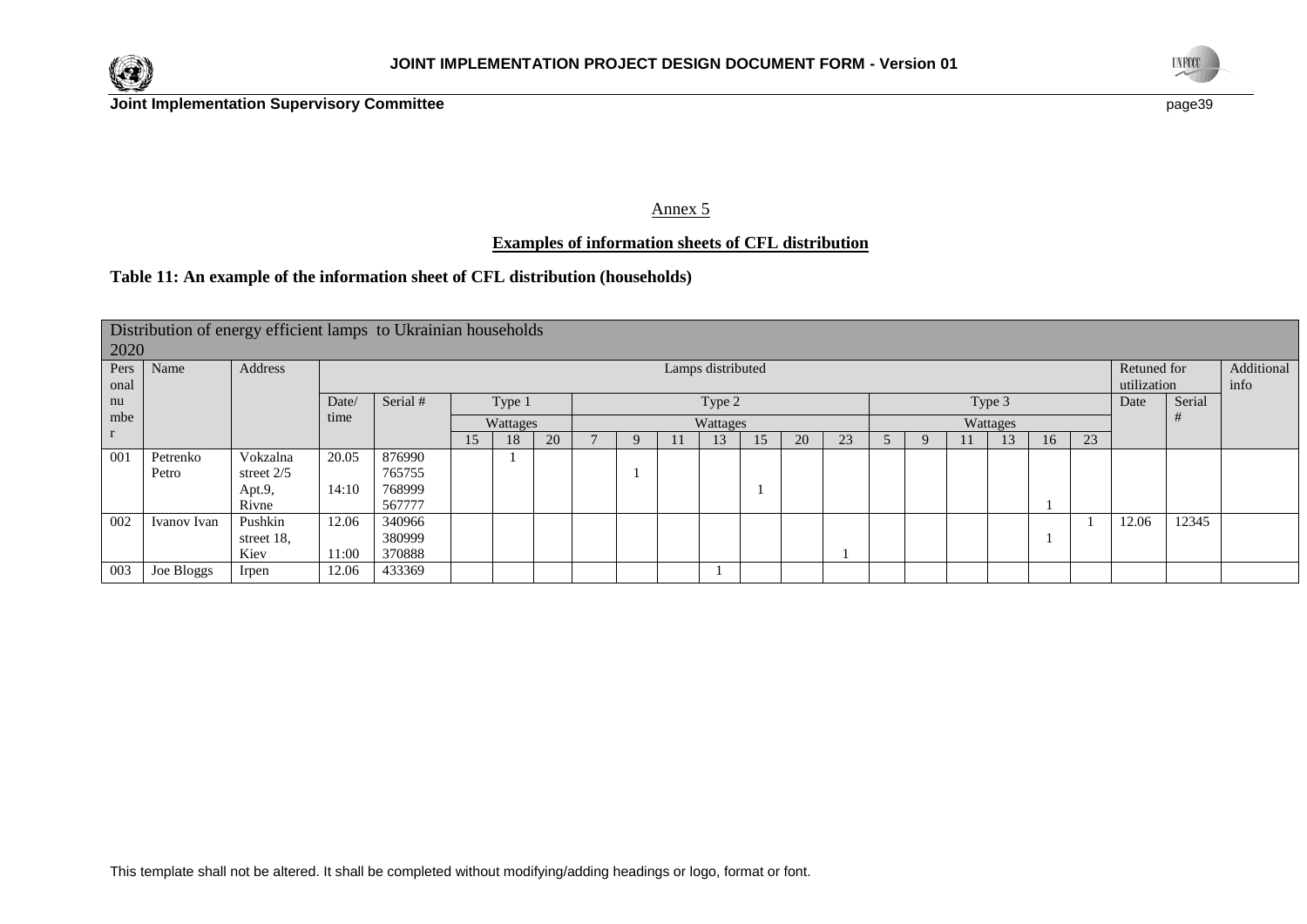



Annex 5

# **Examples of information sheets of CFL distribution**

# **Table 11: An example of the information sheet of CFL distribution (households)**

|              | Distribution of energy efficient lamps to Ukrainian households<br>2020 |              |                   |                              |  |          |    |  |  |  |          |    |    |    |                            |  |                    |        |    |       |       |  |
|--------------|------------------------------------------------------------------------|--------------|-------------------|------------------------------|--|----------|----|--|--|--|----------|----|----|----|----------------------------|--|--------------------|--------|----|-------|-------|--|
| Pers<br>onal | Name                                                                   | Address      | Lamps distributed |                              |  |          |    |  |  |  |          |    |    |    | Retuned for<br>utilization |  | Additional<br>info |        |    |       |       |  |
| nu           |                                                                        |              | Date/             | Serial #<br>Type 1<br>Type 2 |  |          |    |  |  |  | Type 3   |    |    |    |                            |  | Date               | Serial |    |       |       |  |
| mbe          |                                                                        |              | time              |                              |  | Wattages |    |  |  |  | Wattages |    |    |    |                            |  | Wattages           |        |    |       |       |  |
| $\mathbf{r}$ |                                                                        |              |                   |                              |  | 18.      | 20 |  |  |  |          | 15 | 20 | 23 |                            |  |                    | 16     | 23 |       |       |  |
| 001          | Petrenko                                                               | Vokzalna     | 20.05             | 876990                       |  |          |    |  |  |  |          |    |    |    |                            |  |                    |        |    |       |       |  |
|              | Petro                                                                  | street $2/5$ |                   | 765755                       |  |          |    |  |  |  |          |    |    |    |                            |  |                    |        |    |       |       |  |
|              |                                                                        | Apt.9,       | 14:10             | 768999                       |  |          |    |  |  |  |          |    |    |    |                            |  |                    |        |    |       |       |  |
|              |                                                                        | Rivne        |                   | 567777                       |  |          |    |  |  |  |          |    |    |    |                            |  |                    |        |    |       |       |  |
| 002          | Ivanov Ivan                                                            | Pushkin      | 12.06             | 340966                       |  |          |    |  |  |  |          |    |    |    |                            |  |                    |        |    | 12.06 | 12345 |  |
|              |                                                                        | street 18,   |                   | 380999                       |  |          |    |  |  |  |          |    |    |    |                            |  |                    |        |    |       |       |  |
|              |                                                                        | Kiev         | 11:00             | 370888                       |  |          |    |  |  |  |          |    |    |    |                            |  |                    |        |    |       |       |  |
| 003          | Joe Bloggs                                                             | Irpen        | 12.06             | 433369                       |  |          |    |  |  |  |          |    |    |    |                            |  |                    |        |    |       |       |  |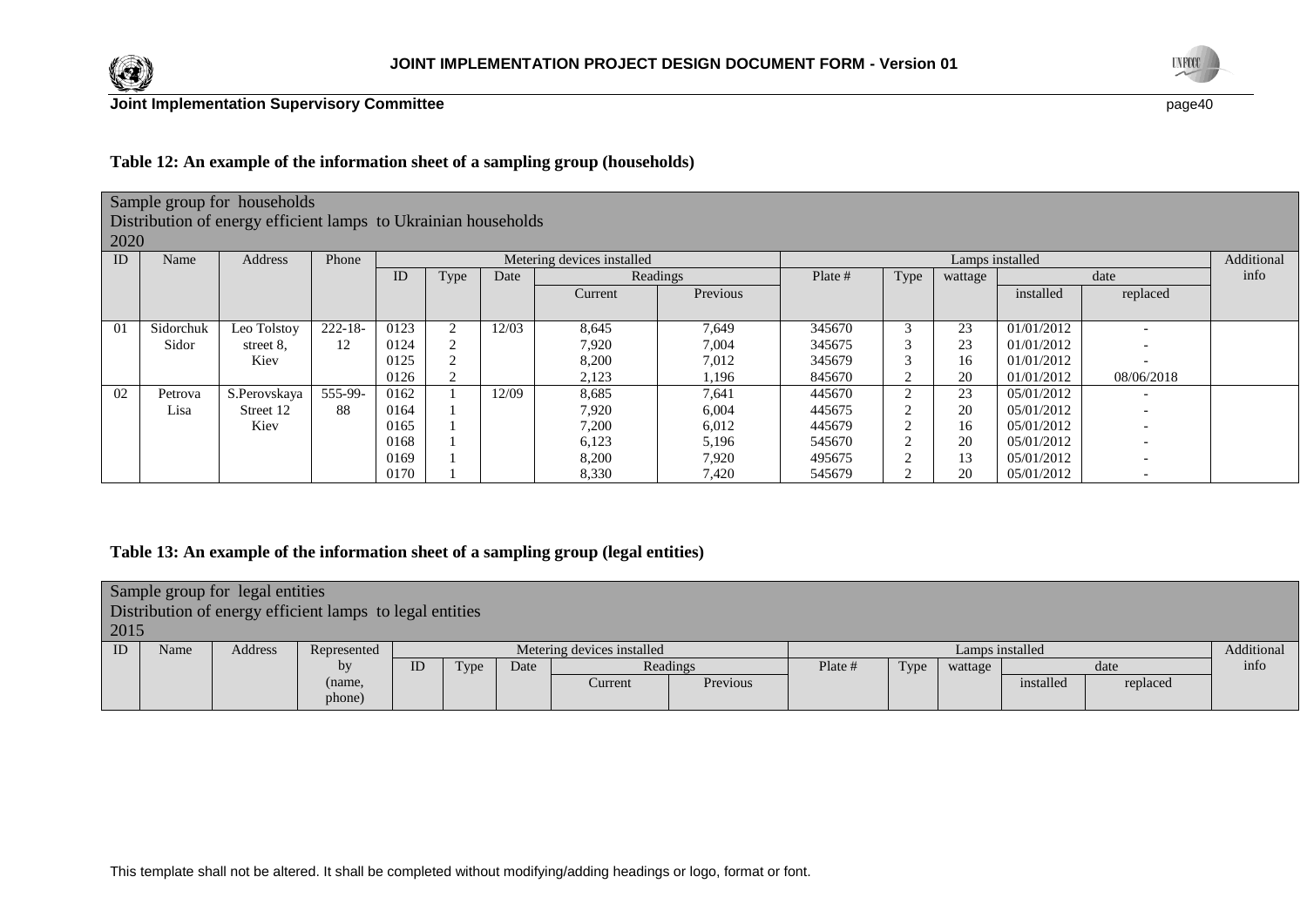



# **Table 12: An example of the information sheet of a sampling group (households)**

# Sample group for households

Distribution of energy efficient lamps to Ukrainian households

 $2020$ 

|    | 2020<br>Lamps installed |              |            |      |      |       |                            |          |         |                |         |            |                          |      |
|----|-------------------------|--------------|------------|------|------|-------|----------------------------|----------|---------|----------------|---------|------------|--------------------------|------|
| ID | Name                    | Address      | Phone      |      |      |       | Metering devices installed |          |         | Additional     |         |            |                          |      |
|    |                         |              |            | ID   | Type | Date  |                            | Readings | Plate # | Type           | wattage |            | date                     | info |
|    |                         |              |            |      |      |       | Current                    | Previous |         |                |         | installed  | replaced                 |      |
|    |                         |              |            |      |      |       |                            |          |         |                |         |            |                          |      |
| 01 | Sidorchuk               | Leo Tolstoy  | $222 - 18$ | 0123 |      | 12/03 | 8,645                      | 7,649    | 345670  | $\sim$         | 23      | 01/01/2012 |                          |      |
|    | Sidor                   | street 8.    | 12         | 0124 | ∼    |       | 7,920                      | 7,004    | 345675  | $\overline{ }$ | 23      | 01/01/2012 |                          |      |
|    |                         | Kiev         |            | 0125 |      |       | 8,200                      | 7,012    | 345679  | $\overline{ }$ | 16      | 01/01/2012 |                          |      |
|    |                         |              |            | 0126 | ∠    |       | 2,123                      | 1,196    | 845670  | ∠              | 20      | 01/01/2012 | 08/06/2018               |      |
| 02 | Petrova                 | S.Perovskava | 555-99-    | 0162 |      | 12/09 | 8,685                      | 7,641    | 445670  |                | 23      | 05/01/2012 |                          |      |
|    | Lisa                    | Street 12    | 88         | 0164 |      |       | 7,920                      | 6,004    | 445675  | ∠              | 20      | 05/01/2012 |                          |      |
|    |                         | Kiev         |            | 0165 |      |       | 7,200                      | 6,012    | 445679  | $\sqrt{2}$     | 16      | 05/01/2012 | $\overline{\phantom{0}}$ |      |
|    |                         |              |            | 0168 |      |       | 6,123                      | 5,196    | 545670  | ◠              | 20      | 05/01/2012 |                          |      |
|    |                         |              |            | 0169 |      |       | 8,200                      | 7,920    | 495675  |                | 13      | 05/01/2012 | ۰                        |      |
|    |                         |              |            | 0170 |      |       | 8,330                      | 7,420    | 545679  |                | 20      | 05/01/2012 | $\overline{\phantom{0}}$ |      |

# **Table 13: An example of the information sheet of a sampling group (legal entities)**

| 2015 |      | Sample group for legal entities | Distribution of energy efficient lamps to legal entities |    |      |      |                            |          |         |      |                 |      |            |
|------|------|---------------------------------|----------------------------------------------------------|----|------|------|----------------------------|----------|---------|------|-----------------|------|------------|
|      |      |                                 |                                                          |    |      |      |                            |          |         |      |                 |      |            |
| ID   | Name | Address                         | Represented                                              |    |      |      | Metering devices installed |          |         |      | Lamps installed |      | Additional |
|      |      |                                 | bv                                                       | ID | Type | Date |                            | Readings | Plate # | Type | wattage         | date | info       |